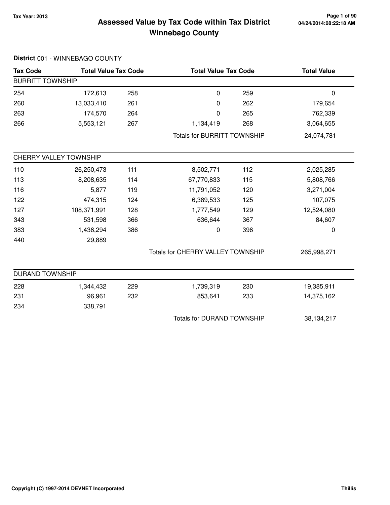## **Tax Year: 2013 Page 1 of 90 Assessed Value by Tax Code within Tax District Winnebago County**

| <b>Tax Code</b>         | <b>Total Value Tax Code</b> |     |                                    | <b>Total Value Tax Code</b> |             |
|-------------------------|-----------------------------|-----|------------------------------------|-----------------------------|-------------|
| <b>BURRITT TOWNSHIP</b> |                             |     |                                    |                             |             |
| 254                     | 172,613                     | 258 | $\pmb{0}$                          | 259                         | $\pmb{0}$   |
| 260                     | 13,033,410                  | 261 | 0                                  | 262                         | 179,654     |
| 263                     | 174,570                     | 264 | 0                                  | 265                         | 762,339     |
| 266                     | 5,553,121                   | 267 | 1,134,419                          | 268                         | 3,064,655   |
|                         |                             |     | <b>Totals for BURRITT TOWNSHIP</b> |                             | 24,074,781  |
|                         | CHERRY VALLEY TOWNSHIP      |     |                                    |                             |             |
| 110                     | 26,250,473                  | 111 | 8,502,771                          | 112                         | 2,025,285   |
| 113                     | 8,208,635                   | 114 | 67,770,833                         | 115                         | 5,808,766   |
| 116                     | 5,877                       | 119 | 11,791,052                         | 120                         | 3,271,004   |
| 122                     | 474,315                     | 124 | 6,389,533                          | 125                         | 107,075     |
| 127                     | 108,371,991                 | 128 | 1,777,549                          | 129                         | 12,524,080  |
| 343                     | 531,598                     | 366 | 636,644                            | 367                         | 84,607      |
| 383                     | 1,436,294                   | 386 | 0                                  | 396                         | 0           |
| 440                     | 29,889                      |     |                                    |                             |             |
|                         |                             |     | Totals for CHERRY VALLEY TOWNSHIP  |                             | 265,998,271 |
| <b>DURAND TOWNSHIP</b>  |                             |     |                                    |                             |             |
| 228                     | 1,344,432                   | 229 | 1,739,319                          | 230                         | 19,385,911  |
| 231                     | 96,961                      | 232 | 853,641                            | 233                         | 14,375,162  |
| 234                     | 338,791                     |     |                                    |                             |             |
|                         |                             |     | <b>Totals for DURAND TOWNSHIP</b>  |                             | 38,134,217  |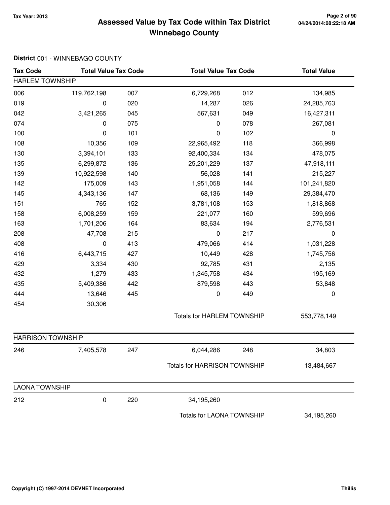## **Tax Year: 2013 Page 2 of 90 Assessed Value by Tax Code within Tax District Winnebago County**

| <b>Tax Code</b>          | <b>Total Value Tax Code</b> |     | <b>Total Value Tax Code</b>         |     | <b>Total Value</b> |
|--------------------------|-----------------------------|-----|-------------------------------------|-----|--------------------|
| <b>HARLEM TOWNSHIP</b>   |                             |     |                                     |     |                    |
| 006                      | 119,762,198                 | 007 | 6,729,268                           | 012 | 134,985            |
| 019                      | 0                           | 020 | 14,287                              | 026 | 24,285,763         |
| 042                      | 3,421,265                   | 045 | 567,631                             | 049 | 16,427,311         |
| 074                      | 0                           | 075 | $\pmb{0}$                           | 078 | 267,081            |
| 100                      | 0                           | 101 | 0                                   | 102 | 0                  |
| 108                      | 10,356                      | 109 | 22,965,492                          | 118 | 366,998            |
| 130                      | 3,394,101                   | 133 | 92,400,334                          | 134 | 478,075            |
| 135                      | 6,299,872                   | 136 | 25,201,229                          | 137 | 47,918,111         |
| 139                      | 10,922,598                  | 140 | 56,028                              | 141 | 215,227            |
| 142                      | 175,009                     | 143 | 1,951,058                           | 144 | 101,241,820        |
| 145                      | 4,343,136                   | 147 | 68,136                              | 149 | 29,384,470         |
| 151                      | 765                         | 152 | 3,781,108                           | 153 | 1,818,868          |
| 158                      | 6,008,259                   | 159 | 221,077                             | 160 | 599,696            |
| 163                      | 1,701,206                   | 164 | 83,634                              | 194 | 2,776,531          |
| 208                      | 47,708                      | 215 | $\pmb{0}$                           | 217 | $\pmb{0}$          |
| 408                      | 0                           | 413 | 479,066                             | 414 | 1,031,228          |
| 416                      | 6,443,715                   | 427 | 10,449                              | 428 | 1,745,756          |
| 429                      | 3,334                       | 430 | 92,785                              | 431 | 2,135              |
| 432                      | 1,279                       | 433 | 1,345,758                           | 434 | 195,169            |
| 435                      | 5,409,386                   | 442 | 879,598                             | 443 | 53,848             |
| 444                      | 13,646                      | 445 | $\pmb{0}$                           | 449 | 0                  |
| 454                      | 30,306                      |     |                                     |     |                    |
|                          |                             |     | <b>Totals for HARLEM TOWNSHIP</b>   |     | 553,778,149        |
| <b>HARRISON TOWNSHIP</b> |                             |     |                                     |     |                    |
| 246                      | 7,405,578                   | 247 | 6,044,286                           | 248 | 34,803             |
|                          |                             |     | <b>Totals for HARRISON TOWNSHIP</b> |     | 13,484,667         |
| <b>LAONA TOWNSHIP</b>    |                             |     |                                     |     |                    |
| 212                      | 0                           | 220 | 34,195,260                          |     |                    |
|                          |                             |     | Totals for LAONA TOWNSHIP           |     | 34,195,260         |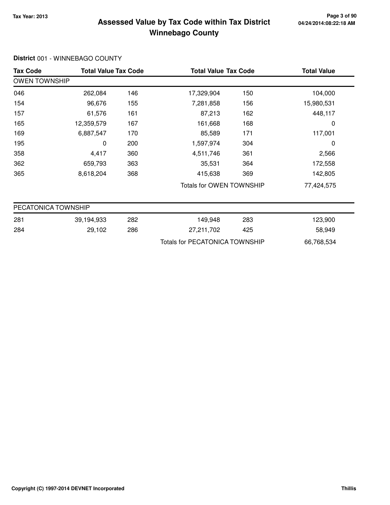## **Tax Year: 2013 Page 3 of 90 Assessed Value by Tax Code within Tax District Winnebago County**

| <b>Tax Code</b>      |            | <b>Total Value Tax Code</b> |                                       | <b>Total Value Tax Code</b> | <b>Total Value</b> |
|----------------------|------------|-----------------------------|---------------------------------------|-----------------------------|--------------------|
| <b>OWEN TOWNSHIP</b> |            |                             |                                       |                             |                    |
| 046                  | 262,084    | 146                         | 17,329,904                            | 150                         | 104,000            |
| 154                  | 96,676     | 155                         | 7,281,858                             | 156                         | 15,980,531         |
| 157                  | 61,576     | 161                         | 87,213                                | 162                         | 448,117            |
| 165                  | 12,359,579 | 167                         | 161,668                               | 168                         | 0                  |
| 169                  | 6,887,547  | 170                         | 85,589                                | 171                         | 117,001            |
| 195                  | 0          | 200                         | 1,597,974                             | 304                         | 0                  |
| 358                  | 4,417      | 360                         | 4,511,746                             | 361                         | 2,566              |
| 362                  | 659,793    | 363                         | 35,531                                | 364                         | 172,558            |
| 365                  | 8,618,204  | 368                         | 415,638                               | 369                         | 142,805            |
|                      |            |                             | Totals for OWEN TOWNSHIP              |                             | 77,424,575         |
| PECATONICA TOWNSHIP  |            |                             |                                       |                             |                    |
| 281                  | 39,194,933 | 282                         | 149,948                               | 283                         | 123,900            |
| 284                  | 29,102     | 286                         | 27,211,702                            | 425                         | 58,949             |
|                      |            |                             | <b>Totals for PECATONICA TOWNSHIP</b> |                             | 66,768,534         |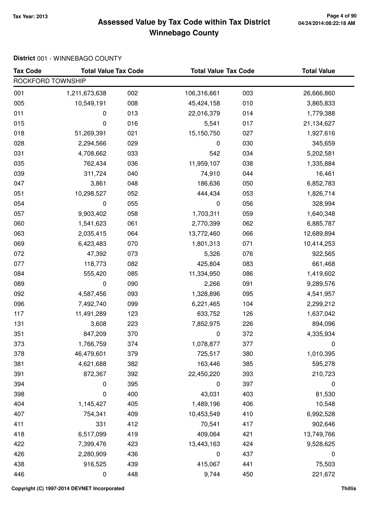## **Tax Year: 2013 Page 4 of 90 Assessed Value by Tax Code within Tax District Winnebago County**

| <b>Tax Code</b>   | <b>Total Value Tax Code</b> |     | <b>Total Value Tax Code</b> |     | <b>Total Value</b> |
|-------------------|-----------------------------|-----|-----------------------------|-----|--------------------|
| ROCKFORD TOWNSHIP |                             |     |                             |     |                    |
| 001               | 1,211,673,638               | 002 | 106,316,661                 | 003 | 26,666,860         |
| 005               | 10,549,191                  | 008 | 45,424,158                  | 010 | 3,865,833          |
| 011               | 0                           | 013 | 22,016,379                  | 014 | 1,779,388          |
| 015               | 0                           | 016 | 5,541                       | 017 | 21,134,627         |
| 018               | 51,269,391                  | 021 | 15,150,750                  | 027 | 1,927,616          |
| 028               | 2,294,566                   | 029 | 0                           | 030 | 345,659            |
| 031               | 4,708,662                   | 033 | 542                         | 034 | 5,202,581          |
| 035               | 762,434                     | 036 | 11,959,107                  | 038 | 1,335,884          |
| 039               | 311,724                     | 040 | 74,910                      | 044 | 16,461             |
| 047               | 3,861                       | 048 | 186,636                     | 050 | 6,852,783          |
| 051               | 10,298,527                  | 052 | 444,434                     | 053 | 1,826,714          |
| 054               | 0                           | 055 | 0                           | 056 | 328,994            |
| 057               | 9,903,402                   | 058 | 1,703,311                   | 059 | 1,640,348          |
| 060               | 1,541,623                   | 061 | 2,770,399                   | 062 | 6,885,787          |
| 063               | 2,035,415                   | 064 | 13,772,460                  | 066 | 12,689,894         |
| 069               | 6,423,483                   | 070 | 1,801,313                   | 071 | 10,414,253         |
| 072               | 47,392                      | 073 | 5,326                       | 076 | 922,565            |
| 077               | 118,773                     | 082 | 425,804                     | 083 | 661,468            |
| 084               | 555,420                     | 085 | 11,334,950                  | 086 | 1,419,602          |
| 089               | 0                           | 090 | 2,266                       | 091 | 9,289,576          |
| 092               | 4,587,456                   | 093 | 1,328,896                   | 095 | 4,541,957          |
| 096               | 7,492,740                   | 099 | 6,221,465                   | 104 | 2,299,212          |
| 117               | 11,491,289                  | 123 | 633,752                     | 126 | 1,637,042          |
| 131               | 3,608                       | 223 | 7,852,975                   | 226 | 894,096            |
| 351               | 847,209                     | 370 | 0                           | 372 | 4,335,934          |
| 373               | 1,766,759                   | 374 | 1,078,877                   | 377 | 0                  |
| 378               | 46,479,601                  | 379 | 725,517                     | 380 | 1,010,395          |
| 381               | 4,621,688                   | 382 | 163,446                     | 385 | 595,278            |
| 391               | 872,367                     | 392 | 22,450,220                  | 393 | 210,723            |
| 394               | 0                           | 395 | 0                           | 397 | 0                  |
| 398               | 0                           | 400 | 43,031                      | 403 | 81,530             |
| 404               | 1,145,427                   | 405 | 1,489,196                   | 406 | 10,548             |
| 407               | 754,341                     | 409 | 10,453,549                  | 410 | 6,992,528          |
| 411               | 331                         | 412 | 70,541                      | 417 | 902,646            |
| 418               | 6,517,099                   | 419 | 409,064                     | 421 | 13,749,766         |
| 422               | 7,399,476                   | 423 | 13,443,163                  | 424 | 9,528,625          |
| 426               | 2,280,909                   | 436 | 0                           | 437 | 0                  |
| 438               | 916,525                     | 439 | 415,067                     | 441 | 75,503             |
| 446               | 0                           | 448 | 9,744                       | 450 | 221,672            |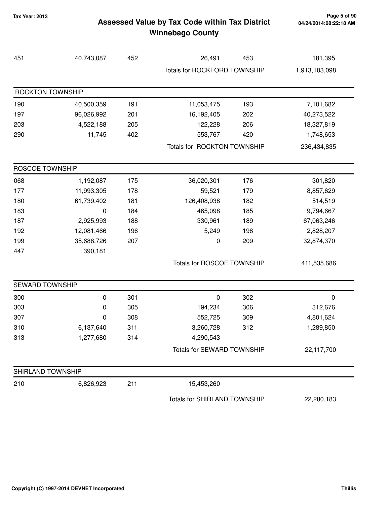## **Tax Year: 2013 Page 5 of 90 Assessed Value by Tax Code within Tax District Winnebago County**

| 451                     | 40,743,087 | 452 | 26,491                       | 453 | 181,395       |
|-------------------------|------------|-----|------------------------------|-----|---------------|
|                         |            |     | Totals for ROCKFORD TOWNSHIP |     | 1,913,103,098 |
| <b>ROCKTON TOWNSHIP</b> |            |     |                              |     |               |
| 190                     | 40,500,359 | 191 | 11,053,475                   | 193 | 7,101,682     |
| 197                     | 96,026,992 | 201 | 16,192,405                   | 202 | 40,273,522    |
| 203                     | 4,522,188  | 205 | 122,228                      | 206 | 18,327,819    |
| 290                     | 11,745     | 402 | 553,767                      | 420 | 1,748,653     |
|                         |            |     | Totals for ROCKTON TOWNSHIP  |     | 236,434,835   |
| ROSCOE TOWNSHIP         |            |     |                              |     |               |
| 068                     | 1,192,087  | 175 | 36,020,301                   | 176 | 301,820       |
| 177                     | 11,993,305 | 178 | 59,521                       | 179 | 8,857,629     |
| 180                     | 61,739,402 | 181 | 126,408,938                  | 182 | 514,519       |
| 183                     | 0          | 184 | 465,098                      | 185 | 9,794,667     |
| 187                     | 2,925,993  | 188 | 330,961                      | 189 | 67,063,246    |
| 192                     | 12,081,466 | 196 | 5,249                        | 198 | 2,828,207     |
| 199                     | 35,688,726 | 207 | 0                            | 209 | 32,874,370    |
| 447                     | 390,181    |     |                              |     |               |
|                         |            |     | Totals for ROSCOE TOWNSHIP   |     | 411,535,686   |
| SEWARD TOWNSHIP         |            |     |                              |     |               |
| 300                     | $\pmb{0}$  | 301 | 0                            | 302 | $\pmb{0}$     |
| 303                     | 0          | 305 | 194,234                      | 306 | 312,676       |
| 307                     | 0          | 308 | 552,725                      | 309 | 4,801,624     |
| 310                     | 6,137,640  | 311 | 3,260,728                    | 312 | 1,289,850     |
| 313                     | 1,277,680  | 314 | 4,290,543                    |     |               |
|                         |            |     | Totals for SEWARD TOWNSHIP   |     | 22,117,700    |
| SHIRLAND TOWNSHIP       |            |     |                              |     |               |
| 210                     | 6,826,923  | 211 | 15,453,260                   |     |               |
|                         |            |     | Totals for SHIRLAND TOWNSHIP |     | 22,280,183    |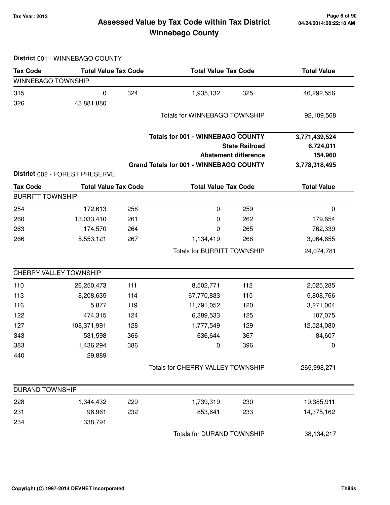## **Tax Year: 2013 Page 6 of 90 Assessed Value by Tax Code within Tax District Winnebago County**

| <b>Tax Code</b>         | <b>Total Value Tax Code</b>    |     |                                                | <b>Total Value Tax Code</b> |                    |
|-------------------------|--------------------------------|-----|------------------------------------------------|-----------------------------|--------------------|
| WINNEBAGO TOWNSHIP      |                                |     |                                                |                             |                    |
| 315                     | $\pmb{0}$                      | 324 | 1,935,132                                      | 325                         | 46,292,556         |
| 326                     | 43,881,880                     |     |                                                |                             |                    |
|                         |                                |     | Totals for WINNEBAGO TOWNSHIP                  |                             | 92,109,568         |
|                         |                                |     |                                                |                             |                    |
|                         |                                |     | <b>Totals for 001 - WINNEBAGO COUNTY</b>       |                             | 3,771,439,524      |
|                         |                                |     |                                                | <b>State Railroad</b>       | 6,724,011          |
|                         |                                |     |                                                | <b>Abatement difference</b> | 154,960            |
|                         |                                |     | <b>Grand Totals for 001 - WINNEBAGO COUNTY</b> |                             | 3,778,318,495      |
|                         | District 002 - FOREST PRESERVE |     |                                                |                             |                    |
| <b>Tax Code</b>         | <b>Total Value Tax Code</b>    |     | <b>Total Value Tax Code</b>                    |                             | <b>Total Value</b> |
| <b>BURRITT TOWNSHIP</b> |                                |     |                                                |                             |                    |
| 254                     | 172,613                        | 258 | $\pmb{0}$                                      | 259                         | $\pmb{0}$          |
| 260                     | 13,033,410                     | 261 | 0                                              | 262                         | 179,654            |
| 263                     | 174,570                        | 264 | 0                                              | 265                         | 762,339            |
| 266                     | 5,553,121                      | 267 | 1,134,419                                      | 268                         | 3,064,655          |
|                         |                                |     | <b>Totals for BURRITT TOWNSHIP</b>             |                             | 24,074,781         |
|                         | CHERRY VALLEY TOWNSHIP         |     |                                                |                             |                    |
| 110                     | 26,250,473                     | 111 | 8,502,771                                      | 112                         | 2,025,285          |
| 113                     | 8,208,635                      | 114 | 67,770,833                                     | 115                         | 5,808,766          |
| 116                     | 5,877                          | 119 | 11,791,052                                     | 120                         | 3,271,004          |
| 122                     | 474,315                        | 124 | 6,389,533                                      | 125                         | 107,075            |
| 127                     | 108,371,991                    | 128 | 1,777,549                                      | 129                         | 12,524,080         |
| 343                     | 531,598                        | 366 | 636,644                                        | 367                         | 84,607             |
| 383                     | 1,436,294                      | 386 | 0                                              | 396                         | 0                  |
| 440                     | 29,889                         |     |                                                |                             |                    |
|                         |                                |     | Totals for CHERRY VALLEY TOWNSHIP              |                             | 265,998,271        |
| <b>DURAND TOWNSHIP</b>  |                                |     |                                                |                             |                    |
| 228                     | 1,344,432                      | 229 | 1,739,319                                      | 230                         | 19,385,911         |
| 231                     | 96,961                         | 232 | 853,641                                        | 233                         | 14,375,162         |
| 234                     | 338,791                        |     |                                                |                             |                    |
|                         |                                |     | Totals for DURAND TOWNSHIP                     |                             | 38,134,217         |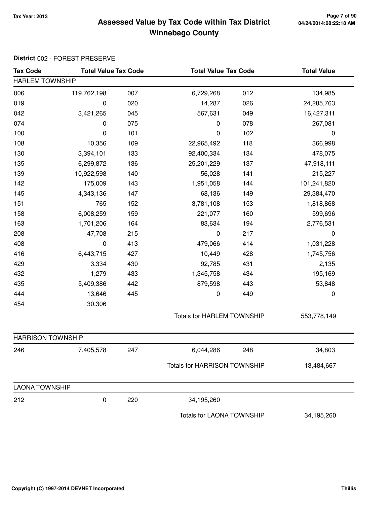## **Tax Year: 2013 Page 7 of 90 Assessed Value by Tax Code within Tax District Winnebago County**

| <b>Tax Code</b>          | <b>Total Value Tax Code</b> |     | <b>Total Value Tax Code</b>         |     | <b>Total Value</b> |  |
|--------------------------|-----------------------------|-----|-------------------------------------|-----|--------------------|--|
| <b>HARLEM TOWNSHIP</b>   |                             |     |                                     |     |                    |  |
| 006                      | 119,762,198                 | 007 | 6,729,268                           | 012 | 134,985            |  |
| 019                      | 0                           | 020 | 14,287                              | 026 | 24,285,763         |  |
| 042                      | 3,421,265                   | 045 | 567,631                             | 049 | 16,427,311         |  |
| 074                      | 0                           | 075 | $\mathbf 0$                         | 078 | 267,081            |  |
| 100                      | 0                           | 101 | $\mathbf 0$                         | 102 | $\boldsymbol{0}$   |  |
| 108                      | 10,356                      | 109 | 22,965,492                          | 118 | 366,998            |  |
| 130                      | 3,394,101                   | 133 | 92,400,334                          | 134 | 478,075            |  |
| 135                      | 6,299,872                   | 136 | 25,201,229                          | 137 | 47,918,111         |  |
| 139                      | 10,922,598                  | 140 | 56,028                              | 141 | 215,227            |  |
| 142                      | 175,009                     | 143 | 1,951,058                           | 144 | 101,241,820        |  |
| 145                      | 4,343,136                   | 147 | 68,136                              | 149 | 29,384,470         |  |
| 151                      | 765                         | 152 | 3,781,108                           | 153 | 1,818,868          |  |
| 158                      | 6,008,259                   | 159 | 221,077                             | 160 | 599,696            |  |
| 163                      | 1,701,206                   | 164 | 83,634                              | 194 | 2,776,531          |  |
| 208                      | 47,708                      | 215 | $\pmb{0}$                           | 217 | $\mathbf 0$        |  |
| 408                      | 0                           | 413 | 479,066                             | 414 | 1,031,228          |  |
| 416                      | 6,443,715                   | 427 | 10,449                              | 428 | 1,745,756          |  |
| 429                      | 3,334                       | 430 | 92,785                              | 431 | 2,135              |  |
| 432                      | 1,279                       | 433 | 1,345,758                           | 434 | 195,169            |  |
| 435                      | 5,409,386                   | 442 | 879,598                             | 443 | 53,848             |  |
| 444                      | 13,646                      | 445 | $\pmb{0}$                           | 449 | $\pmb{0}$          |  |
| 454                      | 30,306                      |     |                                     |     |                    |  |
|                          |                             |     | <b>Totals for HARLEM TOWNSHIP</b>   |     | 553,778,149        |  |
| <b>HARRISON TOWNSHIP</b> |                             |     |                                     |     |                    |  |
| 246                      | 7,405,578                   | 247 | 6,044,286                           | 248 | 34,803             |  |
|                          |                             |     | <b>Totals for HARRISON TOWNSHIP</b> |     | 13,484,667         |  |
| <b>LAONA TOWNSHIP</b>    |                             |     |                                     |     |                    |  |
| 212                      | 0                           | 220 | 34,195,260                          |     |                    |  |
|                          |                             |     | Totals for LAONA TOWNSHIP           |     | 34,195,260         |  |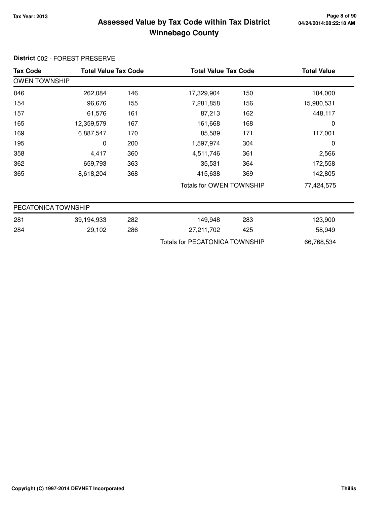### **Tax Year: 2013 Page 8 of 90 Assessed Value by Tax Code within Tax District Winnebago County**

### **Tax Code Total Value Tax Code Total Value Tax Code Total Value** OWEN TOWNSHIP 046 262,084 146 17,329,904 150 104,000 154 96,676 7,281,858 155 156 15,980,531 157 61,576 87,213 161 162 448,117 165 12,359,579 167 161,668 168 0 169 6,887,547 85,589 170 171 117,001 195 0 1,597,974 200 304 0 358 4,417 4,511,746 360 361 2,566

| 362 | 659,793   | 363 | 35.531                   | 364 | 172,558    |
|-----|-----------|-----|--------------------------|-----|------------|
| 365 | 8,618,204 | 368 | 415.638                  | 369 | 142,805    |
|     |           |     | Totals for OWEN TOWNSHIP |     | 77,424,575 |

| PECATONICA TOWNSHIP |            |     |                                |     |            |  |  |
|---------------------|------------|-----|--------------------------------|-----|------------|--|--|
| 281                 | 39,194,933 | 282 | 149.948                        | 283 | 123,900    |  |  |
| 284                 | 29,102     | 286 | 27,211,702                     | 425 | 58,949     |  |  |
|                     |            |     | Totals for PECATONICA TOWNSHIP |     | 66,768,534 |  |  |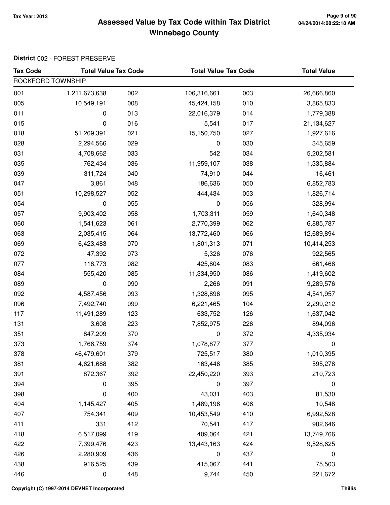## **Tax Year: 2013 Page 9 of 90 Assessed Value by Tax Code within Tax District Winnebago County**

| <b>Tax Code</b>   | <b>Total Value Tax Code</b> |     | <b>Total Value Tax Code</b> |     | <b>Total Value</b> |
|-------------------|-----------------------------|-----|-----------------------------|-----|--------------------|
| ROCKFORD TOWNSHIP |                             |     |                             |     |                    |
| 001               | 1,211,673,638               | 002 | 106,316,661                 | 003 | 26,666,860         |
| 005               | 10,549,191                  | 008 | 45,424,158                  | 010 | 3,865,833          |
| 011               | 0                           | 013 | 22,016,379                  | 014 | 1,779,388          |
| 015               | 0                           | 016 | 5,541                       | 017 | 21,134,627         |
| 018               | 51,269,391                  | 021 | 15,150,750                  | 027 | 1,927,616          |
| 028               | 2,294,566                   | 029 | 0                           | 030 | 345,659            |
| 031               | 4,708,662                   | 033 | 542                         | 034 | 5,202,581          |
| 035               | 762,434                     | 036 | 11,959,107                  | 038 | 1,335,884          |
| 039               | 311,724                     | 040 | 74,910                      | 044 | 16,461             |
| 047               | 3,861                       | 048 | 186,636                     | 050 | 6,852,783          |
| 051               | 10,298,527                  | 052 | 444,434                     | 053 | 1,826,714          |
| 054               | 0                           | 055 | 0                           | 056 | 328,994            |
| 057               | 9,903,402                   | 058 | 1,703,311                   | 059 | 1,640,348          |
| 060               | 1,541,623                   | 061 | 2,770,399                   | 062 | 6,885,787          |
| 063               | 2,035,415                   | 064 | 13,772,460                  | 066 | 12,689,894         |
| 069               | 6,423,483                   | 070 | 1,801,313                   | 071 | 10,414,253         |
| 072               | 47,392                      | 073 | 5,326                       | 076 | 922,565            |
| 077               | 118,773                     | 082 | 425,804                     | 083 | 661,468            |
| 084               | 555,420                     | 085 | 11,334,950                  | 086 | 1,419,602          |
| 089               | 0                           | 090 | 2,266                       | 091 | 9,289,576          |
| 092               | 4,587,456                   | 093 | 1,328,896                   | 095 | 4,541,957          |
| 096               | 7,492,740                   | 099 | 6,221,465                   | 104 | 2,299,212          |
| 117               | 11,491,289                  | 123 | 633,752                     | 126 | 1,637,042          |
| 131               | 3,608                       | 223 | 7,852,975                   | 226 | 894,096            |
| 351               | 847,209                     | 370 | 0                           | 372 | 4,335,934          |
| 373               | 1,766,759                   | 374 | 1,078,877                   | 377 | 0                  |
| 378               | 46,479,601                  | 379 | 725,517                     | 380 | 1,010,395          |
| 381               | 4,621,688                   | 382 | 163,446                     | 385 | 595,278            |
| 391               | 872,367                     | 392 | 22,450,220                  | 393 | 210,723            |
| 394               | 0                           | 395 | 0                           | 397 | 0                  |
| 398               | 0                           | 400 | 43,031                      | 403 | 81,530             |
| 404               | 1,145,427                   | 405 | 1,489,196                   | 406 | 10,548             |
| 407               | 754,341                     | 409 | 10,453,549                  | 410 | 6,992,528          |
| 411               | 331                         | 412 | 70,541                      | 417 | 902,646            |
| 418               | 6,517,099                   | 419 | 409,064                     | 421 | 13,749,766         |
| 422               | 7,399,476                   | 423 | 13,443,163                  | 424 | 9,528,625          |
| 426               | 2,280,909                   | 436 | $\pmb{0}$                   | 437 | $\mathbf 0$        |
| 438               | 916,525                     | 439 | 415,067                     | 441 | 75,503             |
| 446               | 0                           | 448 | 9,744                       | 450 | 221,672            |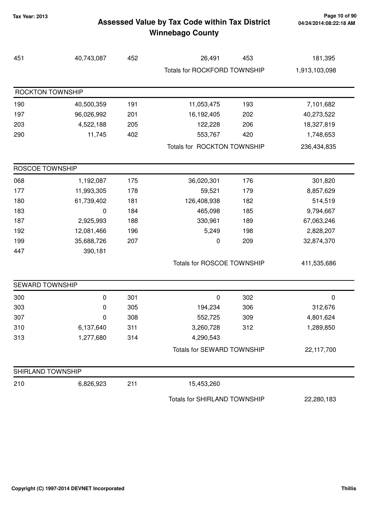## **Tax Year: 2013 Page 10 of 90 Assessed Value by Tax Code within Tax District Winnebago County**

| 451                    | 40,743,087 | 452 | 26,491                       | 453 | 181,395       |
|------------------------|------------|-----|------------------------------|-----|---------------|
|                        |            |     | Totals for ROCKFORD TOWNSHIP |     | 1,913,103,098 |
| ROCKTON TOWNSHIP       |            |     |                              |     |               |
| 190                    | 40,500,359 | 191 | 11,053,475                   | 193 | 7,101,682     |
| 197                    | 96,026,992 | 201 | 16,192,405                   | 202 | 40,273,522    |
| 203                    | 4,522,188  | 205 | 122,228                      | 206 | 18,327,819    |
| 290                    | 11,745     | 402 | 553,767                      | 420 | 1,748,653     |
|                        |            |     | Totals for ROCKTON TOWNSHIP  |     | 236,434,835   |
| <b>ROSCOE TOWNSHIP</b> |            |     |                              |     |               |
| 068                    | 1,192,087  | 175 | 36,020,301                   | 176 | 301,820       |
| 177                    | 11,993,305 | 178 | 59,521                       | 179 | 8,857,629     |
| 180                    | 61,739,402 | 181 | 126,408,938                  | 182 | 514,519       |
| 183                    | 0          | 184 | 465,098                      | 185 | 9,794,667     |
| 187                    | 2,925,993  | 188 | 330,961                      | 189 | 67,063,246    |
| 192                    | 12,081,466 | 196 | 5,249                        | 198 | 2,828,207     |
| 199                    | 35,688,726 | 207 | 0                            | 209 | 32,874,370    |
| 447                    | 390,181    |     |                              |     |               |
|                        |            |     | Totals for ROSCOE TOWNSHIP   |     | 411,535,686   |
| <b>SEWARD TOWNSHIP</b> |            |     |                              |     |               |
| 300                    | 0          | 301 | 0                            | 302 | 0             |
| 303                    | 0          | 305 | 194,234                      | 306 | 312,676       |
| 307                    | 0          | 308 | 552,725                      | 309 | 4,801,624     |
| 310                    | 6,137,640  | 311 | 3,260,728                    | 312 | 1,289,850     |
| 313                    | 1,277,680  | 314 | 4,290,543                    |     |               |
|                        |            |     | Totals for SEWARD TOWNSHIP   |     | 22,117,700    |
| SHIRLAND TOWNSHIP      |            |     |                              |     |               |
| 210                    | 6,826,923  | 211 | 15,453,260                   |     |               |
|                        |            |     | Totals for SHIRLAND TOWNSHIP |     | 22,280,183    |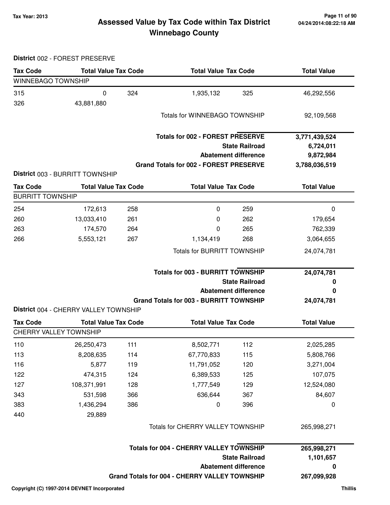## **Tax Year: 2013 Page 11 of 90 Assessed Value by Tax Code within Tax District Winnebago County**

| <b>Tax Code</b>                            | <b>Total Value Tax Code</b>                                          |     | <b>Total Value Tax Code</b>                                                         | <b>Total Value</b> |
|--------------------------------------------|----------------------------------------------------------------------|-----|-------------------------------------------------------------------------------------|--------------------|
| <b>WINNEBAGO TOWNSHIP</b>                  |                                                                      |     |                                                                                     |                    |
| 315                                        | 0                                                                    | 324 | 1,935,132<br>325                                                                    | 46,292,556         |
| 326                                        | 43,881,880                                                           |     |                                                                                     |                    |
|                                            |                                                                      |     | <b>Totals for WINNEBAGO TOWNSHIP</b>                                                | 92,109,568         |
|                                            |                                                                      |     |                                                                                     |                    |
|                                            |                                                                      |     | <b>Totals for 002 - FOREST PRESERVE</b>                                             | 3,771,439,524      |
|                                            |                                                                      |     | <b>State Railroad</b>                                                               | 6,724,011          |
|                                            |                                                                      |     | <b>Abatement difference</b>                                                         | 9,872,984          |
|                                            | District 003 - BURRITT TOWNSHIP                                      |     | <b>Grand Totals for 002 - FOREST PRESERVE</b>                                       | 3,788,036,519      |
|                                            |                                                                      |     |                                                                                     |                    |
| <b>Tax Code</b><br><b>BURRITT TOWNSHIP</b> | <b>Total Value Tax Code</b>                                          |     | <b>Total Value Tax Code</b>                                                         | <b>Total Value</b> |
|                                            |                                                                      |     |                                                                                     |                    |
| 254                                        | 172,613                                                              | 258 | 259<br>0                                                                            | $\mathbf 0$        |
| 260                                        | 13,033,410                                                           | 261 | 0<br>262                                                                            | 179,654            |
| 263                                        | 174,570                                                              | 264 | 265<br>0                                                                            | 762,339            |
| 266                                        | 5,553,121                                                            | 267 | 1,134,419<br>268                                                                    | 3,064,655          |
|                                            |                                                                      |     | <b>Totals for BURRITT TOWNSHIP</b>                                                  | 24,074,781         |
|                                            |                                                                      |     | <b>Totals for 003 - BURRITT TOWNSHIP</b>                                            | 24,074,781         |
|                                            |                                                                      |     | <b>State Railroad</b>                                                               | 0                  |
|                                            |                                                                      |     | <b>Abatement difference</b>                                                         | 0                  |
|                                            |                                                                      |     | <b>Grand Totals for 003 - BURRITT TOWNSHIP</b>                                      | 24,074,781         |
| <b>Tax Code</b>                            | District 004 - CHERRY VALLEY TOWNSHIP<br><b>Total Value Tax Code</b> |     | <b>Total Value Tax Code</b>                                                         | <b>Total Value</b> |
|                                            | <b>CHERRY VALLEY TOWNSHIP</b>                                        |     |                                                                                     |                    |
| 110                                        | 26,250,473                                                           | 111 | 112<br>8,502,771                                                                    | 2,025,285          |
| 113                                        | 8,208,635                                                            | 114 | 67,770,833<br>115                                                                   | 5,808,766          |
| 116                                        | 5,877                                                                | 119 | 11,791,052<br>120                                                                   | 3,271,004          |
| 122                                        | 474,315                                                              | 124 | 6,389,533<br>125                                                                    | 107,075            |
| 127                                        | 108,371,991                                                          | 128 | 1,777,549<br>129                                                                    | 12,524,080         |
| 343                                        | 531,598                                                              | 366 | 636,644<br>367                                                                      | 84,607             |
| 383                                        | 1,436,294                                                            | 386 | 396<br>0                                                                            | 0                  |
| 440                                        | 29,889                                                               |     |                                                                                     |                    |
|                                            |                                                                      |     | Totals for CHERRY VALLEY TOWNSHIP                                                   | 265,998,271        |
|                                            |                                                                      |     |                                                                                     |                    |
|                                            |                                                                      |     | <b>Totals for 004 - CHERRY VALLEY TOWNSHIP</b>                                      | 265,998,271        |
|                                            |                                                                      |     | <b>State Railroad</b>                                                               | 1,101,657          |
|                                            |                                                                      |     | <b>Abatement difference</b><br><b>Grand Totals for 004 - CHERRY VALLEY TOWNSHIP</b> | $\bf{0}$           |
|                                            |                                                                      |     |                                                                                     | 267,099,928        |
|                                            | Copyright (C) 1997-2014 DEVNET Incorporated                          |     |                                                                                     | <b>Thillis</b>     |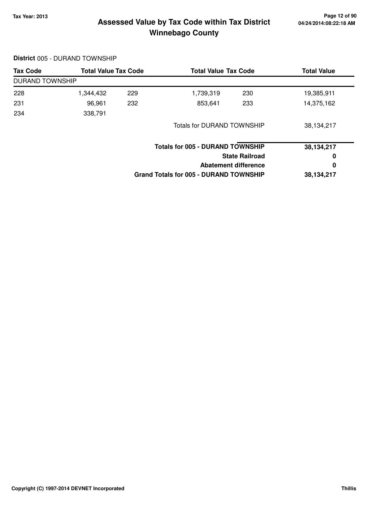## **Tax Year: 2013 Page 12 of 90 Assessed Value by Tax Code within Tax District Winnebago County**

| <b>Tax Code</b>        | <b>Total Value Tax Code</b> |     | <b>Total Value Tax Code</b>                   |                       | <b>Total Value</b> |
|------------------------|-----------------------------|-----|-----------------------------------------------|-----------------------|--------------------|
| <b>DURAND TOWNSHIP</b> |                             |     |                                               |                       |                    |
| 228                    | 1,344,432                   | 229 | 1,739,319                                     | 230                   | 19,385,911         |
| 231                    | 96,961                      | 232 | 853,641                                       | 233                   | 14,375,162         |
| 234                    | 338,791                     |     |                                               |                       |                    |
|                        |                             |     | <b>Totals for DURAND TOWNSHIP</b>             |                       | 38,134,217         |
|                        |                             |     | <b>Totals for 005 - DURAND TOWNSHIP</b>       |                       | 38,134,217         |
|                        |                             |     |                                               | <b>State Railroad</b> | 0                  |
|                        |                             |     | Abatement difference                          |                       |                    |
|                        |                             |     | <b>Grand Totals for 005 - DURAND TOWNSHIP</b> |                       | 38,134,217         |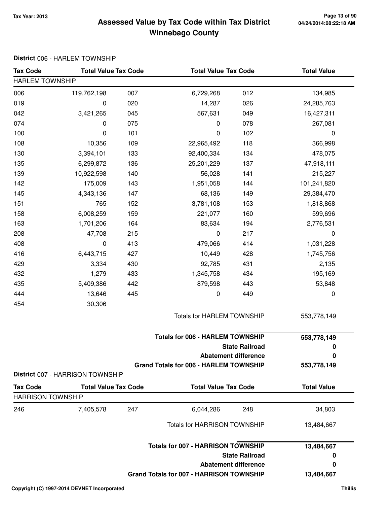## **Tax Year: 2013 Page 13 of 90 Assessed Value by Tax Code within Tax District Winnebago County**

### **District** 006 - HARLEM TOWNSHIP

| <b>Tax Code</b>          | <b>Total Value Tax Code</b>      |     |                                                 | <b>Total Value Tax Code</b>             |                    |
|--------------------------|----------------------------------|-----|-------------------------------------------------|-----------------------------------------|--------------------|
| <b>HARLEM TOWNSHIP</b>   |                                  |     |                                                 |                                         |                    |
| 006                      | 119,762,198                      | 007 | 6,729,268                                       | 012                                     | 134,985            |
| 019                      | 0                                | 020 | 14,287                                          | 026                                     | 24,285,763         |
| 042                      | 3,421,265                        | 045 | 567,631                                         | 049                                     | 16,427,311         |
| 074                      | 0                                | 075 | 0                                               | 078                                     | 267,081            |
| 100                      | 0                                | 101 | 0                                               | 102                                     | 0                  |
| 108                      | 10,356                           | 109 | 22,965,492                                      | 118                                     | 366,998            |
| 130                      | 3,394,101                        | 133 | 92,400,334                                      | 134                                     | 478,075            |
| 135                      | 6,299,872                        | 136 | 25,201,229                                      | 137                                     | 47,918,111         |
| 139                      | 10,922,598                       | 140 | 56,028                                          | 141                                     | 215,227            |
| 142                      | 175,009                          | 143 | 1,951,058                                       | 144                                     | 101,241,820        |
| 145                      | 4,343,136                        | 147 | 68,136                                          | 149                                     | 29,384,470         |
| 151                      | 765                              | 152 | 3,781,108                                       | 153                                     | 1,818,868          |
| 158                      | 6,008,259                        | 159 | 221,077                                         | 160                                     | 599,696            |
| 163                      | 1,701,206                        | 164 | 83,634                                          | 194                                     | 2,776,531          |
| 208                      | 47,708                           | 215 | $\pmb{0}$                                       | 217                                     | $\pmb{0}$          |
| 408                      | 0                                | 413 | 479,066                                         | 414                                     | 1,031,228          |
| 416                      | 6,443,715                        | 427 | 10,449                                          | 428                                     | 1,745,756          |
| 429                      | 3,334                            | 430 | 92,785                                          | 431                                     | 2,135              |
| 432                      | 1,279                            | 433 | 1,345,758                                       | 434                                     | 195,169            |
| 435                      | 5,409,386                        | 442 | 879,598                                         | 443                                     | 53,848             |
| 444                      | 13,646                           | 445 | 0                                               | 449                                     | 0                  |
| 454                      | 30,306                           |     |                                                 |                                         |                    |
|                          |                                  |     | Totals for HARLEM TOWNSHIP                      |                                         | 553,778,149        |
|                          |                                  |     |                                                 | <b>Totals for 006 - HARLEM TOWNSHIP</b> |                    |
|                          |                                  |     |                                                 | <b>State Railroad</b>                   | 553,778,149<br>0   |
|                          |                                  |     |                                                 | <b>Abatement difference</b>             | 0                  |
|                          |                                  |     | <b>Grand Totals for 006 - HARLEM TOWNSHIP</b>   |                                         | 553,778,149        |
|                          | District 007 - HARRISON TOWNSHIP |     |                                                 |                                         |                    |
| <b>Tax Code</b>          | <b>Total Value Tax Code</b>      |     | <b>Total Value Tax Code</b>                     |                                         | <b>Total Value</b> |
| <b>HARRISON TOWNSHIP</b> |                                  |     |                                                 |                                         |                    |
| 246                      | 7,405,578                        | 247 | 6,044,286                                       | 248                                     | 34,803             |
|                          |                                  |     | <b>Totals for HARRISON TOWNSHIP</b>             |                                         | 13,484,667         |
|                          |                                  |     | <b>Totals for 007 - HARRISON TOWNSHIP</b>       |                                         | 13,484,667         |
|                          |                                  |     |                                                 | <b>State Railroad</b>                   | 0                  |
|                          |                                  |     |                                                 | <b>Abatement difference</b>             | 0                  |
|                          |                                  |     | <b>Grand Totals for 007 - HARRISON TOWNSHIP</b> |                                         | 13,484,667         |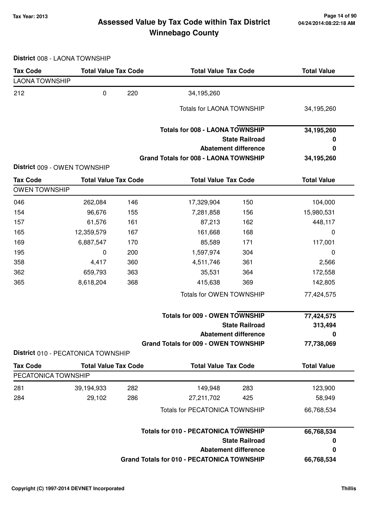## **Tax Year: 2013 Page 14 of 90 Assessed Value by Tax Code within Tax District Winnebago County**

**District** 008 - LAONA TOWNSHIP

| <b>Tax Code</b>       | <b>Total Value Tax Code</b>        |     | <b>Total Value Tax Code</b>                       |                             | <b>Total Value</b> |  |
|-----------------------|------------------------------------|-----|---------------------------------------------------|-----------------------------|--------------------|--|
| <b>LAONA TOWNSHIP</b> |                                    |     |                                                   |                             |                    |  |
| 212                   | $\pmb{0}$                          | 220 | 34,195,260                                        |                             |                    |  |
|                       |                                    |     | Totals for LAONA TOWNSHIP                         |                             | 34,195,260         |  |
|                       |                                    |     | <b>Totals for 008 - LAONA TOWNSHIP</b>            |                             | 34,195,260         |  |
|                       |                                    |     |                                                   | <b>State Railroad</b>       | 0                  |  |
|                       |                                    |     |                                                   | <b>Abatement difference</b> | 0                  |  |
|                       | District 009 - OWEN TOWNSHIP       |     | <b>Grand Totals for 008 - LAONA TOWNSHIP</b>      |                             | 34,195,260         |  |
| <b>Tax Code</b>       | <b>Total Value Tax Code</b>        |     | <b>Total Value Tax Code</b>                       |                             | <b>Total Value</b> |  |
| <b>OWEN TOWNSHIP</b>  |                                    |     |                                                   |                             |                    |  |
| 046                   | 262,084                            | 146 | 17,329,904                                        | 150                         | 104,000            |  |
| 154                   | 96,676                             | 155 | 7,281,858                                         | 156                         | 15,980,531         |  |
| 157                   | 61,576                             | 161 | 87,213                                            | 162                         | 448,117            |  |
| 165                   | 12,359,579                         | 167 | 161,668                                           | 168                         | 0                  |  |
| 169                   | 6,887,547                          | 170 | 85,589                                            | 171                         | 117,001            |  |
| 195                   | 0                                  | 200 | 1,597,974                                         | 304                         | 0                  |  |
| 358                   | 4,417                              | 360 | 4,511,746                                         | 361                         | 2,566              |  |
| 362                   | 659,793                            | 363 | 35,531                                            | 364                         | 172,558            |  |
| 365                   | 8,618,204                          | 368 | 415,638                                           | 369                         | 142,805            |  |
|                       |                                    |     | Totals for OWEN TOWNSHIP                          |                             | 77,424,575         |  |
|                       |                                    |     | <b>Totals for 009 - OWEN TOWNSHIP</b>             |                             | 77,424,575         |  |
|                       |                                    |     |                                                   | <b>State Railroad</b>       | 313,494            |  |
|                       |                                    |     |                                                   | <b>Abatement difference</b> | 0                  |  |
|                       | District 010 - PECATONICA TOWNSHIP |     | <b>Grand Totals for 009 - OWEN TOWNSHIP</b>       |                             | 77,738,069         |  |
| <b>Tax Code</b>       | <b>Total Value Tax Code</b>        |     | <b>Total Value Tax Code</b>                       |                             | <b>Total Value</b> |  |
| PECATONICA TOWNSHIP   |                                    |     |                                                   |                             |                    |  |
| 281                   | 39,194,933                         | 282 | 149,948                                           | 283                         | 123,900            |  |
| 284                   | 29,102                             | 286 | 27,211,702                                        | 425                         | 58,949             |  |
|                       |                                    |     | <b>Totals for PECATONICA TOWNSHIP</b>             |                             | 66,768,534         |  |
|                       |                                    |     | <b>Totals for 010 - PECATONICA TOWNSHIP</b>       |                             | 66,768,534         |  |
|                       |                                    |     |                                                   | <b>State Railroad</b>       | 0                  |  |
|                       |                                    |     |                                                   | <b>Abatement difference</b> | 0                  |  |
|                       |                                    |     | <b>Grand Totals for 010 - PECATONICA TOWNSHIP</b> |                             | 66,768,534         |  |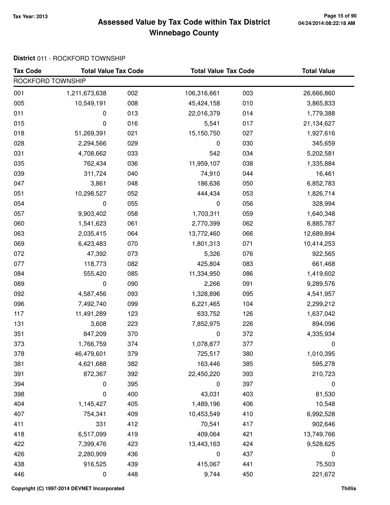## **Tax Year: 2013 Page 15 of 90 Assessed Value by Tax Code within Tax District Winnebago County**

### **District** 011 - ROCKFORD TOWNSHIP

| <b>Tax Code</b>   | <b>Total Value Tax Code</b> |     | <b>Total Value Tax Code</b> |     | <b>Total Value</b> |  |  |  |
|-------------------|-----------------------------|-----|-----------------------------|-----|--------------------|--|--|--|
| ROCKFORD TOWNSHIP |                             |     |                             |     |                    |  |  |  |
| 001               | 1,211,673,638               | 002 | 106,316,661                 | 003 | 26,666,860         |  |  |  |
| 005               | 10,549,191                  | 008 | 45,424,158                  | 010 | 3,865,833          |  |  |  |
| 011               | 0                           | 013 | 22,016,379                  | 014 | 1,779,388          |  |  |  |
| 015               | 0                           | 016 | 5,541                       | 017 | 21,134,627         |  |  |  |
| 018               | 51,269,391                  | 021 | 15,150,750                  | 027 | 1,927,616          |  |  |  |
| 028               | 2,294,566                   | 029 | 0                           | 030 | 345,659            |  |  |  |
| 031               | 4,708,662                   | 033 | 542                         | 034 | 5,202,581          |  |  |  |
| 035               | 762,434                     | 036 | 11,959,107                  | 038 | 1,335,884          |  |  |  |
| 039               | 311,724                     | 040 | 74,910                      | 044 | 16,461             |  |  |  |
| 047               | 3,861                       | 048 | 186,636                     | 050 | 6,852,783          |  |  |  |
| 051               | 10,298,527                  | 052 | 444,434                     | 053 | 1,826,714          |  |  |  |
| 054               | 0                           | 055 | 0                           | 056 | 328,994            |  |  |  |
| 057               | 9,903,402                   | 058 | 1,703,311                   | 059 | 1,640,348          |  |  |  |
| 060               | 1,541,623                   | 061 | 2,770,399                   | 062 | 6,885,787          |  |  |  |
| 063               | 2,035,415                   | 064 | 13,772,460                  | 066 | 12,689,894         |  |  |  |
| 069               | 6,423,483                   | 070 | 1,801,313                   | 071 | 10,414,253         |  |  |  |
| 072               | 47,392                      | 073 | 5,326                       | 076 | 922,565            |  |  |  |
| 077               | 118,773                     | 082 | 425,804                     | 083 | 661,468            |  |  |  |
| 084               | 555,420                     | 085 | 11,334,950                  | 086 | 1,419,602          |  |  |  |
| 089               | 0                           | 090 | 2,266                       | 091 | 9,289,576          |  |  |  |
| 092               | 4,587,456                   | 093 | 1,328,896                   | 095 | 4,541,957          |  |  |  |
| 096               | 7,492,740                   | 099 | 6,221,465                   | 104 | 2,299,212          |  |  |  |
| 117               | 11,491,289                  | 123 | 633,752                     | 126 | 1,637,042          |  |  |  |
| 131               | 3,608                       | 223 | 7,852,975                   | 226 | 894,096            |  |  |  |
| 351               | 847,209                     | 370 | 0                           | 372 | 4,335,934          |  |  |  |
| 373               | 1,766,759                   | 374 | 1,078,877                   | 377 | 0                  |  |  |  |
| 378               | 46,479,601                  | 379 | 725,517                     | 380 | 1,010,395          |  |  |  |
| 381               | 4,621,688                   | 382 | 163,446                     | 385 | 595,278            |  |  |  |
| 391               | 872,367                     | 392 | 22,450,220                  | 393 | 210,723            |  |  |  |
| 394               | 0                           | 395 | 0                           | 397 | 0                  |  |  |  |
| 398               | 0                           | 400 | 43,031                      | 403 | 81,530             |  |  |  |
| 404               | 1,145,427                   | 405 | 1,489,196                   | 406 | 10,548             |  |  |  |
| 407               | 754,341                     | 409 | 10,453,549                  | 410 | 6,992,528          |  |  |  |
| 411               | 331                         | 412 | 70,541                      | 417 | 902,646            |  |  |  |
| 418               | 6,517,099                   | 419 | 409,064                     | 421 | 13,749,766         |  |  |  |
| 422               | 7,399,476                   | 423 | 13,443,163                  | 424 | 9,528,625          |  |  |  |
| 426               | 2,280,909                   | 436 | $\pmb{0}$                   | 437 | $\boldsymbol{0}$   |  |  |  |
| 438               | 916,525                     | 439 | 415,067                     | 441 | 75,503             |  |  |  |
| 446               | 0                           | 448 | 9,744                       | 450 | 221,672            |  |  |  |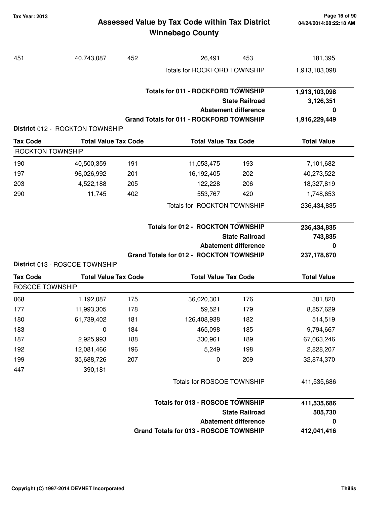## **Tax Year: 2013 Page 16 of 90 Assessed Value by Tax Code within Tax District Winnebago County**

| 451                             | 40,743,087                  | 452        | 26,491                                          | 453                                                  | 181,395                 |  |
|---------------------------------|-----------------------------|------------|-------------------------------------------------|------------------------------------------------------|-------------------------|--|
|                                 |                             |            | Totals for ROCKFORD TOWNSHIP                    |                                                      | 1,913,103,098           |  |
|                                 |                             |            |                                                 |                                                      |                         |  |
|                                 |                             |            | <b>Totals for 011 - ROCKFORD TOWNSHIP</b>       |                                                      | 1,913,103,098           |  |
|                                 |                             |            |                                                 | <b>State Railroad</b>                                | 3,126,351               |  |
|                                 |                             |            |                                                 | <b>Abatement difference</b>                          | 0                       |  |
| District 012 - ROCKTON TOWNSHIP |                             |            | <b>Grand Totals for 011 - ROCKFORD TOWNSHIP</b> |                                                      | 1,916,229,449           |  |
| <b>Tax Code</b>                 | <b>Total Value Tax Code</b> |            | <b>Total Value Tax Code</b>                     |                                                      | <b>Total Value</b>      |  |
| <b>ROCKTON TOWNSHIP</b>         |                             |            |                                                 |                                                      |                         |  |
|                                 |                             |            |                                                 |                                                      |                         |  |
| 190<br>197                      | 40,500,359                  | 191        | 11,053,475                                      | 193                                                  | 7,101,682               |  |
| 203                             | 96,026,992                  | 201        | 16,192,405                                      | 202<br>206                                           | 40,273,522              |  |
| 290                             | 4,522,188<br>11,745         | 205<br>402 | 122,228<br>553,767                              | 420                                                  | 18,327,819<br>1,748,653 |  |
|                                 |                             |            |                                                 |                                                      |                         |  |
|                                 |                             |            | Totals for ROCKTON TOWNSHIP                     |                                                      | 236,434,835             |  |
|                                 |                             |            |                                                 |                                                      |                         |  |
|                                 |                             |            | <b>Totals for 012 - ROCKTON TOWNSHIP</b>        |                                                      | 236,434,835             |  |
|                                 |                             |            |                                                 | <b>State Railroad</b><br><b>Abatement difference</b> | 743,835<br>0            |  |
|                                 |                             |            | <b>Grand Totals for 012 - ROCKTON TOWNSHIP</b>  |                                                      | 237,178,670             |  |
| District 013 - ROSCOE TOWNSHIP  |                             |            |                                                 |                                                      |                         |  |
| <b>Tax Code</b>                 | <b>Total Value Tax Code</b> |            | <b>Total Value Tax Code</b>                     |                                                      | <b>Total Value</b>      |  |
| <b>ROSCOE TOWNSHIP</b>          |                             |            |                                                 |                                                      |                         |  |
|                                 |                             |            |                                                 |                                                      |                         |  |
| 068                             | 1,192,087                   | 175        | 36,020,301                                      | 176                                                  | 301,820                 |  |
| 177                             | 11,993,305                  | 178        | 59,521                                          | 179                                                  | 8,857,629               |  |
| 180                             | 61,739,402                  | 181        | 126,408,938                                     | 182                                                  | 514,519                 |  |
| 183                             | 0                           | 184        | 465,098                                         | 185                                                  | 9,794,667               |  |
| 187                             | 2,925,993                   | 188        | 330,961                                         | 189                                                  | 67,063,246              |  |
| 192                             | 12,081,466                  | 196        | 5,249                                           | 198                                                  | 2,828,207               |  |
| 199                             | 35,688,726                  | 207        | 0                                               | 209                                                  | 32,874,370              |  |
| 447                             | 390,181                     |            |                                                 |                                                      |                         |  |

| 411.535.686 | <b>Totals for 013 - ROSCOE TOWNSHIP</b> |
|-------------|-----------------------------------------|
| 505.730     | <b>State Railroad</b>                   |
| 0           | Abatement difference                    |
| 412,041,416 | Grand Totals for 013 - ROSCOE TOWNSHIP  |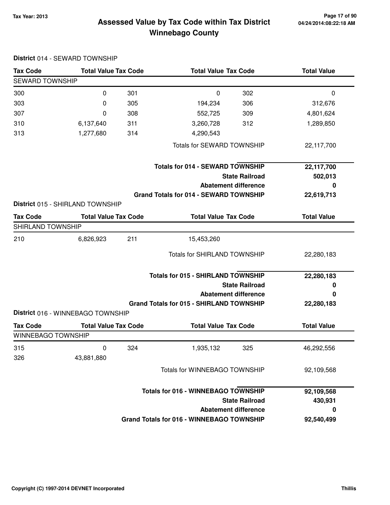**District** 014 - SEWARD TOWNSHIP

## **Tax Year: 2013 Page 17 of 90 Assessed Value by Tax Code within Tax District Winnebago County**

| <b>Tax Code</b>        | <b>Total Value Tax Code</b>       |     | <b>Total Value Tax Code</b>                      |                             | <b>Total Value</b> |  |  |
|------------------------|-----------------------------------|-----|--------------------------------------------------|-----------------------------|--------------------|--|--|
| <b>SEWARD TOWNSHIP</b> |                                   |     |                                                  |                             |                    |  |  |
| 300                    | 0                                 | 301 | 0                                                | 302                         | 0                  |  |  |
| 303                    | 0                                 | 305 | 194,234                                          | 306                         | 312,676            |  |  |
| 307                    | 0                                 | 308 | 552,725                                          | 309                         | 4,801,624          |  |  |
| 310                    | 6,137,640                         | 311 | 3,260,728                                        | 312                         | 1,289,850          |  |  |
| 313                    | 1,277,680                         | 314 | 4,290,543                                        |                             |                    |  |  |
|                        |                                   |     | <b>Totals for SEWARD TOWNSHIP</b>                |                             | 22,117,700         |  |  |
|                        |                                   |     | <b>Totals for 014 - SEWARD TOWNSHIP</b>          |                             | 22,117,700         |  |  |
|                        |                                   |     |                                                  | <b>State Railroad</b>       | 502,013            |  |  |
|                        |                                   |     |                                                  | <b>Abatement difference</b> | 0                  |  |  |
|                        |                                   |     | <b>Grand Totals for 014 - SEWARD TOWNSHIP</b>    |                             | 22,619,713         |  |  |
|                        | District 015 - SHIRLAND TOWNSHIP  |     |                                                  |                             |                    |  |  |
| <b>Tax Code</b>        | <b>Total Value Tax Code</b>       |     | <b>Total Value Tax Code</b>                      |                             | <b>Total Value</b> |  |  |
| SHIRLAND TOWNSHIP      |                                   |     |                                                  |                             |                    |  |  |
| 210                    | 6,826,923                         | 211 | 15,453,260                                       |                             |                    |  |  |
|                        |                                   |     | <b>Totals for SHIRLAND TOWNSHIP</b>              |                             | 22,280,183         |  |  |
|                        |                                   |     | <b>Totals for 015 - SHIRLAND TOWNSHIP</b>        |                             | 22,280,183         |  |  |
|                        |                                   |     |                                                  | <b>State Railroad</b>       | 0                  |  |  |
|                        |                                   |     |                                                  | <b>Abatement difference</b> | 0                  |  |  |
|                        |                                   |     | <b>Grand Totals for 015 - SHIRLAND TOWNSHIP</b>  |                             | 22,280,183         |  |  |
|                        | District 016 - WINNEBAGO TOWNSHIP |     |                                                  |                             |                    |  |  |
| <b>Tax Code</b>        | <b>Total Value Tax Code</b>       |     | <b>Total Value Tax Code</b>                      |                             | <b>Total Value</b> |  |  |
| WINNEBAGO TOWNSHIP     |                                   |     |                                                  |                             |                    |  |  |
| 315                    | 0                                 | 324 | 1,935,132                                        | 325                         | 46,292,556         |  |  |
| 326                    | 43,881,880                        |     |                                                  |                             |                    |  |  |
|                        |                                   |     | Totals for WINNEBAGO TOWNSHIP                    |                             | 92,109,568         |  |  |
|                        |                                   |     | <b>Totals for 016 - WINNEBAGO TOWNSHIP</b>       |                             | 92,109,568         |  |  |
|                        |                                   |     |                                                  | <b>State Railroad</b>       | 430,931            |  |  |
|                        |                                   |     |                                                  | <b>Abatement difference</b> | 0                  |  |  |
|                        |                                   |     | <b>Grand Totals for 016 - WINNEBAGO TOWNSHIP</b> |                             | 92,540,499         |  |  |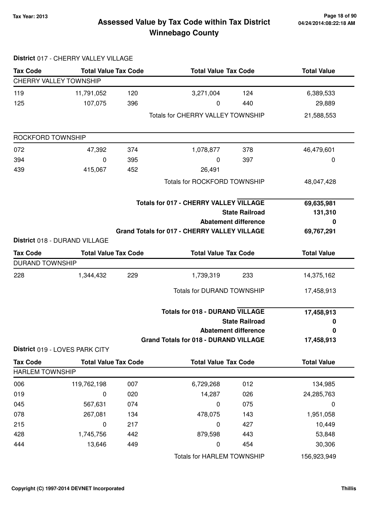## **Tax Year: 2013 Page 18 of 90 Assessed Value by Tax Code within Tax District Winnebago County**

|                               | District 017 - CHERRY VALLEY VILLAGE |     |                                                                 |                                                      |                            |
|-------------------------------|--------------------------------------|-----|-----------------------------------------------------------------|------------------------------------------------------|----------------------------|
| <b>Tax Code</b>               | <b>Total Value Tax Code</b>          |     | <b>Total Value Tax Code</b>                                     |                                                      | <b>Total Value</b>         |
| <b>CHERRY VALLEY TOWNSHIP</b> |                                      |     |                                                                 |                                                      |                            |
| 119                           | 11,791,052                           | 120 | 3,271,004                                                       | 124                                                  | 6,389,533                  |
| 125                           | 107,075                              | 396 | 0                                                               | 440                                                  | 29,889                     |
|                               |                                      |     | <b>Totals for CHERRY VALLEY TOWNSHIP</b>                        |                                                      | 21,588,553                 |
| ROCKFORD TOWNSHIP             |                                      |     |                                                                 |                                                      |                            |
| 072                           | 47,392                               | 374 | 1,078,877                                                       | 378                                                  | 46,479,601                 |
| 394                           | 0                                    | 395 | 0                                                               | 397                                                  | 0                          |
| 439                           | 415,067                              | 452 | 26,491                                                          |                                                      |                            |
|                               |                                      |     | <b>Totals for ROCKFORD TOWNSHIP</b>                             |                                                      | 48,047,428                 |
|                               |                                      |     | <b>Totals for 017 - CHERRY VALLEY VILLAGE</b>                   | <b>State Railroad</b><br><b>Abatement difference</b> | 69,635,981<br>131,310<br>0 |
|                               | District 018 - DURAND VILLAGE        |     | <b>Grand Totals for 017 - CHERRY VALLEY VILLAGE</b>             |                                                      | 69,767,291                 |
| <b>Tax Code</b>               | <b>Total Value Tax Code</b>          |     | <b>Total Value Tax Code</b>                                     |                                                      | <b>Total Value</b>         |
| <b>DURAND TOWNSHIP</b>        |                                      |     |                                                                 |                                                      |                            |
| 228                           | 1,344,432                            | 229 | 1,739,319                                                       | 233                                                  | 14,375,162                 |
|                               |                                      |     | <b>Totals for DURAND TOWNSHIP</b>                               |                                                      | 17,458,913                 |
|                               |                                      |     | <b>Totals for 018 - DURAND VILLAGE</b><br><b>State Railroad</b> |                                                      | 17,458,913<br>0            |
|                               |                                      |     |                                                                 | <b>Abatement difference</b>                          | 0                          |
|                               |                                      |     | <b>Grand Totals for 018 - DURAND VILLAGE</b>                    |                                                      | 17,458,913                 |
|                               | District 019 - LOVES PARK CITY       |     |                                                                 |                                                      |                            |
| <b>Tax Code</b>               | <b>Total Value Tax Code</b>          |     | <b>Total Value Tax Code</b>                                     |                                                      | <b>Total Value</b>         |
| <b>HARLEM TOWNSHIP</b>        |                                      |     |                                                                 |                                                      |                            |
| 006                           | 119,762,198                          | 007 | 6,729,268                                                       | 012                                                  | 134,985                    |
| 019                           | 0                                    | 020 | 14,287                                                          | 026                                                  | 24,285,763                 |
| 045                           | 567,631                              | 074 | $\mathbf 0$                                                     | 075                                                  | $\mathbf 0$                |
| 078                           | 267,081                              | 134 | 478,075                                                         | 143                                                  | 1,951,058                  |
| 215                           | 0                                    | 217 | 0                                                               | 427                                                  | 10,449                     |
| 428                           | 1,745,756                            | 442 | 879,598                                                         | 443                                                  | 53,848                     |

444 13,646 449 0 454 30,306

Totals for HARLEM TOWNSHIP 156,923,949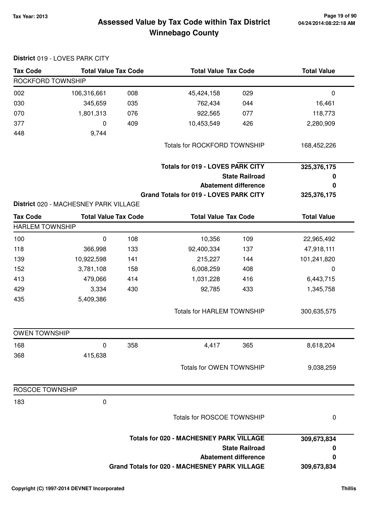## **Tax Year: 2013 Page 19 of 90 Assessed Value by Tax Code within Tax District**

# **Winnebago County**

|                        | District 019 - LOVES PARK CITY        |     |                                                      |                             |                    |
|------------------------|---------------------------------------|-----|------------------------------------------------------|-----------------------------|--------------------|
| <b>Tax Code</b>        | <b>Total Value Tax Code</b>           |     | <b>Total Value Tax Code</b>                          |                             | <b>Total Value</b> |
| ROCKFORD TOWNSHIP      |                                       |     |                                                      |                             |                    |
| 002                    | 106,316,661                           | 008 | 45,424,158                                           | 029                         | $\boldsymbol{0}$   |
| 030                    | 345,659                               | 035 | 762,434                                              | 044                         | 16,461             |
| 070                    | 1,801,313                             | 076 | 922,565                                              | 077                         | 118,773            |
| 377                    | 0                                     | 409 | 10,453,549                                           | 426                         | 2,280,909          |
| 448                    | 9,744                                 |     |                                                      |                             |                    |
|                        |                                       |     | <b>Totals for ROCKFORD TOWNSHIP</b>                  |                             | 168,452,226        |
|                        |                                       |     | <b>Totals for 019 - LOVES PARK CITY</b>              |                             | 325,376,175        |
|                        |                                       |     |                                                      | <b>State Railroad</b>       | 0                  |
|                        |                                       |     |                                                      | <b>Abatement difference</b> | 0                  |
|                        |                                       |     | Grand Totals for 019 - LOVES PARK CITY               |                             | 325,376,175        |
|                        | District 020 - MACHESNEY PARK VILLAGE |     |                                                      |                             |                    |
| <b>Tax Code</b>        | <b>Total Value Tax Code</b>           |     | <b>Total Value Tax Code</b>                          |                             | <b>Total Value</b> |
| <b>HARLEM TOWNSHIP</b> |                                       |     |                                                      |                             |                    |
| 100                    | 0                                     | 108 | 10,356                                               | 109                         | 22,965,492         |
| 118                    | 366,998                               | 133 | 92,400,334                                           | 137                         | 47,918,111         |
| 139                    | 10,922,598                            | 141 | 215,227                                              | 144                         | 101,241,820        |
| 152                    | 3,781,108                             | 158 | 6,008,259                                            | 408                         | $\mathbf 0$        |
| 413                    | 479,066                               | 414 | 1,031,228                                            | 416                         | 6,443,715          |
| 429                    | 3,334                                 | 430 | 92,785                                               | 433                         | 1,345,758          |
| 435                    | 5,409,386                             |     |                                                      |                             |                    |
|                        |                                       |     | <b>Totals for HARLEM TOWNSHIP</b>                    |                             | 300,635,575        |
| <b>OWEN TOWNSHIP</b>   |                                       |     |                                                      |                             |                    |
| 168                    | 0                                     | 358 | 4,417                                                | 365                         | 8,618,204          |
| 368                    | 415,638                               |     |                                                      |                             |                    |
|                        |                                       |     | Totals for OWEN TOWNSHIP                             |                             | 9,038,259          |
| <b>ROSCOE TOWNSHIP</b> |                                       |     |                                                      |                             |                    |
| 183                    | $\pmb{0}$                             |     |                                                      |                             |                    |
|                        |                                       |     | Totals for ROSCOE TOWNSHIP                           |                             | 0                  |
|                        |                                       |     | <b>Totals for 020 - MACHESNEY PARK VILLAGE</b>       |                             | 309,673,834        |
|                        |                                       |     |                                                      | <b>State Railroad</b>       | 0                  |
|                        |                                       |     |                                                      | <b>Abatement difference</b> | 0                  |
|                        |                                       |     | <b>Grand Totals for 020 - MACHESNEY PARK VILLAGE</b> |                             | 309,673,834        |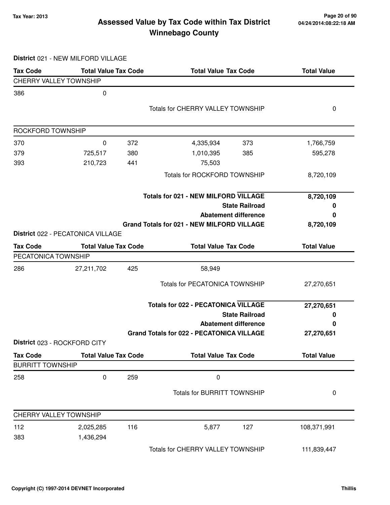## **Tax Year: 2013 Page 20 of 90 Assessed Value by Tax Code within Tax District Winnebago County**

**District** 021 - NEW MILFORD VILLAGE

| <b>Tax Code</b>               | <b>Total Value Tax Code</b>       |     | <b>Total Value Tax Code</b>                       | <b>Total Value</b> |
|-------------------------------|-----------------------------------|-----|---------------------------------------------------|--------------------|
| <b>CHERRY VALLEY TOWNSHIP</b> |                                   |     |                                                   |                    |
| 386                           | $\mathbf 0$                       |     |                                                   |                    |
|                               |                                   |     | <b>Totals for CHERRY VALLEY TOWNSHIP</b>          | 0                  |
|                               |                                   |     |                                                   |                    |
| ROCKFORD TOWNSHIP             |                                   |     |                                                   |                    |
| 370                           | 0                                 | 372 | 4,335,934<br>373                                  | 1,766,759          |
| 379                           | 725,517                           | 380 | 1,010,395<br>385                                  | 595,278            |
| 393                           | 210,723                           | 441 | 75,503                                            |                    |
|                               |                                   |     | <b>Totals for ROCKFORD TOWNSHIP</b>               | 8,720,109          |
|                               |                                   |     | <b>Totals for 021 - NEW MILFORD VILLAGE</b>       | 8,720,109          |
|                               |                                   |     | <b>State Railroad</b>                             | 0                  |
|                               |                                   |     | <b>Abatement difference</b>                       | 0                  |
|                               |                                   |     | <b>Grand Totals for 021 - NEW MILFORD VILLAGE</b> | 8,720,109          |
|                               | District 022 - PECATONICA VILLAGE |     |                                                   |                    |
| <b>Tax Code</b>               | <b>Total Value Tax Code</b>       |     | <b>Total Value Tax Code</b>                       | <b>Total Value</b> |
| PECATONICA TOWNSHIP           |                                   |     |                                                   |                    |
| 286                           | 27,211,702                        | 425 | 58,949                                            |                    |
|                               |                                   |     | <b>Totals for PECATONICA TOWNSHIP</b>             | 27,270,651         |
|                               |                                   |     | <b>Totals for 022 - PECATONICA VILLAGE</b>        | 27,270,651         |
|                               |                                   |     | <b>State Railroad</b>                             | 0                  |
|                               |                                   |     | <b>Abatement difference</b>                       | 0                  |
|                               |                                   |     | <b>Grand Totals for 022 - PECATONICA VILLAGE</b>  | 27,270,651         |
|                               | District 023 - ROCKFORD CITY      |     |                                                   |                    |
| <b>Tax Code</b>               | <b>Total Value Tax Code</b>       |     | <b>Total Value Tax Code</b>                       | <b>Total Value</b> |
| <b>BURRITT TOWNSHIP</b>       |                                   |     |                                                   |                    |
| 258                           | $\pmb{0}$                         | 259 | $\pmb{0}$                                         |                    |
|                               |                                   |     | <b>Totals for BURRITT TOWNSHIP</b>                | 0                  |
| <b>CHERRY VALLEY TOWNSHIP</b> |                                   |     |                                                   |                    |
| 112                           | 2,025,285                         | 116 | 5,877<br>127                                      | 108,371,991        |
| 383                           | 1,436,294                         |     |                                                   |                    |
|                               |                                   |     | Totals for CHERRY VALLEY TOWNSHIP                 | 111,839,447        |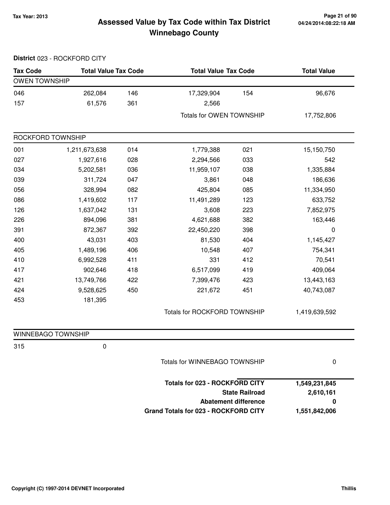## **Tax Year: 2013 Page 21 of 90 Assessed Value by Tax Code within Tax District Winnebago County**

|                      | District 023 - ROCKFORD CITY |     |                                      |                             |                    |
|----------------------|------------------------------|-----|--------------------------------------|-----------------------------|--------------------|
| <b>Tax Code</b>      | <b>Total Value Tax Code</b>  |     | <b>Total Value Tax Code</b>          |                             | <b>Total Value</b> |
| <b>OWEN TOWNSHIP</b> |                              |     |                                      |                             |                    |
| 046                  | 262,084                      | 146 | 17,329,904                           | 154                         | 96,676             |
| 157                  | 61,576                       | 361 | 2,566                                |                             |                    |
|                      |                              |     | Totals for OWEN TOWNSHIP             |                             | 17,752,806         |
| ROCKFORD TOWNSHIP    |                              |     |                                      |                             |                    |
| 001                  | 1,211,673,638                | 014 | 1,779,388                            | 021                         | 15,150,750         |
| 027                  | 1,927,616                    | 028 | 2,294,566                            | 033                         | 542                |
| 034                  | 5,202,581                    | 036 | 11,959,107                           | 038                         | 1,335,884          |
| 039                  | 311,724                      | 047 | 3,861                                | 048                         | 186,636            |
| 056                  | 328,994                      | 082 | 425,804                              | 085                         | 11,334,950         |
| 086                  | 1,419,602                    | 117 | 11,491,289                           | 123                         | 633,752            |
| 126                  | 1,637,042                    | 131 | 3,608                                | 223                         | 7,852,975          |
| 226                  | 894,096                      | 381 | 4,621,688                            | 382                         | 163,446            |
| 391                  | 872,367                      | 392 | 22,450,220                           | 398                         | $\mathbf 0$        |
| 400                  | 43,031                       | 403 | 81,530                               | 404                         | 1,145,427          |
| 405                  | 1,489,196                    | 406 | 10,548                               | 407                         | 754,341            |
| 410                  | 6,992,528                    | 411 | 331                                  | 412                         | 70,541             |
| 417                  | 902,646                      | 418 | 6,517,099                            | 419                         | 409,064            |
| 421                  | 13,749,766                   | 422 | 7,399,476                            | 423                         | 13,443,163         |
| 424                  | 9,528,625                    | 450 | 221,672                              | 451                         | 40,743,087         |
| 453                  | 181,395                      |     |                                      |                             |                    |
|                      |                              |     | Totals for ROCKFORD TOWNSHIP         |                             | 1,419,639,592      |
| WINNEBAGO TOWNSHIP   |                              |     |                                      |                             |                    |
| 315                  | 0                            |     |                                      |                             |                    |
|                      |                              |     | Totals for WINNEBAGO TOWNSHIP        |                             | 0                  |
|                      |                              |     | Totals for 023 - ROCKFORD CITY       |                             | 1,549,231,845      |
|                      |                              |     |                                      | <b>State Railroad</b>       | 2,610,161          |
|                      |                              |     |                                      | <b>Abatement difference</b> | 0                  |
|                      |                              |     | Grand Totals for 023 - ROCKFORD CITY |                             | 1,551,842,006      |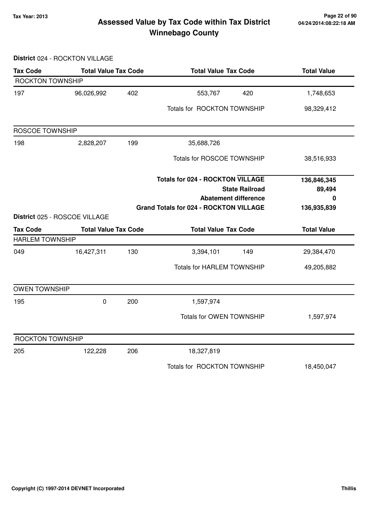## **Tax Year: 2013 Page 22 of 90 Assessed Value by Tax Code within Tax District Winnebago County**

**District** 024 - ROCKTON VILLAGE

| <b>Tax Code</b>        | <b>Total Value Tax Code</b>   |     | <b>Total Value Tax Code</b>                                                              |                                                      | <b>Total Value</b>         |
|------------------------|-------------------------------|-----|------------------------------------------------------------------------------------------|------------------------------------------------------|----------------------------|
| ROCKTON TOWNSHIP       |                               |     |                                                                                          |                                                      |                            |
| 197                    | 96,026,992                    | 402 | 553,767                                                                                  | 420                                                  | 1,748,653                  |
|                        |                               |     | Totals for ROCKTON TOWNSHIP                                                              |                                                      | 98,329,412                 |
| <b>ROSCOE TOWNSHIP</b> |                               |     |                                                                                          |                                                      |                            |
| 198                    | 2,828,207                     | 199 | 35,688,726                                                                               |                                                      |                            |
|                        |                               |     | Totals for ROSCOE TOWNSHIP                                                               |                                                      | 38,516,933                 |
|                        |                               |     | <b>Totals for 024 - ROCKTON VILLAGE</b><br><b>Grand Totals for 024 - ROCKTON VILLAGE</b> | <b>State Railroad</b><br><b>Abatement difference</b> | 136,846,345<br>89,494<br>0 |
|                        | District 025 - ROSCOE VILLAGE |     |                                                                                          |                                                      | 136,935,839                |
| <b>Tax Code</b>        | <b>Total Value Tax Code</b>   |     | <b>Total Value Tax Code</b>                                                              |                                                      | <b>Total Value</b>         |
| <b>HARLEM TOWNSHIP</b> |                               |     |                                                                                          |                                                      |                            |
| 049                    | 16,427,311                    | 130 | 3,394,101                                                                                | 149                                                  | 29,384,470                 |
|                        |                               |     | <b>Totals for HARLEM TOWNSHIP</b>                                                        |                                                      | 49,205,882                 |
| <b>OWEN TOWNSHIP</b>   |                               |     |                                                                                          |                                                      |                            |
| 195                    | $\pmb{0}$                     | 200 | 1,597,974                                                                                |                                                      |                            |
|                        |                               |     | <b>Totals for OWEN TOWNSHIP</b>                                                          |                                                      | 1,597,974                  |
| ROCKTON TOWNSHIP       |                               |     |                                                                                          |                                                      |                            |
| 205                    | 122,228                       | 206 | 18,327,819                                                                               |                                                      |                            |
|                        |                               |     | Totals for ROCKTON TOWNSHIP                                                              |                                                      | 18,450,047                 |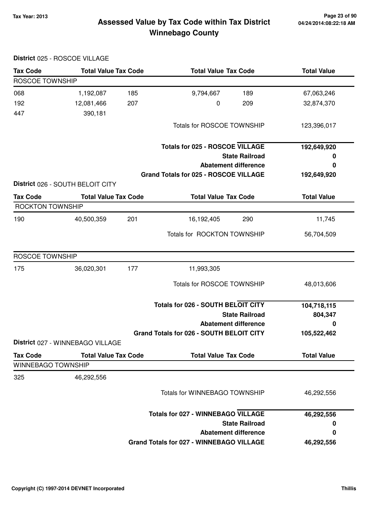## **04/24/2014:08:22:18 AM**

## **Tax Year: 2013 Page 23 of 90 Assessed Value by Tax Code within Tax District Winnebago County**

|                                              | District 025 - ROSCOE VILLAGE                                   |     |                                                 |                    |
|----------------------------------------------|-----------------------------------------------------------------|-----|-------------------------------------------------|--------------------|
| <b>Tax Code</b>                              | <b>Total Value Tax Code</b>                                     |     | <b>Total Value Tax Code</b>                     | <b>Total Value</b> |
| <b>ROSCOE TOWNSHIP</b>                       |                                                                 |     |                                                 |                    |
| 068                                          | 1,192,087                                                       | 185 | 189<br>9,794,667                                | 67,063,246         |
| 192                                          | 12,081,466                                                      | 207 | 0<br>209                                        | 32,874,370         |
| 447                                          | 390,181                                                         |     |                                                 |                    |
|                                              |                                                                 |     | <b>Totals for ROSCOE TOWNSHIP</b>               | 123,396,017        |
|                                              |                                                                 |     | <b>Totals for 025 - ROSCOE VILLAGE</b>          | 192,649,920        |
|                                              |                                                                 |     | <b>State Railroad</b>                           | 0                  |
|                                              |                                                                 |     | <b>Abatement difference</b>                     | 0                  |
|                                              |                                                                 |     | Grand Totals for 025 - ROSCOE VILLAGE           | 192,649,920        |
| <b>Tax Code</b>                              | District 026 - SOUTH BELOIT CITY<br><b>Total Value Tax Code</b> |     | <b>Total Value Tax Code</b>                     | <b>Total Value</b> |
| ROCKTON TOWNSHIP                             |                                                                 |     |                                                 |                    |
| 190                                          | 40,500,359                                                      | 201 | 290<br>16,192,405                               | 11,745             |
|                                              |                                                                 |     | Totals for ROCKTON TOWNSHIP                     | 56,704,509         |
| <b>ROSCOE TOWNSHIP</b>                       |                                                                 |     |                                                 |                    |
| 175                                          | 36,020,301                                                      | 177 | 11,993,305                                      |                    |
|                                              |                                                                 |     | Totals for ROSCOE TOWNSHIP                      | 48,013,606         |
|                                              |                                                                 |     | Totals for 026 - SOUTH BELOIT CITY              | 104,718,115        |
|                                              |                                                                 |     | <b>State Railroad</b>                           | 804,347            |
|                                              |                                                                 |     | <b>Abatement difference</b>                     | 0                  |
|                                              | District 027 - WINNEBAGO VILLAGE                                |     | Grand Totals for 026 - SOUTH BELOIT CITY        | 105,522,462        |
|                                              |                                                                 |     |                                                 |                    |
| <b>Tax Code</b><br><b>WINNEBAGO TOWNSHIP</b> | <b>Total Value Tax Code</b>                                     |     | <b>Total Value Tax Code</b>                     | <b>Total Value</b> |
|                                              |                                                                 |     |                                                 |                    |
| 325                                          | 46,292,556                                                      |     |                                                 |                    |
|                                              |                                                                 |     | Totals for WINNEBAGO TOWNSHIP                   | 46,292,556         |
|                                              |                                                                 |     | <b>Totals for 027 - WINNEBAGO VILLAGE</b>       | 46,292,556         |
|                                              |                                                                 |     | <b>State Railroad</b>                           | 0                  |
|                                              |                                                                 |     | <b>Abatement difference</b>                     | 0                  |
|                                              |                                                                 |     | <b>Grand Totals for 027 - WINNEBAGO VILLAGE</b> | 46,292,556         |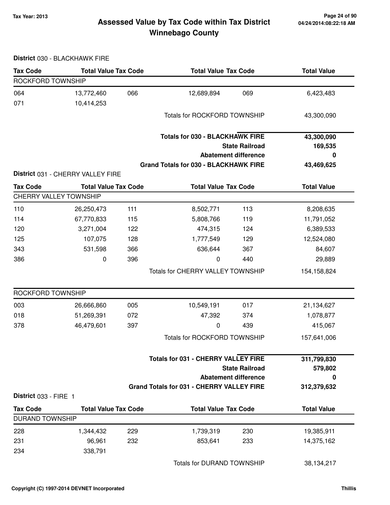## **Tax Year: 2013 Page 24 of 90 Assessed Value by Tax Code within Tax District Winnebago County**

|  | District 030 - BLACKHAWK FIRE |
|--|-------------------------------|
|--|-------------------------------|

| <b>Tax Code</b>        | <b>Total Value Tax Code</b>       |     | <b>Total Value Tax Code</b>                      |                             | <b>Total Value</b> |
|------------------------|-----------------------------------|-----|--------------------------------------------------|-----------------------------|--------------------|
| ROCKFORD TOWNSHIP      |                                   |     |                                                  |                             |                    |
| 064                    | 13,772,460                        | 066 | 12,689,894                                       | 069                         | 6,423,483          |
| 071                    | 10,414,253                        |     |                                                  |                             |                    |
|                        |                                   |     | <b>Totals for ROCKFORD TOWNSHIP</b>              |                             | 43,300,090         |
|                        |                                   |     |                                                  |                             |                    |
|                        |                                   |     | <b>Totals for 030 - BLACKHAWK FIRE</b>           |                             | 43,300,090         |
|                        |                                   |     |                                                  | <b>State Railroad</b>       | 169,535            |
|                        |                                   |     |                                                  | <b>Abatement difference</b> | 0                  |
|                        |                                   |     | <b>Grand Totals for 030 - BLACKHAWK FIRE</b>     |                             | 43,469,625         |
|                        | District 031 - CHERRY VALLEY FIRE |     |                                                  |                             |                    |
| <b>Tax Code</b>        | <b>Total Value Tax Code</b>       |     | <b>Total Value Tax Code</b>                      |                             | <b>Total Value</b> |
|                        | <b>CHERRY VALLEY TOWNSHIP</b>     |     |                                                  |                             |                    |
| 110                    | 26,250,473                        | 111 | 8,502,771                                        | 113                         | 8,208,635          |
| 114                    | 67,770,833                        | 115 | 5,808,766                                        | 119                         | 11,791,052         |
| 120                    | 3,271,004                         | 122 | 474,315                                          | 124                         | 6,389,533          |
| 125                    | 107,075                           | 128 | 1,777,549                                        | 129                         | 12,524,080         |
| 343                    | 531,598                           | 366 | 636,644                                          | 367                         | 84,607             |
| 386                    | 0                                 | 396 | 0                                                | 440                         | 29,889             |
|                        |                                   |     | Totals for CHERRY VALLEY TOWNSHIP                |                             | 154,158,824        |
| ROCKFORD TOWNSHIP      |                                   |     |                                                  |                             |                    |
| 003                    | 26,666,860                        | 005 | 10,549,191                                       | 017                         | 21,134,627         |
| 018                    | 51,269,391                        | 072 | 47,392                                           | 374                         | 1,078,877          |
| 378                    | 46,479,601                        | 397 | 0                                                | 439                         | 415,067            |
|                        |                                   |     | <b>Totals for ROCKFORD TOWNSHIP</b>              |                             | 157,641,006        |
|                        |                                   |     | <b>Totals for 031 - CHERRY VALLEY FIRE</b>       |                             | 311,799,830        |
|                        |                                   |     |                                                  | <b>State Railroad</b>       | 579,802            |
|                        |                                   |     |                                                  | <b>Abatement difference</b> | 0                  |
|                        |                                   |     | <b>Grand Totals for 031 - CHERRY VALLEY FIRE</b> |                             | 312,379,632        |
| District 033 - FIRE 1  |                                   |     |                                                  |                             |                    |
| <b>Tax Code</b>        | <b>Total Value Tax Code</b>       |     | <b>Total Value Tax Code</b>                      |                             | <b>Total Value</b> |
| <b>DURAND TOWNSHIP</b> |                                   |     |                                                  |                             |                    |
| 228                    | 1,344,432                         | 229 | 1,739,319                                        | 230                         | 19,385,911         |
| 231                    | 96,961                            | 232 | 853,641                                          | 233                         | 14,375,162         |
| 234                    | 338,791                           |     |                                                  |                             |                    |
|                        |                                   |     | Totals for DURAND TOWNSHIP                       |                             | 38,134,217         |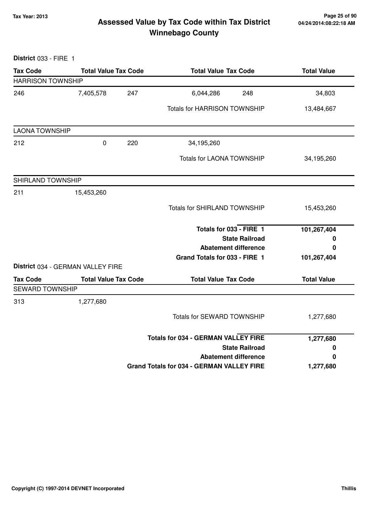## **Tax Year: 2013 Page 25 of 90 Assessed Value by Tax Code within Tax District Winnebago County**

| District 033 - FIRE 1    |                                   |                                                  |                    |
|--------------------------|-----------------------------------|--------------------------------------------------|--------------------|
| <b>Tax Code</b>          | <b>Total Value Tax Code</b>       | <b>Total Value Tax Code</b>                      | <b>Total Value</b> |
| <b>HARRISON TOWNSHIP</b> |                                   |                                                  |                    |
| 246                      | 7,405,578<br>247                  | 6,044,286<br>248                                 | 34,803             |
|                          |                                   | <b>Totals for HARRISON TOWNSHIP</b>              | 13,484,667         |
| <b>LAONA TOWNSHIP</b>    |                                   |                                                  |                    |
| 212                      | $\pmb{0}$<br>220                  | 34,195,260                                       |                    |
|                          |                                   | <b>Totals for LAONA TOWNSHIP</b>                 | 34,195,260         |
| SHIRLAND TOWNSHIP        |                                   |                                                  |                    |
| 211                      | 15,453,260                        |                                                  |                    |
|                          |                                   | <b>Totals for SHIRLAND TOWNSHIP</b>              | 15,453,260         |
|                          |                                   | Totals for 033 - FIRE 1                          | 101,267,404        |
|                          |                                   | <b>State Railroad</b>                            | 0                  |
|                          |                                   | <b>Abatement difference</b>                      | 0                  |
|                          | District 034 - GERMAN VALLEY FIRE | Grand Totals for 033 - FIRE 1                    | 101,267,404        |
| <b>Tax Code</b>          | <b>Total Value Tax Code</b>       | <b>Total Value Tax Code</b>                      | <b>Total Value</b> |
| <b>SEWARD TOWNSHIP</b>   |                                   |                                                  |                    |
| 313                      | 1,277,680                         |                                                  |                    |
|                          |                                   | Totals for SEWARD TOWNSHIP                       | 1,277,680          |
|                          |                                   | <b>Totals for 034 - GERMAN VALLEY FIRE</b>       | 1,277,680          |
|                          |                                   | <b>State Railroad</b>                            | 0                  |
|                          |                                   | <b>Abatement difference</b>                      | 0                  |
|                          |                                   | <b>Grand Totals for 034 - GERMAN VALLEY FIRE</b> | 1,277,680          |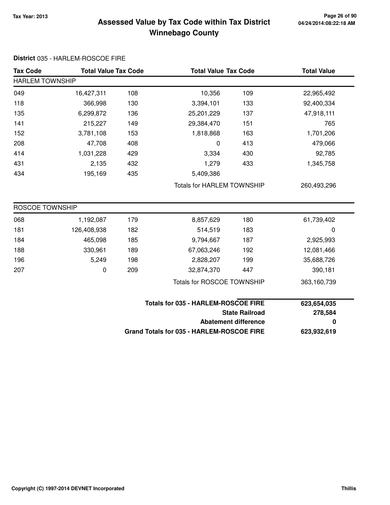**District** 035 - HARLEM-ROSCOE FIRE

## **Tax Year: 2013 Page 26 of 90 Assessed Value by Tax Code within Tax District Winnebago County**

| <b>Tax Code</b>             | <b>Total Value Tax Code</b> |     | <b>Total Value Tax Code</b>                |                                   | <b>Total Value</b> |  |
|-----------------------------|-----------------------------|-----|--------------------------------------------|-----------------------------------|--------------------|--|
| <b>HARLEM TOWNSHIP</b>      |                             |     |                                            |                                   |                    |  |
| 049                         | 16,427,311                  | 108 | 10,356                                     | 109                               | 22,965,492         |  |
| 118                         | 366,998                     | 130 | 3,394,101                                  | 133                               | 92,400,334         |  |
| 135                         | 6,299,872                   | 136 | 25,201,229                                 | 137                               | 47,918,111         |  |
| 141                         | 215,227                     | 149 | 29,384,470                                 | 151                               | 765                |  |
| 152                         | 3,781,108                   | 153 | 1,818,868                                  | 163                               | 1,701,206          |  |
| 208                         | 47,708                      | 408 | 0                                          | 413                               | 479,066            |  |
| 414                         | 1,031,228                   | 429 | 3,334                                      | 430                               | 92,785             |  |
| 431                         | 2,135                       | 432 | 1,279                                      | 433                               | 1,345,758          |  |
| 434                         | 195,169                     | 435 | 5,409,386                                  |                                   |                    |  |
|                             |                             |     |                                            | <b>Totals for HARLEM TOWNSHIP</b> |                    |  |
|                             |                             |     |                                            |                                   |                    |  |
| <b>ROSCOE TOWNSHIP</b>      |                             |     |                                            |                                   |                    |  |
| 068                         | 1,192,087                   | 179 | 8,857,629                                  | 180                               | 61,739,402         |  |
| 181                         | 126,408,938                 | 182 | 514,519                                    | 183                               | $\boldsymbol{0}$   |  |
| 184                         | 465,098                     | 185 | 9,794,667                                  | 187                               | 2,925,993          |  |
| 188                         | 330,961                     | 189 | 67,063,246                                 | 192                               | 12,081,466         |  |
| 196                         | 5,249                       | 198 | 2,828,207                                  | 199                               | 35,688,726         |  |
| 207                         | 0                           | 209 | 32,874,370                                 | 447                               | 390,181            |  |
|                             |                             |     | <b>Totals for ROSCOE TOWNSHIP</b>          |                                   | 363,160,739        |  |
|                             |                             |     | <b>Totals for 035 - HARLEM-ROSCOE FIRE</b> |                                   | 623,654,035        |  |
|                             |                             |     | <b>State Railroad</b>                      |                                   | 278,584            |  |
| <b>Abatement difference</b> |                             |     |                                            | 0                                 |                    |  |
|                             |                             |     | Grand Totals for 035 - HARLEM-ROSCOE FIRE  |                                   | 623,932,619        |  |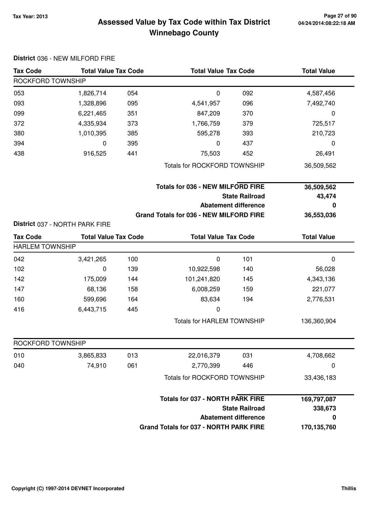## **Tax Year: 2013 Page 27 of 90 Assessed Value by Tax Code within Tax District Winnebago County**

|                        | District 036 - NEW MILFORD FIRE |     |                                                                   |                             |                    |
|------------------------|---------------------------------|-----|-------------------------------------------------------------------|-----------------------------|--------------------|
| <b>Tax Code</b>        | <b>Total Value Tax Code</b>     |     | <b>Total Value Tax Code</b>                                       |                             | <b>Total Value</b> |
| ROCKFORD TOWNSHIP      |                                 |     |                                                                   |                             |                    |
| 053                    | 1,826,714                       | 054 | $\mathbf 0$                                                       | 092                         | 4,587,456          |
| 093                    | 1,328,896                       | 095 | 4,541,957                                                         | 096                         | 7,492,740          |
| 099                    | 6,221,465                       | 351 | 847,209                                                           | 370                         | $\mathbf 0$        |
| 372                    | 4,335,934                       | 373 | 1,766,759                                                         | 379                         | 725,517            |
| 380                    | 1,010,395                       | 385 | 595,278                                                           | 393                         | 210,723            |
| 394                    | 0                               | 395 | 0                                                                 | 437                         | $\mathbf 0$        |
| 438                    | 916,525                         | 441 | 75,503                                                            | 452                         | 26,491             |
|                        |                                 |     | <b>Totals for ROCKFORD TOWNSHIP</b>                               |                             | 36,509,562         |
|                        |                                 |     | <b>Totals for 036 - NEW MILFORD FIRE</b><br><b>State Railroad</b> |                             | 36,509,562         |
|                        |                                 |     |                                                                   |                             | 43,474             |
|                        |                                 |     |                                                                   | <b>Abatement difference</b> | 0                  |
|                        | District 037 - NORTH PARK FIRE  |     | Grand Totals for 036 - NEW MILFORD FIRE                           |                             | 36,553,036         |
| <b>Tax Code</b>        | <b>Total Value Tax Code</b>     |     | <b>Total Value Tax Code</b>                                       |                             | <b>Total Value</b> |
| <b>HARLEM TOWNSHIP</b> |                                 |     |                                                                   |                             |                    |
| 042                    | 3,421,265                       | 100 | $\mathbf 0$                                                       | 101                         | 0                  |
| 102                    | 0                               | 139 | 10,922,598                                                        | 140                         | 56,028             |
| 142                    | 175,009                         | 144 | 101,241,820                                                       | 145                         | 4,343,136          |
| 147                    | 68,136                          | 158 | 6,008,259                                                         | 159                         | 221,077            |
| 160                    | 599,696                         | 164 | 83,634                                                            | 194                         | 2,776,531          |
| 416                    | 6,443,715                       | 445 | 0                                                                 |                             |                    |
|                        |                                 |     | <b>Totals for HARLEM TOWNSHIP</b>                                 |                             | 136,360,904        |
| ROCKFORD TOWNSHIP      |                                 |     |                                                                   |                             |                    |
| 010                    | 3,865,833                       | 013 | 22,016,379                                                        | 031                         | 4,708,662          |
| 040                    | 74,910                          | 061 | 2,770,399                                                         | 446                         | 0                  |
|                        |                                 |     | <b>Totals for ROCKFORD TOWNSHIP</b>                               |                             | 33,436,183         |
|                        |                                 |     | <b>Totals for 037 - NORTH PARK FIRE</b>                           |                             | 169,797,087        |
|                        |                                 |     |                                                                   | <b>State Railroad</b>       | 338,673            |
|                        |                                 |     |                                                                   | <b>Abatement difference</b> | 0                  |
|                        |                                 |     | Grand Totals for 037 - NORTH PARK FIRE                            |                             | 170,135,760        |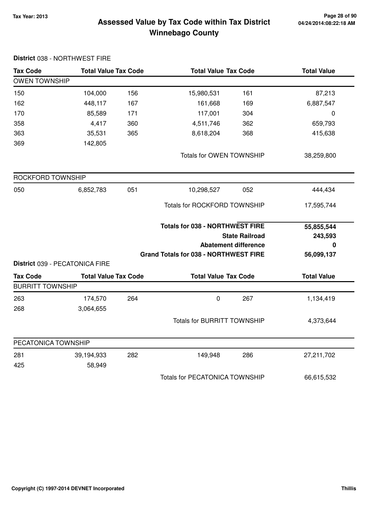## **Tax Year: 2013 Page 28 of 90 Assessed Value by Tax Code within Tax District Winnebago County**

| <b>Tax Code</b>         | <b>Total Value Tax Code</b>    |     | <b>Total Value Tax Code</b>                  |                             | <b>Total Value</b> |  |
|-------------------------|--------------------------------|-----|----------------------------------------------|-----------------------------|--------------------|--|
| <b>OWEN TOWNSHIP</b>    |                                |     |                                              |                             |                    |  |
| 150                     | 104,000                        | 156 | 15,980,531                                   | 161                         | 87,213             |  |
| 162                     | 448,117                        | 167 | 161,668                                      | 169                         | 6,887,547          |  |
| 170                     | 85,589                         | 171 | 117,001                                      | 304                         | 0                  |  |
| 358                     | 4,417                          | 360 | 4,511,746                                    | 362                         | 659,793            |  |
| 363                     | 35,531                         | 365 | 8,618,204                                    | 368                         | 415,638            |  |
| 369                     | 142,805                        |     |                                              |                             |                    |  |
|                         |                                |     | Totals for OWEN TOWNSHIP                     |                             | 38,259,800         |  |
| ROCKFORD TOWNSHIP       |                                |     |                                              |                             |                    |  |
| 050                     | 6,852,783                      | 051 | 10,298,527                                   | 052                         | 444,434            |  |
|                         |                                |     | <b>Totals for ROCKFORD TOWNSHIP</b>          |                             | 17,595,744         |  |
|                         |                                |     | <b>Totals for 038 - NORTHWEST FIRE</b>       |                             | 55,855,544         |  |
|                         |                                |     |                                              | <b>State Railroad</b>       | 243,593            |  |
|                         |                                |     |                                              | <b>Abatement difference</b> | 0                  |  |
|                         | District 039 - PECATONICA FIRE |     | <b>Grand Totals for 038 - NORTHWEST FIRE</b> |                             | 56,099,137         |  |
| <b>Tax Code</b>         | <b>Total Value Tax Code</b>    |     | <b>Total Value Tax Code</b>                  |                             | <b>Total Value</b> |  |
| <b>BURRITT TOWNSHIP</b> |                                |     |                                              |                             |                    |  |
| 263                     | 174,570                        | 264 | $\pmb{0}$                                    | 267                         | 1,134,419          |  |
| 268                     | 3,064,655                      |     |                                              |                             |                    |  |
|                         |                                |     | <b>Totals for BURRITT TOWNSHIP</b>           |                             | 4,373,644          |  |
| PECATONICA TOWNSHIP     |                                |     |                                              |                             |                    |  |
| 281                     | 39,194,933                     | 282 | 149,948                                      | 286                         | 27,211,702         |  |
| 425                     | 58,949                         |     |                                              |                             |                    |  |
|                         |                                |     | <b>Totals for PECATONICA TOWNSHIP</b>        |                             | 66,615,532         |  |

### **District** 038 - NORTHWEST FIRE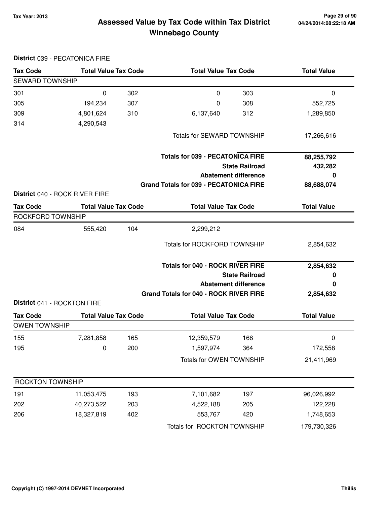**District** 039 - PECATONICA FIRE

## **Tax Year: 2013 Page 29 of 90 Assessed Value by Tax Code within Tax District Winnebago County**

| <b>Tax Code</b>             | <b>Total Value Tax Code</b>    |     | <b>Total Value Tax Code</b>                   |                             | <b>Total Value</b> |  |
|-----------------------------|--------------------------------|-----|-----------------------------------------------|-----------------------------|--------------------|--|
| <b>SEWARD TOWNSHIP</b>      |                                |     |                                               |                             |                    |  |
| 301                         | 0                              | 302 | 0                                             | 303                         | 0                  |  |
| 305                         | 194,234                        | 307 | 0                                             | 308                         | 552,725            |  |
| 309                         | 4,801,624                      | 310 | 6,137,640                                     | 312                         | 1,289,850          |  |
| 314                         | 4,290,543                      |     |                                               |                             |                    |  |
|                             |                                |     | Totals for SEWARD TOWNSHIP                    |                             | 17,266,616         |  |
|                             |                                |     | <b>Totals for 039 - PECATONICA FIRE</b>       |                             | 88,255,792         |  |
|                             |                                |     |                                               | <b>State Railroad</b>       | 432,282            |  |
|                             |                                |     |                                               | <b>Abatement difference</b> | 0                  |  |
|                             |                                |     | <b>Grand Totals for 039 - PECATONICA FIRE</b> |                             | 88,688,074         |  |
|                             | District 040 - ROCK RIVER FIRE |     |                                               |                             |                    |  |
| <b>Tax Code</b>             | <b>Total Value Tax Code</b>    |     | <b>Total Value Tax Code</b>                   |                             | <b>Total Value</b> |  |
| ROCKFORD TOWNSHIP           |                                |     |                                               |                             |                    |  |
| 084                         | 555,420                        | 104 | 2,299,212                                     |                             |                    |  |
|                             |                                |     | <b>Totals for ROCKFORD TOWNSHIP</b>           |                             | 2,854,632          |  |
|                             |                                |     | <b>Totals for 040 - ROCK RIVER FIRE</b>       |                             | 2,854,632          |  |
|                             |                                |     | <b>State Railroad</b>                         |                             | 0                  |  |
|                             |                                |     |                                               | <b>Abatement difference</b> | 0                  |  |
|                             |                                |     | Grand Totals for 040 - ROCK RIVER FIRE        |                             | 2,854,632          |  |
| District 041 - ROCKTON FIRE |                                |     |                                               |                             |                    |  |
| <b>Tax Code</b>             | <b>Total Value Tax Code</b>    |     | <b>Total Value Tax Code</b>                   |                             | <b>Total Value</b> |  |
| <b>OWEN TOWNSHIP</b>        |                                |     |                                               |                             |                    |  |
| 155                         | 7,281,858                      | 165 | 12,359,579                                    | 168                         | 0                  |  |
| 195                         | 0                              | 200 | 1,597,974                                     | 364                         | 172,558            |  |
|                             |                                |     | Totals for OWEN TOWNSHIP                      |                             | 21,411,969         |  |
| ROCKTON TOWNSHIP            |                                |     |                                               |                             |                    |  |
| 191                         | 11,053,475                     | 193 | 7,101,682                                     | 197                         | 96,026,992         |  |
| 202                         | 40,273,522                     | 203 | 4,522,188                                     | 205                         | 122,228            |  |
| 206                         | 18,327,819                     | 402 | 553,767                                       | 420                         | 1,748,653          |  |
|                             |                                |     | Totals for ROCKTON TOWNSHIP                   |                             | 179,730,326        |  |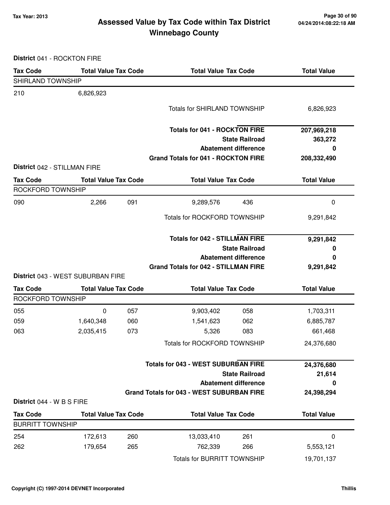## **Tax Year: 2013 Page 30 of 90 Assessed Value by Tax Code within Tax District Winnebago County**

**District** 041 - ROCKTON FIRE

| <b>Tax Code</b>                      | <b>Total Value Tax Code</b>       |     | <b>Total Value Tax Code</b>                      |                             | <b>Total Value</b> |  |
|--------------------------------------|-----------------------------------|-----|--------------------------------------------------|-----------------------------|--------------------|--|
| SHIRLAND TOWNSHIP                    |                                   |     |                                                  |                             |                    |  |
| 210                                  | 6,826,923                         |     |                                                  |                             |                    |  |
|                                      |                                   |     | <b>Totals for SHIRLAND TOWNSHIP</b>              |                             | 6,826,923          |  |
|                                      |                                   |     | <b>Totals for 041 - ROCKTON FIRE</b>             |                             | 207,969,218        |  |
|                                      |                                   |     |                                                  | <b>State Railroad</b>       | 363,272            |  |
|                                      |                                   |     |                                                  | <b>Abatement difference</b> | 0                  |  |
| District 042 - STILLMAN FIRE         |                                   |     | <b>Grand Totals for 041 - ROCKTON FIRE</b>       |                             | 208,332,490        |  |
| <b>Tax Code</b>                      | <b>Total Value Tax Code</b>       |     | <b>Total Value Tax Code</b>                      |                             | <b>Total Value</b> |  |
| ROCKFORD TOWNSHIP                    |                                   |     |                                                  |                             |                    |  |
| 090                                  | 2,266                             | 091 | 9,289,576                                        | 436                         | $\pmb{0}$          |  |
|                                      |                                   |     | Totals for ROCKFORD TOWNSHIP                     |                             | 9,291,842          |  |
|                                      |                                   |     | <b>Totals for 042 - STILLMAN FIRE</b>            |                             | 9,291,842          |  |
|                                      |                                   |     |                                                  | <b>State Railroad</b>       | 0                  |  |
|                                      |                                   |     |                                                  | <b>Abatement difference</b> | 0                  |  |
|                                      |                                   |     | <b>Grand Totals for 042 - STILLMAN FIRE</b>      |                             | 9,291,842          |  |
|                                      | District 043 - WEST SUBURBAN FIRE |     |                                                  |                             | <b>Total Value</b> |  |
| <b>Tax Code</b><br>ROCKFORD TOWNSHIP | <b>Total Value Tax Code</b>       |     |                                                  | <b>Total Value Tax Code</b> |                    |  |
| 055                                  | 0                                 | 057 | 9,903,402                                        | 058                         | 1,703,311          |  |
| 059                                  | 1,640,348                         | 060 | 1,541,623                                        | 062                         | 6,885,787          |  |
| 063                                  | 2,035,415                         | 073 | 5,326                                            | 083                         | 661,468            |  |
|                                      |                                   |     | <b>Totals for ROCKFORD TOWNSHIP</b>              |                             | 24,376,680         |  |
|                                      |                                   |     | <b>Totals for 043 - WEST SUBURBAN FIRE</b>       |                             |                    |  |
|                                      |                                   |     |                                                  | <b>State Railroad</b>       | 24,376,680         |  |
|                                      |                                   |     |                                                  | <b>Abatement difference</b> | 21,614<br>0        |  |
|                                      |                                   |     | <b>Grand Totals for 043 - WEST SUBURBAN FIRE</b> |                             | 24,398,294         |  |
| District 044 - W B S FIRE            |                                   |     |                                                  |                             |                    |  |
| <b>Tax Code</b>                      | <b>Total Value Tax Code</b>       |     | <b>Total Value Tax Code</b>                      |                             | <b>Total Value</b> |  |
| <b>BURRITT TOWNSHIP</b>              |                                   |     |                                                  |                             |                    |  |
| 254                                  | 172,613                           | 260 | 13,033,410                                       | 261                         | 0                  |  |
| 262                                  | 179,654                           | 265 | 762,339                                          | 266                         | 5,553,121          |  |
|                                      |                                   |     | <b>Totals for BURRITT TOWNSHIP</b>               |                             | 19,701,137         |  |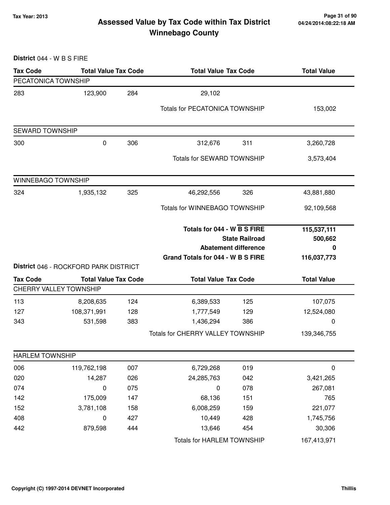### **Tax Year: 2013 Page 31 of 90 Assessed Value by Tax Code within Tax District Winnebago County**

**District** 044 - W B S FIRE **Tax Code Total Value Tax Code Total Value Tax Code Total Value** PECATONICA TOWNSHIP 283 123,900 29,102 284 Totals for PECATONICA TOWNSHIP 153,002 SEWARD TOWNSHIP 300 0 312,676 306 311 3,260,728 Totals for SEWARD TOWNSHIP 3,573,404 WINNEBAGO TOWNSHIP 324 1,935,132 46,292,556 325 326 43,881,880 Totals for WINNEBAGO TOWNSHIP 92,109,568 **State Railroad Totals for 044 - W B S FIRE Abatement difference Grand Totals for 044 - W B S FIRE 115,537,111 500,662 0 116,037,773 District** 046 - ROCKFORD PARK DISTRICT **Tax Code Total Value Tax Code Total Value Tax Code Total Value** CHERRY VALLEY TOWNSHIP 113 8,208,635 6,389,533 124 125 107,075 127 108,371,991 1,777,549 128 129 12,524,080 343 531,598 1,436,294 383 386 0 Totals for CHERRY VALLEY TOWNSHIP 139,346,755 HARLEM TOWNSHIP 006 119,762,198 007 6,729,268 019 0 020 14,287 24,285,763 026 042 3,421,265 074 0 075 0 078 267,081 142 175,009 68,136 147 151 765 152 3,781,108 6,008,259 158 159 221,077 408 0 10,449 427 428 1,745,756 442 879,598 13,646 444 454 30,306 Totals for HARLEM TOWNSHIP 167,413,971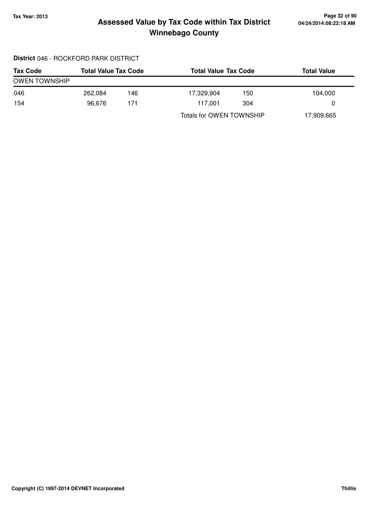## **Tax Year: 2013 Page 32 of 90 Assessed Value by Tax Code within Tax District Winnebago County**

### **District** 046 - ROCKFORD PARK DISTRICT

| <b>Tax Code</b>      | <b>Total Value Tax Code</b> |     |                          | <b>Total Value Tax Code</b> |            |
|----------------------|-----------------------------|-----|--------------------------|-----------------------------|------------|
| <b>OWEN TOWNSHIP</b> |                             |     |                          |                             |            |
| 046                  | 262.084                     | 146 | 17,329,904               | 150                         | 104,000    |
| 154                  | 96.676                      | 171 | 117.001                  | 304                         | 0          |
|                      |                             |     | Totals for OWEN TOWNSHIP |                             | 17,909,665 |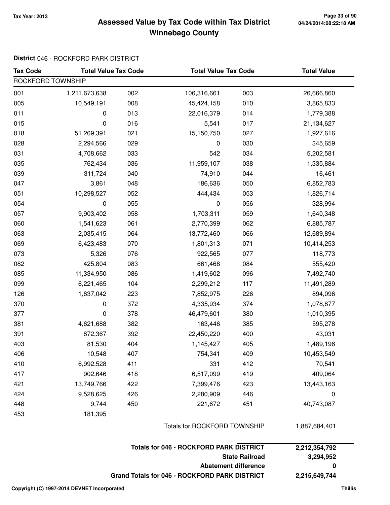## **Tax Year: 2013 Page 33 of 90 Assessed Value by Tax Code within Tax District Winnebago County**

### **District** 046 - ROCKFORD PARK DISTRICT

| <b>Tax Code</b>       | <b>Total Value Tax Code</b> |                              | <b>Total Value Tax Code</b>                    |                             | <b>Total Value</b> |
|-----------------------|-----------------------------|------------------------------|------------------------------------------------|-----------------------------|--------------------|
| ROCKFORD TOWNSHIP     |                             |                              |                                                |                             |                    |
| 001                   | 1,211,673,638               | 002                          | 106,316,661                                    | 003                         | 26,666,860         |
| 005                   | 10,549,191                  | 008                          | 45,424,158                                     | 010                         | 3,865,833          |
| 011                   | 0                           | 013                          | 22,016,379                                     | 014                         | 1,779,388          |
| 015                   | 0                           | 016                          | 5,541                                          | 017                         | 21,134,627         |
| 018                   | 51,269,391                  | 021                          | 15,150,750                                     | 027                         | 1,927,616          |
| 028                   | 2,294,566                   | 029                          | 0                                              | 030                         | 345,659            |
| 031                   | 4,708,662                   | 033                          | 542                                            | 034                         | 5,202,581          |
| 035                   | 762,434                     | 036                          | 11,959,107                                     | 038                         | 1,335,884          |
| 039                   | 311,724                     | 040                          | 74,910                                         | 044                         | 16,461             |
| 047                   | 3,861                       | 048                          | 186,636                                        | 050                         | 6,852,783          |
| 051                   | 10,298,527                  | 052                          | 444,434                                        | 053                         | 1,826,714          |
| 054                   | $\pmb{0}$                   | 055                          | 0                                              | 056                         | 328,994            |
| 057                   | 9,903,402                   | 058                          | 1,703,311                                      | 059                         | 1,640,348          |
| 060                   | 1,541,623                   | 061                          | 2,770,399                                      | 062                         | 6,885,787          |
| 063                   | 2,035,415                   | 064                          | 13,772,460                                     | 066                         | 12,689,894         |
| 069                   | 6,423,483                   | 070                          | 1,801,313                                      | 071                         | 10,414,253         |
| 073                   | 5,326                       | 076                          | 922,565                                        | 077                         | 118,773            |
| 082                   | 425,804                     | 083                          | 661,468                                        | 084                         | 555,420            |
| 085                   | 11,334,950                  | 086                          | 1,419,602                                      | 096                         | 7,492,740          |
| 099                   | 6,221,465                   | 104                          | 2,299,212                                      | 117                         | 11,491,289         |
| 126                   | 1,637,042                   | 223                          | 7,852,975                                      | 226                         | 894,096            |
| 370                   | 0                           | 372                          | 4,335,934                                      | 374                         | 1,078,877          |
| 377                   | 0                           | 378                          | 46,479,601                                     | 380                         | 1,010,395          |
| 381                   | 4,621,688                   | 382                          | 163,446                                        | 385                         | 595,278            |
| 391                   | 872,367                     | 392                          | 22,450,220                                     | 400                         | 43,031             |
| 403                   | 81,530                      | 404                          | 1,145,427                                      | 405                         | 1,489,196          |
| 406                   | 10,548                      | 407                          | 754,341                                        | 409                         | 10,453,549         |
| 410                   | 6,992,528                   | 411                          | 331                                            | 412                         | 70,541             |
| 417                   | 902,646                     | 418                          | 6,517,099                                      | 419                         | 409,064            |
| 421                   | 13,749,766                  | 422                          | 7,399,476                                      | 423                         | 13,443,163         |
| 424                   | 9,528,625                   | 426                          | 2,280,909                                      | 446                         | $\mathbf 0$        |
| 448                   | 9,744                       | 450                          | 221,672                                        | 451                         | 40,743,087         |
| 453                   | 181,395                     |                              |                                                |                             |                    |
|                       |                             | Totals for ROCKFORD TOWNSHIP |                                                |                             | 1,887,684,401      |
|                       |                             |                              | <b>Totals for 046 - ROCKFORD PARK DISTRICT</b> |                             | 2,212,354,792      |
| <b>State Railroad</b> |                             |                              |                                                | 3,294,952                   |                    |
|                       |                             |                              |                                                | <b>Abatement difference</b> | 0                  |
|                       |                             |                              | Grand Totals for 046 - ROCKFORD PARK DISTRICT  |                             | 2,215,649,744      |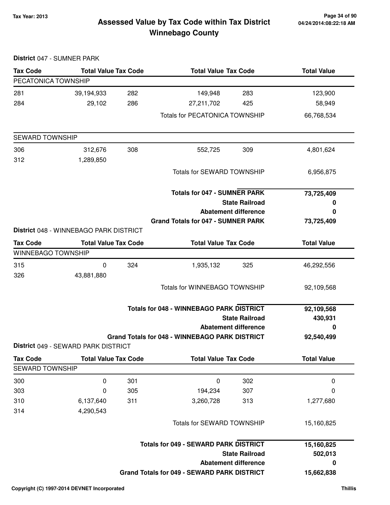## **Tax Year: 2013 Page 34 of 90 Assessed Value by Tax Code within Tax District Winnebago County**

| District 047 - SUMNER PARK                   |                                        |     |                                                       |                             |                    |
|----------------------------------------------|----------------------------------------|-----|-------------------------------------------------------|-----------------------------|--------------------|
| <b>Tax Code</b>                              | <b>Total Value Tax Code</b>            |     | <b>Total Value Tax Code</b>                           |                             | <b>Total Value</b> |
| PECATONICA TOWNSHIP                          |                                        |     |                                                       |                             |                    |
| 281                                          | 39,194,933                             | 282 | 149,948                                               | 283                         | 123,900            |
| 284                                          | 29,102                                 | 286 | 27,211,702                                            | 425                         | 58,949             |
|                                              |                                        |     | <b>Totals for PECATONICA TOWNSHIP</b>                 |                             | 66,768,534         |
| <b>SEWARD TOWNSHIP</b>                       |                                        |     |                                                       |                             |                    |
| 306                                          | 312,676                                | 308 | 552,725                                               | 309                         | 4,801,624          |
| 312                                          | 1,289,850                              |     |                                                       |                             |                    |
|                                              |                                        |     | Totals for SEWARD TOWNSHIP                            |                             | 6,956,875          |
|                                              |                                        |     | <b>Totals for 047 - SUMNER PARK</b>                   |                             | 73,725,409         |
|                                              |                                        |     |                                                       | <b>State Railroad</b>       | 0                  |
|                                              |                                        |     | <b>Abatement difference</b>                           |                             | 0                  |
|                                              | District 048 - WINNEBAGO PARK DISTRICT |     | <b>Grand Totals for 047 - SUMNER PARK</b>             |                             | 73,725,409         |
|                                              |                                        |     |                                                       |                             |                    |
| <b>Tax Code</b><br><b>WINNEBAGO TOWNSHIP</b> | <b>Total Value Tax Code</b>            |     | <b>Total Value Tax Code</b>                           |                             | <b>Total Value</b> |
| 315                                          | 0                                      | 324 | 1,935,132                                             | 325                         | 46,292,556         |
| 326                                          | 43,881,880                             |     |                                                       |                             |                    |
|                                              |                                        |     | <b>Totals for WINNEBAGO TOWNSHIP</b>                  |                             | 92,109,568         |
|                                              |                                        |     | <b>Totals for 048 - WINNEBAGO PARK DISTRICT</b>       |                             | 92,109,568         |
|                                              |                                        |     |                                                       | <b>State Railroad</b>       | 430,931            |
|                                              |                                        |     |                                                       | <b>Abatement difference</b> | 0                  |
|                                              | District 049 - SEWARD PARK DISTRICT    |     | <b>Grand Totals for 048 - WINNEBAGO PARK DISTRICT</b> |                             | 92,540,499         |
| <b>Tax Code</b>                              | <b>Total Value Tax Code</b>            |     | <b>Total Value Tax Code</b>                           |                             | <b>Total Value</b> |
| <b>SEWARD TOWNSHIP</b>                       |                                        |     |                                                       |                             |                    |
| 300                                          | 0                                      | 301 | $\mathbf 0$                                           | 302                         | $\mathbf 0$        |
| 303                                          | 0                                      | 305 | 194,234                                               | 307                         | 0                  |
| 310                                          | 6,137,640                              | 311 | 3,260,728                                             | 313                         | 1,277,680          |
| 314                                          | 4,290,543                              |     |                                                       |                             |                    |
|                                              |                                        |     | Totals for SEWARD TOWNSHIP                            |                             | 15,160,825         |
|                                              |                                        |     | <b>Totals for 049 - SEWARD PARK DISTRICT</b>          |                             | 15,160,825         |
|                                              |                                        |     |                                                       | <b>State Railroad</b>       | 502,013            |
|                                              |                                        |     |                                                       | <b>Abatement difference</b> | 0                  |
|                                              |                                        |     | <b>Grand Totals for 049 - SEWARD PARK DISTRICT</b>    |                             | 15,662,838         |
|                                              |                                        |     |                                                       |                             |                    |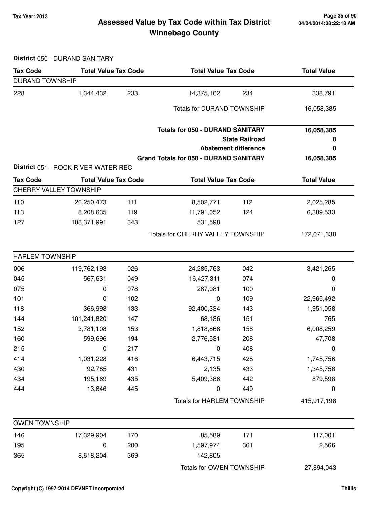## **Tax Year: 2013 Page 35 of 90 Assessed Value by Tax Code within Tax District Winnebago County**

**District** 050 - DURAND SANITARY

| <b>Tax Code</b>        | <b>Total Value Tax Code</b>         |     | <b>Total Value Tax Code</b>                                                                           |     | <b>Total Value</b>   |  |  |  |  |
|------------------------|-------------------------------------|-----|-------------------------------------------------------------------------------------------------------|-----|----------------------|--|--|--|--|
| <b>DURAND TOWNSHIP</b> |                                     |     |                                                                                                       |     |                      |  |  |  |  |
| 228                    | 1,344,432                           | 233 | 14,375,162                                                                                            | 234 | 338,791              |  |  |  |  |
|                        |                                     |     | <b>Totals for DURAND TOWNSHIP</b>                                                                     |     | 16,058,385           |  |  |  |  |
|                        |                                     |     | <b>Totals for 050 - DURAND SANITARY</b>                                                               |     | 16,058,385           |  |  |  |  |
|                        |                                     |     | <b>State Railroad</b><br><b>Abatement difference</b><br><b>Grand Totals for 050 - DURAND SANITARY</b> |     | 0<br>0<br>16,058,385 |  |  |  |  |
|                        |                                     |     |                                                                                                       |     |                      |  |  |  |  |
|                        | District 051 - ROCK RIVER WATER REC |     |                                                                                                       |     |                      |  |  |  |  |
| <b>Tax Code</b>        | <b>Total Value Tax Code</b>         |     | <b>Total Value Tax Code</b>                                                                           |     | <b>Total Value</b>   |  |  |  |  |
|                        | CHERRY VALLEY TOWNSHIP              |     |                                                                                                       |     |                      |  |  |  |  |
| 110                    | 26,250,473                          | 111 | 8,502,771                                                                                             | 112 | 2,025,285            |  |  |  |  |
| 113                    | 8,208,635                           | 119 | 11,791,052                                                                                            | 124 | 6,389,533            |  |  |  |  |
| 127                    | 108,371,991                         | 343 | 531,598                                                                                               |     |                      |  |  |  |  |
|                        |                                     |     | Totals for CHERRY VALLEY TOWNSHIP                                                                     |     | 172,071,338          |  |  |  |  |
| <b>HARLEM TOWNSHIP</b> |                                     |     |                                                                                                       |     |                      |  |  |  |  |
| 006                    | 119,762,198                         | 026 | 24,285,763                                                                                            | 042 | 3,421,265            |  |  |  |  |
| 045                    | 567,631                             | 049 | 16,427,311                                                                                            | 074 | 0                    |  |  |  |  |
| 075                    | 0                                   | 078 | 267,081                                                                                               | 100 | 0                    |  |  |  |  |
| 101                    | 0                                   | 102 | 0                                                                                                     | 109 | 22,965,492           |  |  |  |  |
| 118                    | 366,998                             | 133 | 92,400,334                                                                                            | 143 | 1,951,058            |  |  |  |  |
| 144                    | 101,241,820                         | 147 | 68,136                                                                                                | 151 | 765                  |  |  |  |  |
| 152                    | 3,781,108                           | 153 | 1,818,868                                                                                             | 158 | 6,008,259            |  |  |  |  |
| 160                    | 599,696                             | 194 | 2,776,531                                                                                             | 208 | 47,708               |  |  |  |  |
| 215                    | 0                                   | 217 | 0                                                                                                     | 408 | 0                    |  |  |  |  |
| 414                    | 1,031,228                           | 416 | 6,443,715                                                                                             | 428 | 1,745,756            |  |  |  |  |
| 430                    | 92,785                              | 431 | 2,135                                                                                                 | 433 | 1,345,758            |  |  |  |  |
| 434                    | 195,169                             | 435 | 5,409,386                                                                                             | 442 | 879,598              |  |  |  |  |
| 444                    | 13,646                              | 445 | 0                                                                                                     | 449 | 0                    |  |  |  |  |
|                        |                                     |     | <b>Totals for HARLEM TOWNSHIP</b>                                                                     |     | 415,917,198          |  |  |  |  |
| <b>OWEN TOWNSHIP</b>   |                                     |     |                                                                                                       |     |                      |  |  |  |  |
| 146                    | 17,329,904                          | 170 | 85,589                                                                                                | 171 | 117,001              |  |  |  |  |
| 195                    | 0                                   | 200 | 1,597,974                                                                                             | 361 | 2,566                |  |  |  |  |
| 365                    | 8,618,204                           | 369 | 142,805                                                                                               |     |                      |  |  |  |  |
|                        |                                     |     | Totals for OWEN TOWNSHIP                                                                              |     | 27,894,043           |  |  |  |  |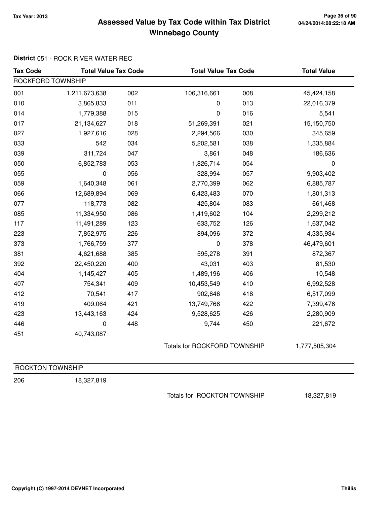## **Tax Year: 2013 Page 36 of 90 Assessed Value by Tax Code within Tax District Winnebago County**

### **District** 051 - ROCK RIVER WATER REC

| <b>Tax Code</b>   | <b>Total Value Tax Code</b> |     | <b>Total Value Tax Code</b> |                                     | <b>Total Value</b> |  |  |  |  |
|-------------------|-----------------------------|-----|-----------------------------|-------------------------------------|--------------------|--|--|--|--|
| ROCKFORD TOWNSHIP |                             |     |                             |                                     |                    |  |  |  |  |
| 001               | 1,211,673,638               | 002 | 106,316,661                 | 008                                 | 45,424,158         |  |  |  |  |
| 010               | 3,865,833                   | 011 | 0                           | 013                                 | 22,016,379         |  |  |  |  |
| 014               | 1,779,388                   | 015 | $\pmb{0}$                   | 016                                 | 5,541              |  |  |  |  |
| 017               | 21,134,627                  | 018 | 51,269,391                  | 021                                 | 15,150,750         |  |  |  |  |
| 027               | 1,927,616                   | 028 | 2,294,566                   | 030                                 | 345,659            |  |  |  |  |
| 033               | 542                         | 034 | 5,202,581                   | 038                                 | 1,335,884          |  |  |  |  |
| 039               | 311,724                     | 047 | 3,861                       | 048                                 | 186,636            |  |  |  |  |
| 050               | 6,852,783                   | 053 | 1,826,714                   | 054                                 | $\boldsymbol{0}$   |  |  |  |  |
| 055               | 0                           | 056 | 328,994                     | 057                                 | 9,903,402          |  |  |  |  |
| 059               | 1,640,348                   | 061 | 2,770,399                   | 062                                 | 6,885,787          |  |  |  |  |
| 066               | 12,689,894                  | 069 | 6,423,483                   | 070                                 | 1,801,313          |  |  |  |  |
| 077               | 118,773                     | 082 | 425,804                     | 083                                 | 661,468            |  |  |  |  |
| 085               | 11,334,950                  | 086 | 1,419,602                   | 104                                 | 2,299,212          |  |  |  |  |
| 117               | 11,491,289                  | 123 | 633,752                     | 126                                 | 1,637,042          |  |  |  |  |
| 223               | 7,852,975                   | 226 | 894,096                     | 372                                 | 4,335,934          |  |  |  |  |
| 373               | 1,766,759                   | 377 | $\pmb{0}$                   | 378                                 | 46,479,601         |  |  |  |  |
| 381               | 4,621,688                   | 385 | 595,278                     | 391                                 | 872,367            |  |  |  |  |
| 392               | 22,450,220                  | 400 | 43,031                      | 403                                 | 81,530             |  |  |  |  |
| 404               | 1,145,427                   | 405 | 1,489,196                   | 406                                 | 10,548             |  |  |  |  |
| 407               | 754,341                     | 409 | 10,453,549                  | 410                                 | 6,992,528          |  |  |  |  |
| 412               | 70,541                      | 417 | 902,646                     | 418                                 | 6,517,099          |  |  |  |  |
| 419               | 409,064                     | 421 | 13,749,766                  | 422                                 | 7,399,476          |  |  |  |  |
| 423               | 13,443,163                  | 424 | 9,528,625                   | 426                                 | 2,280,909          |  |  |  |  |
| 446               | $\mathbf 0$                 | 448 | 9,744                       | 450                                 | 221,672            |  |  |  |  |
| 451               | 40,743,087                  |     |                             |                                     |                    |  |  |  |  |
|                   |                             |     |                             | <b>Totals for ROCKFORD TOWNSHIP</b> |                    |  |  |  |  |
|                   |                             |     |                             |                                     | 1,777,505,304      |  |  |  |  |
| ROCKTON TOWNSHIP  |                             |     |                             |                                     |                    |  |  |  |  |
| 206               | 18,327,819                  |     |                             |                                     |                    |  |  |  |  |

Totals for ROCKTON TOWNSHIP 18,327,819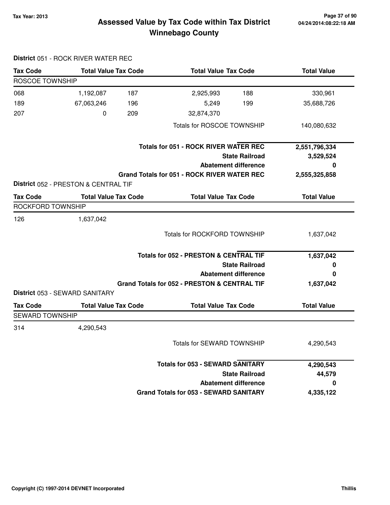### **Tax Year: 2013 Page 37 of 90 Assessed Value by Tax Code within Tax District Winnebago County**

| <b>Tax Code</b>        | <b>Total Value Tax Code</b>          |     | <b>Total Value Tax Code</b>                        |                             | <b>Total Value</b> |
|------------------------|--------------------------------------|-----|----------------------------------------------------|-----------------------------|--------------------|
| <b>ROSCOE TOWNSHIP</b> |                                      |     |                                                    |                             |                    |
| 068                    | 1,192,087                            | 187 | 2,925,993                                          | 188                         | 330,961            |
| 189                    | 67,063,246                           | 196 | 5,249                                              | 199                         | 35,688,726         |
| 207                    | 0                                    | 209 | 32,874,370                                         |                             |                    |
|                        |                                      |     | Totals for ROSCOE TOWNSHIP                         |                             | 140,080,632        |
|                        |                                      |     | <b>Totals for 051 - ROCK RIVER WATER REC</b>       |                             | 2,551,796,334      |
|                        |                                      |     |                                                    | <b>State Railroad</b>       | 3,529,524          |
|                        |                                      |     | <b>Abatement difference</b>                        |                             | O                  |
|                        |                                      |     | <b>Grand Totals for 051 - ROCK RIVER WATER REC</b> |                             | 2,555,325,858      |
|                        | District 052 - PRESTON & CENTRAL TIF |     |                                                    |                             |                    |
| <b>Tax Code</b>        | <b>Total Value Tax Code</b>          |     |                                                    | <b>Total Value Tax Code</b> |                    |
| ROCKFORD TOWNSHIP      |                                      |     |                                                    |                             |                    |
| 126                    | 1,637,042                            |     |                                                    |                             |                    |
|                        |                                      |     | <b>Totals for ROCKFORD TOWNSHIP</b>                |                             | 1,637,042          |
|                        |                                      |     | <b>Totals for 052 - PRESTON &amp; CENTRAL TIF</b>  |                             | 1,637,042          |
|                        |                                      |     |                                                    | <b>State Railroad</b>       | 0                  |
|                        |                                      |     | <b>Abatement difference</b>                        |                             | 0                  |
|                        |                                      |     | Grand Totals for 052 - PRESTON & CENTRAL TIF       |                             | 1,637,042          |
|                        | District 053 - SEWARD SANITARY       |     |                                                    |                             |                    |
| <b>Tax Code</b>        | <b>Total Value Tax Code</b>          |     | <b>Total Value Tax Code</b>                        |                             | <b>Total Value</b> |
| <b>SEWARD TOWNSHIP</b> |                                      |     |                                                    |                             |                    |
| 314                    | 4,290,543                            |     |                                                    |                             |                    |
|                        |                                      |     | Totals for SEWARD TOWNSHIP                         |                             | 4,290,543          |
|                        |                                      |     | <b>Totals for 053 - SEWARD SANITARY</b>            |                             | 4,290,543          |
|                        |                                      |     |                                                    | <b>State Railroad</b>       | 44,579             |
|                        |                                      |     | <b>Abatement difference</b>                        |                             | 0                  |
|                        |                                      |     | <b>Grand Totals for 053 - SEWARD SANITARY</b>      |                             | 4,335,122          |

#### **District** 051 - ROCK RIVER WATER REC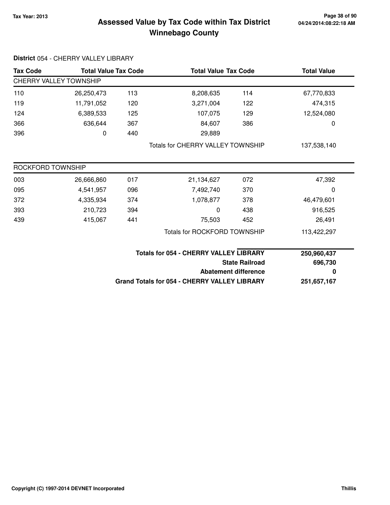### **Tax Year: 2013 Page 38 of 90 Assessed Value by Tax Code within Tax District Winnebago County**

| <b>Tax Code</b>   | <b>Total Value Tax Code</b> |     |                                                     | <b>Total Value Tax Code</b> |             |
|-------------------|-----------------------------|-----|-----------------------------------------------------|-----------------------------|-------------|
|                   | CHERRY VALLEY TOWNSHIP      |     |                                                     |                             |             |
| 110               | 26,250,473                  | 113 | 8,208,635                                           | 114                         | 67,770,833  |
| 119               | 11,791,052                  | 120 | 3,271,004                                           | 122                         | 474,315     |
| 124               | 6,389,533                   | 125 | 107,075                                             | 129                         | 12,524,080  |
| 366               | 636,644                     | 367 | 84,607                                              | 386                         | 0           |
| 396               | 0                           | 440 | 29,889                                              |                             |             |
|                   |                             |     | <b>Totals for CHERRY VALLEY TOWNSHIP</b>            |                             | 137,538,140 |
| ROCKFORD TOWNSHIP |                             |     |                                                     |                             |             |
| 003               | 26,666,860                  | 017 | 21,134,627                                          | 072                         | 47,392      |
| 095               | 4,541,957                   | 096 | 7,492,740                                           | 370                         | 0           |
| 372               | 4,335,934                   | 374 | 1,078,877                                           | 378                         | 46,479,601  |
| 393               | 210,723                     | 394 | 0                                                   | 438                         | 916,525     |
| 439               | 415,067                     | 441 | 75,503                                              | 452                         | 26,491      |
|                   |                             |     | <b>Totals for ROCKFORD TOWNSHIP</b>                 |                             | 113,422,297 |
|                   |                             |     | <b>Totals for 054 - CHERRY VALLEY LIBRARY</b>       |                             | 250,960,437 |
|                   |                             |     | <b>State Railroad</b>                               | 696,730                     |             |
|                   |                             |     |                                                     | <b>Abatement difference</b> | 0           |
|                   |                             |     | <b>Grand Totals for 054 - CHERRY VALLEY LIBRARY</b> |                             | 251,657,167 |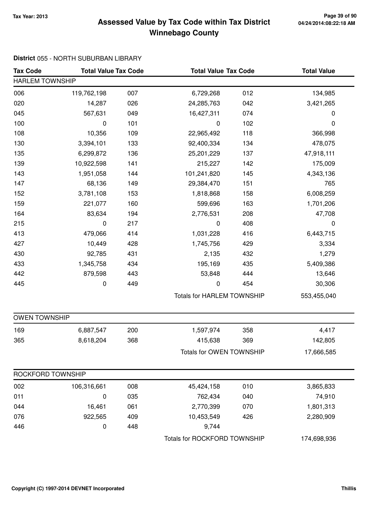### **Tax Year: 2013 Page 39 of 90 Assessed Value by Tax Code within Tax District Winnebago County**

#### **District** 055 - NORTH SUBURBAN LIBRARY

| <b>Tax Code</b>        | <b>Total Value Tax Code</b> |     | <b>Total Value Tax Code</b>       |     | <b>Total Value</b> |
|------------------------|-----------------------------|-----|-----------------------------------|-----|--------------------|
| <b>HARLEM TOWNSHIP</b> |                             |     |                                   |     |                    |
| 006                    | 119,762,198                 | 007 | 6,729,268                         | 012 | 134,985            |
| 020                    | 14,287                      | 026 | 24,285,763                        | 042 | 3,421,265          |
| 045                    | 567,631                     | 049 | 16,427,311                        | 074 | $\pmb{0}$          |
| 100                    | 0                           | 101 | $\mathbf 0$                       | 102 | 0                  |
| 108                    | 10,356                      | 109 | 22,965,492                        | 118 | 366,998            |
| 130                    | 3,394,101                   | 133 | 92,400,334                        | 134 | 478,075            |
| 135                    | 6,299,872                   | 136 | 25,201,229                        | 137 | 47,918,111         |
| 139                    | 10,922,598                  | 141 | 215,227                           | 142 | 175,009            |
| 143                    | 1,951,058                   | 144 | 101,241,820                       | 145 | 4,343,136          |
| 147                    | 68,136                      | 149 | 29,384,470                        | 151 | 765                |
| 152                    | 3,781,108                   | 153 | 1,818,868                         | 158 | 6,008,259          |
| 159                    | 221,077                     | 160 | 599,696                           | 163 | 1,701,206          |
| 164                    | 83,634                      | 194 | 2,776,531                         | 208 | 47,708             |
| 215                    | 0                           | 217 | 0                                 | 408 | 0                  |
| 413                    | 479,066                     | 414 | 1,031,228                         | 416 | 6,443,715          |
| 427                    | 10,449                      | 428 | 1,745,756                         | 429 | 3,334              |
| 430                    | 92,785                      | 431 | 2,135                             | 432 | 1,279              |
| 433                    | 1,345,758                   | 434 | 195,169                           | 435 | 5,409,386          |
| 442                    | 879,598                     | 443 | 53,848                            | 444 | 13,646             |
| 445                    | 0                           | 449 | $\pmb{0}$                         | 454 | 30,306             |
|                        |                             |     | <b>Totals for HARLEM TOWNSHIP</b> |     | 553,455,040        |
| <b>OWEN TOWNSHIP</b>   |                             |     |                                   |     |                    |
| 169                    | 6,887,547                   | 200 | 1,597,974                         | 358 | 4,417              |
| 365                    | 8,618,204                   | 368 | 415,638                           | 369 | 142,805            |
|                        |                             |     | Totals for OWEN TOWNSHIP          |     | 17,666,585         |
| ROCKFORD TOWNSHIP      |                             |     |                                   |     |                    |
| 002                    | 106,316,661                 | 008 | 45,424,158                        | 010 | 3,865,833          |
| 011                    | 0                           | 035 | 762,434                           | 040 | 74,910             |
| 044                    | 16,461                      | 061 | 2,770,399                         | 070 | 1,801,313          |
| 076                    | 922,565                     | 409 | 10,453,549                        | 426 | 2,280,909          |
| 446                    | 0                           | 448 | 9,744                             |     |                    |
|                        |                             |     | Totals for ROCKFORD TOWNSHIP      |     | 174,698,936        |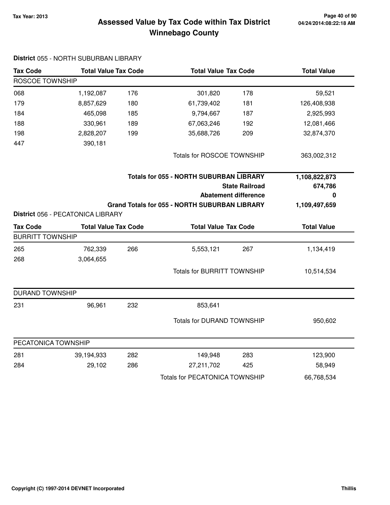### **Tax Year: 2013 Page 40 of 90 Assessed Value by Tax Code within Tax District Winnebago County**

| <b>Tax Code</b>         |                                   | <b>Total Value Tax Code</b> |                                                      | <b>Total Value Tax Code</b> |                    |
|-------------------------|-----------------------------------|-----------------------------|------------------------------------------------------|-----------------------------|--------------------|
| <b>ROSCOE TOWNSHIP</b>  |                                   |                             |                                                      |                             |                    |
| 068                     | 1,192,087                         | 176                         | 301,820                                              | 178                         | 59,521             |
| 179                     | 8,857,629                         | 180                         | 61,739,402                                           | 181                         | 126,408,938        |
| 184                     | 465,098                           | 185                         | 9,794,667                                            | 187                         | 2,925,993          |
| 188                     | 330,961                           | 189                         | 67,063,246                                           | 192                         | 12,081,466         |
| 198                     | 2,828,207                         | 199                         | 35,688,726                                           | 209                         | 32,874,370         |
| 447                     | 390,181                           |                             |                                                      |                             |                    |
|                         |                                   |                             | Totals for ROSCOE TOWNSHIP                           |                             | 363,002,312        |
|                         |                                   |                             | <b>Totals for 055 - NORTH SUBURBAN LIBRARY</b>       |                             | 1,108,822,873      |
|                         |                                   |                             |                                                      | <b>State Railroad</b>       | 674,786            |
|                         |                                   |                             |                                                      | <b>Abatement difference</b> | 0                  |
|                         |                                   |                             | <b>Grand Totals for 055 - NORTH SUBURBAN LIBRARY</b> |                             | 1,109,497,659      |
|                         | District 056 - PECATONICA LIBRARY |                             |                                                      |                             |                    |
| <b>Tax Code</b>         | <b>Total Value Tax Code</b>       |                             | <b>Total Value Tax Code</b>                          |                             | <b>Total Value</b> |
| <b>BURRITT TOWNSHIP</b> |                                   |                             |                                                      |                             |                    |
| 265                     | 762,339                           | 266                         | 5,553,121                                            | 267                         | 1,134,419          |
| 268                     | 3,064,655                         |                             |                                                      |                             |                    |
|                         |                                   |                             | <b>Totals for BURRITT TOWNSHIP</b>                   |                             | 10,514,534         |
| <b>DURAND TOWNSHIP</b>  |                                   |                             |                                                      |                             |                    |
| 231                     | 96,961                            | 232                         | 853,641                                              |                             |                    |
|                         |                                   |                             | <b>Totals for DURAND TOWNSHIP</b>                    |                             | 950,602            |
| PECATONICA TOWNSHIP     |                                   |                             |                                                      |                             |                    |
| 281                     | 39,194,933                        | 282                         | 149,948                                              | 283                         | 123,900            |
| 284                     | 29,102                            | 286                         | 27,211,702                                           | 425                         | 58,949             |
|                         |                                   |                             | <b>Totals for PECATONICA TOWNSHIP</b>                |                             | 66,768,534         |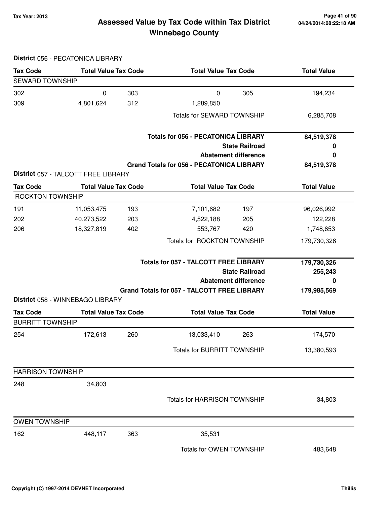### **Tax Year: 2013 Page 41 of 90 Assessed Value by Tax Code within Tax District Winnebago County**

|                          | District 056 - PECATONICA LIBRARY   |     |                                                                                                                                                            |     |                                            |
|--------------------------|-------------------------------------|-----|------------------------------------------------------------------------------------------------------------------------------------------------------------|-----|--------------------------------------------|
| <b>Tax Code</b>          | <b>Total Value Tax Code</b>         |     | <b>Total Value Tax Code</b>                                                                                                                                |     | <b>Total Value</b>                         |
| <b>SEWARD TOWNSHIP</b>   |                                     |     |                                                                                                                                                            |     |                                            |
| 302                      | 0                                   | 303 | 0                                                                                                                                                          | 305 | 194,234                                    |
| 309                      | 4,801,624                           | 312 | 1,289,850                                                                                                                                                  |     |                                            |
|                          |                                     |     | <b>Totals for SEWARD TOWNSHIP</b>                                                                                                                          |     | 6,285,708                                  |
|                          |                                     |     | <b>Totals for 056 - PECATONICA LIBRARY</b>                                                                                                                 |     | 84,519,378                                 |
|                          |                                     |     | <b>State Railroad</b>                                                                                                                                      |     | 0                                          |
|                          |                                     |     | <b>Abatement difference</b>                                                                                                                                |     | 0                                          |
|                          | District 057 - TALCOTT FREE LIBRARY |     | <b>Grand Totals for 056 - PECATONICA LIBRARY</b>                                                                                                           |     | 84,519,378                                 |
| <b>Tax Code</b>          | <b>Total Value Tax Code</b>         |     | <b>Total Value Tax Code</b>                                                                                                                                |     | <b>Total Value</b>                         |
| <b>ROCKTON TOWNSHIP</b>  |                                     |     |                                                                                                                                                            |     |                                            |
| 191                      | 11,053,475                          | 193 | 7,101,682                                                                                                                                                  | 197 | 96,026,992                                 |
| 202                      | 40,273,522                          | 203 | 4,522,188                                                                                                                                                  | 205 | 122,228                                    |
| 206                      | 18,327,819                          | 402 | 553,767                                                                                                                                                    | 420 | 1,748,653                                  |
|                          |                                     |     | Totals for ROCKTON TOWNSHIP                                                                                                                                |     | 179,730,326                                |
|                          | District 058 - WINNEBAGO LIBRARY    |     | <b>Totals for 057 - TALCOTT FREE LIBRARY</b><br><b>State Railroad</b><br><b>Abatement difference</b><br><b>Grand Totals for 057 - TALCOTT FREE LIBRARY</b> |     | 179,730,326<br>255,243<br>0<br>179,985,569 |
| <b>Tax Code</b>          | <b>Total Value Tax Code</b>         |     | <b>Total Value Tax Code</b>                                                                                                                                |     | <b>Total Value</b>                         |
| <b>BURRITT TOWNSHIP</b>  |                                     |     |                                                                                                                                                            |     |                                            |
| 254                      | 172,613                             | 260 | 13,033,410                                                                                                                                                 | 263 | 174,570                                    |
|                          |                                     |     | <b>Totals for BURRITT TOWNSHIP</b>                                                                                                                         |     | 13,380,593                                 |
| <b>HARRISON TOWNSHIP</b> |                                     |     |                                                                                                                                                            |     |                                            |
| 248                      | 34,803                              |     |                                                                                                                                                            |     |                                            |
|                          |                                     |     | Totals for HARRISON TOWNSHIP                                                                                                                               |     | 34,803                                     |
| <b>OWEN TOWNSHIP</b>     |                                     |     |                                                                                                                                                            |     |                                            |
| 162                      | 448,117                             | 363 | 35,531                                                                                                                                                     |     |                                            |
|                          |                                     |     | Totals for OWEN TOWNSHIP                                                                                                                                   |     | 483,648                                    |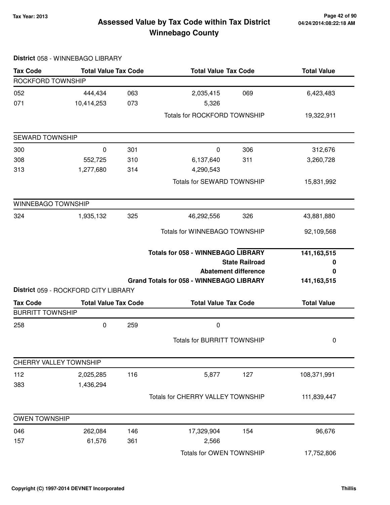### **Tax Year: 2013 Page 42 of 90 Assessed Value by Tax Code within Tax District Winnebago County**

| <b>Tax Code</b>         | <b>Total Value Tax Code</b>          |     | <b>Total Value Tax Code</b>                     |                             | <b>Total Value</b> |  |
|-------------------------|--------------------------------------|-----|-------------------------------------------------|-----------------------------|--------------------|--|
| ROCKFORD TOWNSHIP       |                                      |     |                                                 |                             |                    |  |
| 052                     | 444,434                              | 063 | 2,035,415                                       | 069                         | 6,423,483          |  |
| 071                     | 10,414,253                           | 073 | 5,326                                           |                             |                    |  |
|                         |                                      |     | <b>Totals for ROCKFORD TOWNSHIP</b>             |                             | 19,322,911         |  |
| SEWARD TOWNSHIP         |                                      |     |                                                 |                             |                    |  |
| 300                     | 0                                    | 301 | 0                                               | 306                         | 312,676            |  |
| 308                     | 552,725                              | 310 | 6,137,640                                       | 311                         | 3,260,728          |  |
| 313                     | 1,277,680                            | 314 | 4,290,543                                       |                             |                    |  |
|                         |                                      |     | Totals for SEWARD TOWNSHIP                      |                             | 15,831,992         |  |
| WINNEBAGO TOWNSHIP      |                                      |     |                                                 |                             |                    |  |
| 324                     | 1,935,132                            | 325 | 46,292,556                                      | 326                         | 43,881,880         |  |
|                         |                                      |     | Totals for WINNEBAGO TOWNSHIP                   |                             | 92,109,568         |  |
|                         |                                      |     | <b>Totals for 058 - WINNEBAGO LIBRARY</b>       |                             | 141, 163, 515      |  |
|                         |                                      |     |                                                 | <b>State Railroad</b>       | 0                  |  |
|                         |                                      |     |                                                 | <b>Abatement difference</b> | 0                  |  |
|                         | District 059 - ROCKFORD CITY LIBRARY |     | <b>Grand Totals for 058 - WINNEBAGO LIBRARY</b> |                             | 141, 163, 515      |  |
| <b>Tax Code</b>         | <b>Total Value Tax Code</b>          |     | <b>Total Value Tax Code</b>                     |                             | <b>Total Value</b> |  |
| <b>BURRITT TOWNSHIP</b> |                                      |     |                                                 |                             |                    |  |
| 258                     | 0                                    | 259 | 0                                               |                             |                    |  |
|                         |                                      |     | <b>Totals for BURRITT TOWNSHIP</b>              |                             | 0                  |  |
| CHERRY VALLEY TOWNSHIP  |                                      |     |                                                 |                             |                    |  |
| 112                     | 2,025,285                            | 116 | 5,877                                           | 127                         | 108,371,991        |  |
| 383                     | 1,436,294                            |     |                                                 |                             |                    |  |
|                         |                                      |     | Totals for CHERRY VALLEY TOWNSHIP               |                             | 111,839,447        |  |
| <b>OWEN TOWNSHIP</b>    |                                      |     |                                                 |                             |                    |  |
| 046                     | 262,084                              | 146 | 17,329,904                                      | 154                         | 96,676             |  |
| 157                     | 61,576                               | 361 | 2,566                                           |                             |                    |  |
|                         |                                      |     | Totals for OWEN TOWNSHIP                        |                             | 17,752,806         |  |

#### **District** 058 - WINNEBAGO LIBRARY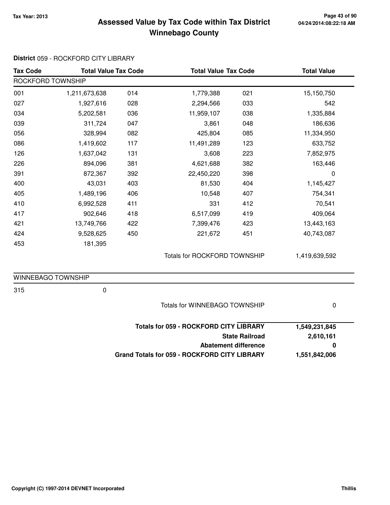### **Tax Year: 2013 Page 43 of 90 Assessed Value by Tax Code within Tax District Winnebago County**

| <b>Tax Code</b>    | <b>Total Value Tax Code</b> |     |                                                     | <b>Total Value Tax Code</b> |               |
|--------------------|-----------------------------|-----|-----------------------------------------------------|-----------------------------|---------------|
| ROCKFORD TOWNSHIP  |                             |     |                                                     |                             |               |
| 001                | 1,211,673,638               | 014 | 1,779,388                                           | 021                         | 15,150,750    |
| 027                | 1,927,616                   | 028 | 2,294,566                                           | 033                         | 542           |
| 034                | 5,202,581                   | 036 | 11,959,107                                          | 038                         | 1,335,884     |
| 039                | 311,724                     | 047 | 3,861                                               | 048                         | 186,636       |
| 056                | 328,994                     | 082 | 425,804                                             | 085                         | 11,334,950    |
| 086                | 1,419,602                   | 117 | 11,491,289                                          | 123                         | 633,752       |
| 126                | 1,637,042                   | 131 | 3,608                                               | 223                         | 7,852,975     |
| 226                | 894,096                     | 381 | 4,621,688                                           | 382                         | 163,446       |
| 391                | 872,367                     | 392 | 22,450,220                                          | 398                         | 0             |
| 400                | 43,031                      | 403 | 81,530                                              | 404                         | 1,145,427     |
| 405                | 1,489,196                   | 406 | 10,548                                              | 407                         | 754,341       |
| 410                | 6,992,528                   | 411 | 331                                                 | 412                         | 70,541        |
| 417                | 902,646                     | 418 | 6,517,099                                           | 419                         | 409,064       |
| 421                | 13,749,766                  | 422 | 7,399,476                                           | 423                         | 13,443,163    |
| 424                | 9,528,625                   | 450 | 221,672                                             | 451                         | 40,743,087    |
| 453                | 181,395                     |     |                                                     |                             |               |
|                    |                             |     | <b>Totals for ROCKFORD TOWNSHIP</b>                 |                             | 1,419,639,592 |
| WINNEBAGO TOWNSHIP |                             |     |                                                     |                             |               |
| 315                | $\pmb{0}$                   |     |                                                     |                             |               |
|                    |                             |     | Totals for WINNEBAGO TOWNSHIP                       |                             | 0             |
|                    |                             |     | <b>Totals for 059 - ROCKFORD CITY LIBRARY</b>       |                             | 1,549,231,845 |
|                    |                             |     |                                                     | <b>State Railroad</b>       | 2,610,161     |
|                    |                             |     |                                                     | <b>Abatement difference</b> | 0             |
|                    |                             |     | <b>Grand Totals for 059 - ROCKFORD CITY LIBRARY</b> |                             | 1,551,842,006 |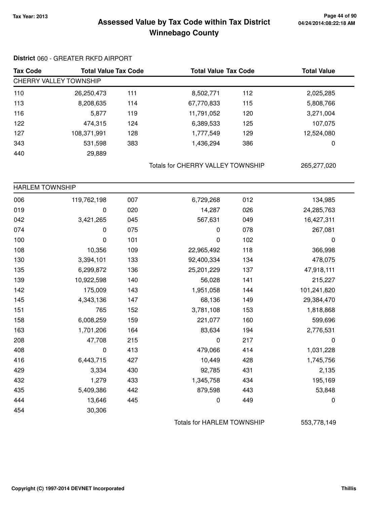### **Tax Year: 2013 Page 44 of 90 Assessed Value by Tax Code within Tax District Winnebago County**

#### **District** 060 - GREATER RKFD AIRPORT

| <b>Tax Code</b> | <b>Total Value Tax Code</b> |     | <b>Total Value Tax Code</b> |     | <b>Total Value</b> |  |  |  |
|-----------------|-----------------------------|-----|-----------------------------|-----|--------------------|--|--|--|
|                 | CHERRY VALLEY TOWNSHIP      |     |                             |     |                    |  |  |  |
| 110             | 26,250,473                  | 111 | 8,502,771                   | 112 | 2,025,285          |  |  |  |
| 113             | 8,208,635                   | 114 | 67,770,833                  | 115 | 5,808,766          |  |  |  |
| 116             | 5,877                       | 119 | 11,791,052                  | 120 | 3,271,004          |  |  |  |
| 122             | 474,315                     | 124 | 6,389,533                   | 125 | 107,075            |  |  |  |
| 127             | 108,371,991                 | 128 | 1,777,549                   | 129 | 12,524,080         |  |  |  |
| 343             | 531,598                     | 383 | 1,436,294                   | 386 | 0                  |  |  |  |
| 440             | 29,889                      |     |                             |     |                    |  |  |  |

Totals for CHERRY VALLEY TOWNSHIP 265,277,020

| <b>HARLEM TOWNSHIP</b> |                  |     |            |     |             |
|------------------------|------------------|-----|------------|-----|-------------|
| 006                    | 119,762,198      | 007 | 6,729,268  | 012 | 134,985     |
| 019                    | 0                | 020 | 14,287     | 026 | 24,285,763  |
| 042                    | 3,421,265        | 045 | 567,631    | 049 | 16,427,311  |
| 074                    | $\mathbf 0$      | 075 | 0          | 078 | 267,081     |
| 100                    | $\boldsymbol{0}$ | 101 | 0          | 102 | 0           |
| 108                    | 10,356           | 109 | 22,965,492 | 118 | 366,998     |
| 130                    | 3,394,101        | 133 | 92,400,334 | 134 | 478,075     |
| 135                    | 6,299,872        | 136 | 25,201,229 | 137 | 47,918,111  |
| 139                    | 10,922,598       | 140 | 56,028     | 141 | 215,227     |
| 142                    | 175,009          | 143 | 1,951,058  | 144 | 101,241,820 |
| 145                    | 4,343,136        | 147 | 68,136     | 149 | 29,384,470  |
| 151                    | 765              | 152 | 3,781,108  | 153 | 1,818,868   |
| 158                    | 6,008,259        | 159 | 221,077    | 160 | 599,696     |
| 163                    | 1,701,206        | 164 | 83,634     | 194 | 2,776,531   |
| 208                    | 47,708           | 215 | 0          | 217 | 0           |
| 408                    | $\pmb{0}$        | 413 | 479,066    | 414 | 1,031,228   |
| 416                    | 6,443,715        | 427 | 10,449     | 428 | 1,745,756   |
| 429                    | 3,334            | 430 | 92,785     | 431 | 2,135       |
| 432                    | 1,279            | 433 | 1,345,758  | 434 | 195,169     |
| 435                    | 5,409,386        | 442 | 879,598    | 443 | 53,848      |
| 444                    | 13,646           | 445 | 0          | 449 | 0           |
| 454                    | 30,306           |     |            |     |             |

Totals for HARLEM TOWNSHIP 553,778,149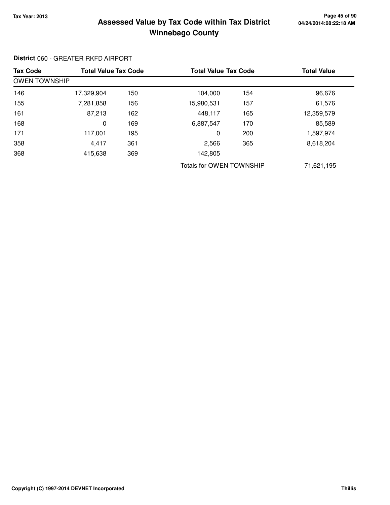#### **Tax Year: 2013 Page 45 of 90 Assessed Value by Tax Code within Tax District Winnebago County**

#### Tax Code Total Value Tax Code Total Value Tax Code Total Value OWEN TOWNSHIP 146 17,329,904 150 104,000 154 96,676 155 7,281,858 156 15,980,531 157 61,576 161 87,213 162 448,117 165 12,359,579 168 0 6,887,547 169 170 85,589 171 117,001 195 0 200 1,597,974 358 4,417 2,566 361 365 8,618,204 368 415,638 142,805 369 Totals for OWEN TOWNSHIP 71,621,195

**District** 060 - GREATER RKFD AIRPORT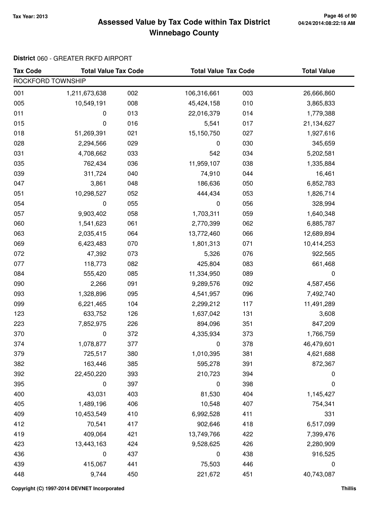### **Tax Year: 2013 Page 46 of 90 Assessed Value by Tax Code within Tax District Winnebago County**

#### **District** 060 - GREATER RKFD AIRPORT

| <b>Tax Code</b>   | <b>Total Value Tax Code</b> |     | <b>Total Value Tax Code</b> |     | <b>Total Value</b> |  |  |  |
|-------------------|-----------------------------|-----|-----------------------------|-----|--------------------|--|--|--|
| ROCKFORD TOWNSHIP |                             |     |                             |     |                    |  |  |  |
| 001               | 1,211,673,638               | 002 | 106,316,661                 | 003 | 26,666,860         |  |  |  |
| 005               | 10,549,191                  | 008 | 45,424,158                  | 010 | 3,865,833          |  |  |  |
| 011               | 0                           | 013 | 22,016,379                  | 014 | 1,779,388          |  |  |  |
| 015               | 0                           | 016 | 5,541                       | 017 | 21,134,627         |  |  |  |
| 018               | 51,269,391                  | 021 | 15,150,750                  | 027 | 1,927,616          |  |  |  |
| 028               | 2,294,566                   | 029 | 0                           | 030 | 345,659            |  |  |  |
| 031               | 4,708,662                   | 033 | 542                         | 034 | 5,202,581          |  |  |  |
| 035               | 762,434                     | 036 | 11,959,107                  | 038 | 1,335,884          |  |  |  |
| 039               | 311,724                     | 040 | 74,910                      | 044 | 16,461             |  |  |  |
| 047               | 3,861                       | 048 | 186,636                     | 050 | 6,852,783          |  |  |  |
| 051               | 10,298,527                  | 052 | 444,434                     | 053 | 1,826,714          |  |  |  |
| 054               | 0                           | 055 | 0                           | 056 | 328,994            |  |  |  |
| 057               | 9,903,402                   | 058 | 1,703,311                   | 059 | 1,640,348          |  |  |  |
| 060               | 1,541,623                   | 061 | 2,770,399                   | 062 | 6,885,787          |  |  |  |
| 063               | 2,035,415                   | 064 | 13,772,460                  | 066 | 12,689,894         |  |  |  |
| 069               | 6,423,483                   | 070 | 1,801,313                   | 071 | 10,414,253         |  |  |  |
| 072               | 47,392                      | 073 | 5,326                       | 076 | 922,565            |  |  |  |
| 077               | 118,773                     | 082 | 425,804                     | 083 | 661,468            |  |  |  |
| 084               | 555,420                     | 085 | 11,334,950                  | 089 | $\pmb{0}$          |  |  |  |
| 090               | 2,266                       | 091 | 9,289,576                   | 092 | 4,587,456          |  |  |  |
| 093               | 1,328,896                   | 095 | 4,541,957                   | 096 | 7,492,740          |  |  |  |
| 099               | 6,221,465                   | 104 | 2,299,212                   | 117 | 11,491,289         |  |  |  |
| 123               | 633,752                     | 126 | 1,637,042                   | 131 | 3,608              |  |  |  |
| 223               | 7,852,975                   | 226 | 894,096                     | 351 | 847,209            |  |  |  |
| 370               | 0                           | 372 | 4,335,934                   | 373 | 1,766,759          |  |  |  |
| 374               | 1,078,877                   | 377 | 0                           | 378 | 46,479,601         |  |  |  |
| 379               | 725,517                     | 380 | 1,010,395                   | 381 | 4,621,688          |  |  |  |
| 382               | 163,446                     | 385 | 595,278                     | 391 | 872,367            |  |  |  |
| 392               | 22,450,220                  | 393 | 210,723                     | 394 | 0                  |  |  |  |
| 395               | 0                           | 397 | 0                           | 398 | 0                  |  |  |  |
| 400               | 43,031                      | 403 | 81,530                      | 404 | 1,145,427          |  |  |  |
| 405               | 1,489,196                   | 406 | 10,548                      | 407 | 754,341            |  |  |  |
| 409               | 10,453,549                  | 410 | 6,992,528                   | 411 | 331                |  |  |  |
| 412               | 70,541                      | 417 | 902,646                     | 418 | 6,517,099          |  |  |  |
| 419               | 409,064                     | 421 | 13,749,766                  | 422 | 7,399,476          |  |  |  |
| 423               | 13,443,163                  | 424 | 9,528,625                   | 426 | 2,280,909          |  |  |  |
| 436               | 0                           | 437 | 0                           | 438 | 916,525            |  |  |  |
| 439               | 415,067                     | 441 | 75,503                      | 446 | 0                  |  |  |  |
| 448               | 9,744                       | 450 | 221,672                     | 451 | 40,743,087         |  |  |  |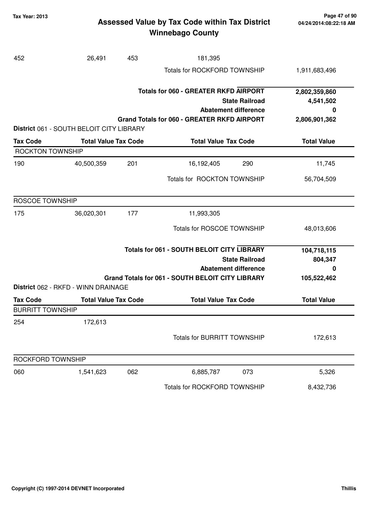### **Tax Year: 2013 Page 47 of 90 Assessed Value by Tax Code within Tax District Winnebago County**

| 452                                        | 26,491                                   | 453 | 181,395                                                 |                             |                            |
|--------------------------------------------|------------------------------------------|-----|---------------------------------------------------------|-----------------------------|----------------------------|
|                                            |                                          |     | <b>Totals for ROCKFORD TOWNSHIP</b>                     |                             | 1,911,683,496              |
|                                            |                                          |     | <b>Totals for 060 - GREATER RKFD AIRPORT</b>            | <b>State Railroad</b>       | 2,802,359,860<br>4,541,502 |
|                                            |                                          |     |                                                         | <b>Abatement difference</b> | 0                          |
|                                            | District 061 - SOUTH BELOIT CITY LIBRARY |     | <b>Grand Totals for 060 - GREATER RKFD AIRPORT</b>      |                             | 2,806,901,362              |
| <b>Tax Code</b>                            | <b>Total Value Tax Code</b>              |     | <b>Total Value Tax Code</b>                             |                             | <b>Total Value</b>         |
| <b>ROCKTON TOWNSHIP</b>                    |                                          |     |                                                         |                             |                            |
| 190                                        | 40,500,359                               | 201 | 16,192,405                                              | 290                         | 11,745                     |
|                                            |                                          |     | Totals for ROCKTON TOWNSHIP                             |                             | 56,704,509                 |
| <b>ROSCOE TOWNSHIP</b>                     |                                          |     |                                                         |                             |                            |
| 175                                        | 36,020,301                               | 177 | 11,993,305                                              |                             |                            |
|                                            |                                          |     | <b>Totals for ROSCOE TOWNSHIP</b>                       |                             | 48,013,606                 |
|                                            |                                          |     | <b>Totals for 061 - SOUTH BELOIT CITY LIBRARY</b>       | <b>State Railroad</b>       | 104,718,115<br>804,347     |
|                                            |                                          |     |                                                         | <b>Abatement difference</b> | 0                          |
|                                            | District 062 - RKFD - WINN DRAINAGE      |     | <b>Grand Totals for 061 - SOUTH BELOIT CITY LIBRARY</b> |                             | 105,522,462                |
|                                            |                                          |     |                                                         |                             |                            |
| <b>Tax Code</b><br><b>BURRITT TOWNSHIP</b> | <b>Total Value Tax Code</b>              |     | <b>Total Value Tax Code</b>                             |                             | <b>Total Value</b>         |
| 254                                        | 172,613                                  |     |                                                         |                             |                            |
|                                            |                                          |     | <b>Totals for BURRITT TOWNSHIP</b>                      |                             | 172,613                    |
| ROCKFORD TOWNSHIP                          |                                          |     |                                                         |                             |                            |
| 060                                        | 1,541,623                                | 062 | 6,885,787                                               | 073                         | 5,326                      |
|                                            |                                          |     | Totals for ROCKFORD TOWNSHIP                            |                             | 8,432,736                  |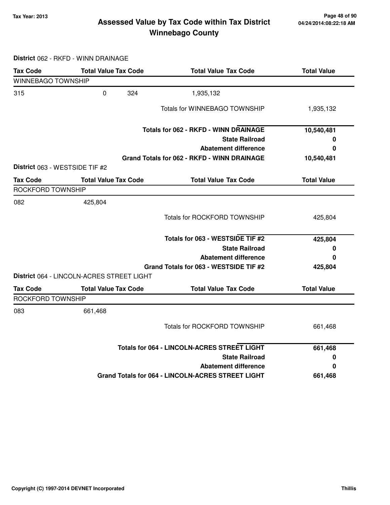### **Tax Year: 2013 Page 48 of 90 Assessed Value by Tax Code within Tax District Winnebago County**

**District** 062 - RKFD - WINN DRAINAGE

| <b>Tax Code</b>                | <b>Total Value Tax Code</b>               | <b>Total Value Tax Code</b>                        | <b>Total Value</b> |
|--------------------------------|-------------------------------------------|----------------------------------------------------|--------------------|
| <b>WINNEBAGO TOWNSHIP</b>      |                                           |                                                    |                    |
| 315                            | $\mathbf 0$<br>324                        | 1,935,132                                          |                    |
|                                |                                           | Totals for WINNEBAGO TOWNSHIP                      | 1,935,132          |
|                                |                                           | <b>Totals for 062 - RKFD - WINN DRAINAGE</b>       | 10,540,481         |
|                                |                                           | <b>State Railroad</b>                              | 0                  |
|                                |                                           | <b>Abatement difference</b>                        | 0                  |
|                                |                                           | Grand Totals for 062 - RKFD - WINN DRAINAGE        | 10,540,481         |
| District 063 - WESTSIDE TIF #2 |                                           |                                                    |                    |
| <b>Tax Code</b>                | <b>Total Value Tax Code</b>               | <b>Total Value Tax Code</b>                        | <b>Total Value</b> |
| ROCKFORD TOWNSHIP              |                                           |                                                    |                    |
| 082                            | 425,804                                   |                                                    |                    |
|                                |                                           | <b>Totals for ROCKFORD TOWNSHIP</b>                | 425,804            |
|                                |                                           | Totals for 063 - WESTSIDE TIF #2                   | 425,804            |
|                                |                                           | <b>State Railroad</b>                              | 0                  |
|                                |                                           | <b>Abatement difference</b>                        | 0                  |
|                                |                                           | Grand Totals for 063 - WESTSIDE TIF #2             | 425,804            |
|                                | District 064 - LINCOLN-ACRES STREET LIGHT |                                                    |                    |
| <b>Tax Code</b>                | <b>Total Value Tax Code</b>               | <b>Total Value Tax Code</b>                        | <b>Total Value</b> |
| ROCKFORD TOWNSHIP              |                                           |                                                    |                    |
| 083                            | 661,468                                   |                                                    |                    |
|                                |                                           | <b>Totals for ROCKFORD TOWNSHIP</b>                | 661,468            |
|                                |                                           | <b>Totals for 064 - LINCOLN-ACRES STREET LIGHT</b> | 661,468            |
|                                |                                           | <b>State Railroad</b>                              | 0                  |
|                                |                                           | <b>Abatement difference</b>                        | 0                  |
|                                |                                           | Grand Totals for 064 - LINCOLN-ACRES STREET LIGHT  | 661,468            |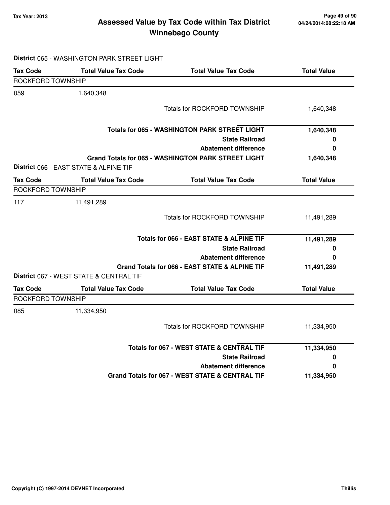**District** 065 - WASHINGTON PARK STREET LIGHT

# **Tax Year: 2013 Page 49 of 90 Assessed Value by Tax Code within Tax District**

# **Winnebago County**

| <b>Tax Code</b>          | <b>Total Value Tax Code</b>             | <b>Total Value Tax Code</b>                                | <b>Total Value</b> |
|--------------------------|-----------------------------------------|------------------------------------------------------------|--------------------|
| ROCKFORD TOWNSHIP        |                                         |                                                            |                    |
| 059                      | 1,640,348                               |                                                            |                    |
|                          |                                         | <b>Totals for ROCKFORD TOWNSHIP</b>                        | 1,640,348          |
|                          |                                         | <b>Totals for 065 - WASHINGTON PARK STREET LIGHT</b>       | 1,640,348          |
|                          |                                         | <b>State Railroad</b>                                      | 0                  |
|                          |                                         | <b>Abatement difference</b>                                | $\bf{0}$           |
|                          | District 066 - EAST STATE & ALPINE TIF  | <b>Grand Totals for 065 - WASHINGTON PARK STREET LIGHT</b> | 1,640,348          |
| <b>Tax Code</b>          | <b>Total Value Tax Code</b>             | <b>Total Value Tax Code</b>                                | <b>Total Value</b> |
| <b>ROCKFORD TOWNSHIP</b> |                                         |                                                            |                    |
| 117                      | 11,491,289                              |                                                            |                    |
|                          |                                         | <b>Totals for ROCKFORD TOWNSHIP</b>                        | 11,491,289         |
|                          |                                         | Totals for 066 - EAST STATE & ALPINE TIF                   | 11,491,289         |
|                          |                                         | <b>State Railroad</b>                                      | 0                  |
|                          |                                         | <b>Abatement difference</b>                                | 0                  |
|                          | District 067 - WEST STATE & CENTRAL TIF | Grand Totals for 066 - EAST STATE & ALPINE TIF             | 11,491,289         |
| <b>Tax Code</b>          | <b>Total Value Tax Code</b>             | <b>Total Value Tax Code</b>                                | <b>Total Value</b> |
| ROCKFORD TOWNSHIP        |                                         |                                                            |                    |
| 085                      | 11,334,950                              |                                                            |                    |
|                          |                                         | Totals for ROCKFORD TOWNSHIP                               | 11,334,950         |
|                          |                                         | <b>Totals for 067 - WEST STATE &amp; CENTRAL TIF</b>       | 11,334,950         |
|                          |                                         | <b>State Railroad</b>                                      | 0                  |
|                          |                                         | <b>Abatement difference</b>                                | $\bf{0}$           |
|                          |                                         | Grand Totals for 067 - WEST STATE & CENTRAL TIF            | 11,334,950         |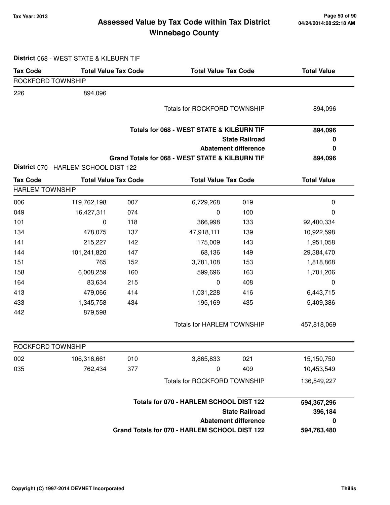### **Tax Year: 2013 Page 50 of 90 Assessed Value by Tax Code within Tax District Winnebago County**

| District 068 - WEST STATE & KILBURN TIF |  |  |  |  |  |  |
|-----------------------------------------|--|--|--|--|--|--|
|-----------------------------------------|--|--|--|--|--|--|

| <b>Tax Code</b>                           | <b>Total Value Tax Code</b>           |     |                                                      | <b>Total Value Tax Code</b> |                    |
|-------------------------------------------|---------------------------------------|-----|------------------------------------------------------|-----------------------------|--------------------|
| ROCKFORD TOWNSHIP                         |                                       |     |                                                      |                             |                    |
| 226                                       | 894,096                               |     |                                                      |                             |                    |
|                                           |                                       |     | Totals for ROCKFORD TOWNSHIP                         |                             | 894,096            |
|                                           |                                       |     |                                                      |                             |                    |
|                                           |                                       |     | <b>Totals for 068 - WEST STATE &amp; KILBURN TIF</b> |                             | 894,096            |
|                                           |                                       |     |                                                      | <b>State Railroad</b>       | 0                  |
|                                           |                                       |     |                                                      | <b>Abatement difference</b> | 0                  |
|                                           |                                       |     | Grand Totals for 068 - WEST STATE & KILBURN TIF      |                             | 894,096            |
|                                           | District 070 - HARLEM SCHOOL DIST 122 |     |                                                      |                             |                    |
| <b>Tax Code</b><br><b>HARLEM TOWNSHIP</b> | <b>Total Value Tax Code</b>           |     | <b>Total Value Tax Code</b>                          |                             | <b>Total Value</b> |
| 006                                       | 119,762,198                           | 007 | 6,729,268                                            | 019                         | $\pmb{0}$          |
| 049                                       | 16,427,311                            | 074 | $\mathbf 0$                                          | 100                         | 0                  |
| 101                                       | 0                                     | 118 | 366,998                                              | 133                         | 92,400,334         |
| 134                                       | 478,075                               | 137 | 47,918,111                                           | 139                         | 10,922,598         |
| 141                                       | 215,227                               | 142 | 175,009                                              | 143                         | 1,951,058          |
| 144                                       | 101,241,820                           | 147 | 68,136                                               | 149                         | 29,384,470         |
| 151                                       | 765                                   | 152 | 3,781,108                                            | 153                         | 1,818,868          |
| 158                                       | 6,008,259                             | 160 | 599,696                                              | 163                         | 1,701,206          |
| 164                                       | 83,634                                | 215 | 0                                                    | 408                         | 0                  |
| 413                                       | 479,066                               | 414 | 1,031,228                                            | 416                         | 6,443,715          |
| 433                                       | 1,345,758                             | 434 | 195,169                                              | 435                         | 5,409,386          |
| 442                                       | 879,598                               |     |                                                      |                             |                    |
|                                           |                                       |     | <b>Totals for HARLEM TOWNSHIP</b>                    |                             | 457,818,069        |
| ROCKFORD TOWNSHIP                         |                                       |     |                                                      |                             |                    |
| 002                                       | 106,316,661                           | 010 | 3,865,833                                            | 021                         | 15,150,750         |
| 035                                       | 762,434                               | 377 | $\pmb{0}$                                            | 409                         | 10,453,549         |
|                                           |                                       |     |                                                      |                             |                    |
|                                           |                                       |     | Totals for ROCKFORD TOWNSHIP                         |                             | 136,549,227        |
|                                           |                                       |     | Totals for 070 - HARLEM SCHOOL DIST 122              |                             | 594,367,296        |
|                                           |                                       |     |                                                      | <b>State Railroad</b>       | 396,184            |
|                                           |                                       |     |                                                      | <b>Abatement difference</b> | 0                  |
|                                           |                                       |     | Grand Totals for 070 - HARLEM SCHOOL DIST 122        |                             | 594,763,480        |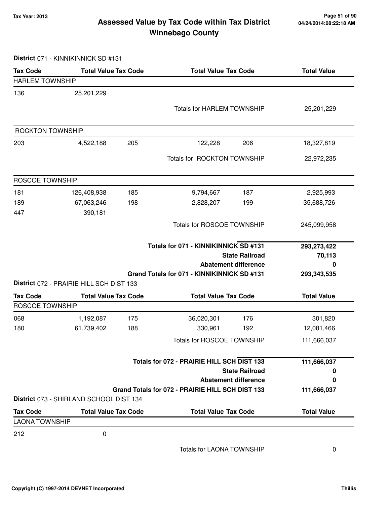### **Tax Year: 2013 Page 51 of 90 Assessed Value by Tax Code within Tax District Winnebago County**

**District** 071 - KINNIKINNICK SD #131

| <b>Tax Code</b>        | <b>Total Value Tax Code</b>              |     | <b>Total Value Tax Code</b>                      |                                                      | <b>Total Value</b> |  |
|------------------------|------------------------------------------|-----|--------------------------------------------------|------------------------------------------------------|--------------------|--|
| <b>HARLEM TOWNSHIP</b> |                                          |     |                                                  |                                                      |                    |  |
| 136                    | 25, 201, 229                             |     |                                                  |                                                      |                    |  |
|                        |                                          |     | <b>Totals for HARLEM TOWNSHIP</b>                |                                                      | 25,201,229         |  |
|                        |                                          |     |                                                  |                                                      |                    |  |
| ROCKTON TOWNSHIP       |                                          |     |                                                  |                                                      |                    |  |
| 203                    | 4,522,188                                | 205 | 122,228                                          | 206                                                  | 18,327,819         |  |
|                        |                                          |     | Totals for ROCKTON TOWNSHIP                      |                                                      | 22,972,235         |  |
|                        |                                          |     |                                                  |                                                      |                    |  |
| ROSCOE TOWNSHIP        |                                          |     |                                                  |                                                      |                    |  |
| 181                    | 126,408,938                              | 185 | 9,794,667                                        | 187                                                  | 2,925,993          |  |
| 189                    | 67,063,246                               | 198 | 2,828,207                                        | 199                                                  | 35,688,726         |  |
| 447                    | 390,181                                  |     |                                                  |                                                      |                    |  |
|                        |                                          |     | <b>Totals for ROSCOE TOWNSHIP</b>                |                                                      | 245,099,958        |  |
|                        |                                          |     |                                                  |                                                      |                    |  |
|                        |                                          |     | Totals for 071 - KINNIKINNICK SD #131            |                                                      | 293,273,422        |  |
|                        |                                          |     |                                                  | <b>State Railroad</b><br><b>Abatement difference</b> | 70,113<br>0        |  |
|                        |                                          |     | Grand Totals for 071 - KINNIKINNICK SD #131      |                                                      | 293,343,535        |  |
|                        | District 072 - PRAIRIE HILL SCH DIST 133 |     |                                                  |                                                      |                    |  |
| <b>Tax Code</b>        | <b>Total Value Tax Code</b>              |     | <b>Total Value Tax Code</b>                      |                                                      | <b>Total Value</b> |  |
| ROSCOE TOWNSHIP        |                                          |     |                                                  |                                                      |                    |  |
| 068                    | 1,192,087                                | 175 | 36,020,301                                       | 176                                                  | 301,820            |  |
| 180                    | 61,739,402                               | 188 | 330,961                                          | 192                                                  | 12,081,466         |  |
|                        |                                          |     | <b>Totals for ROSCOE TOWNSHIP</b>                |                                                      | 111,666,037        |  |
|                        |                                          |     | Totals for 072 - PRAIRIE HILL SCH DIST 133       |                                                      | 111,666,037        |  |
|                        |                                          |     |                                                  | <b>State Railroad</b>                                | 0                  |  |
|                        |                                          |     |                                                  | <b>Abatement difference</b>                          | 0                  |  |
|                        |                                          |     | Grand Totals for 072 - PRAIRIE HILL SCH DIST 133 |                                                      | 111,666,037        |  |
|                        | District 073 - SHIRLAND SCHOOL DIST 134  |     |                                                  |                                                      |                    |  |
| <b>Tax Code</b>        | <b>Total Value Tax Code</b>              |     | <b>Total Value Tax Code</b>                      |                                                      | <b>Total Value</b> |  |
| <b>LAONA TOWNSHIP</b>  |                                          |     |                                                  |                                                      |                    |  |
| 212                    | 0                                        |     |                                                  |                                                      |                    |  |
|                        |                                          |     |                                                  |                                                      |                    |  |

Totals for LAONA TOWNSHIP 0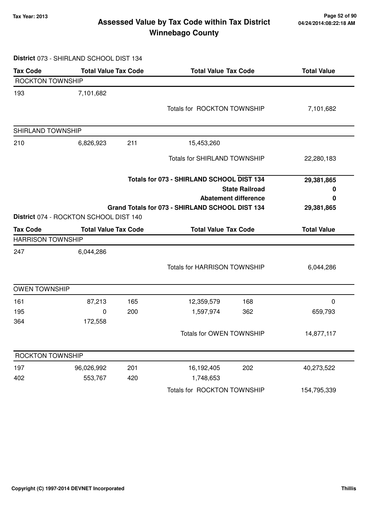### **Tax Year: 2013 Page 52 of 90 Assessed Value by Tax Code within Tax District Winnebago County**

#### **District** 073 - SHIRLAND SCHOOL DIST 134

| <b>Tax Code</b>                | <b>Total Value Tax Code</b>            |     | <b>Total Value Tax Code</b>                     |                             | <b>Total Value</b> |
|--------------------------------|----------------------------------------|-----|-------------------------------------------------|-----------------------------|--------------------|
| ROCKTON TOWNSHIP               |                                        |     |                                                 |                             |                    |
| 193                            | 7,101,682                              |     |                                                 |                             |                    |
|                                |                                        |     | Totals for ROCKTON TOWNSHIP                     |                             | 7,101,682          |
|                                |                                        |     |                                                 |                             |                    |
| SHIRLAND TOWNSHIP              |                                        |     |                                                 |                             |                    |
| 210                            | 6,826,923                              | 211 | 15,453,260                                      |                             |                    |
|                                |                                        |     | Totals for SHIRLAND TOWNSHIP                    |                             | 22,280,183         |
|                                |                                        |     | Totals for 073 - SHIRLAND SCHOOL DIST 134       |                             | 29,381,865         |
|                                |                                        |     |                                                 | <b>State Railroad</b>       | 0                  |
|                                |                                        |     |                                                 | <b>Abatement difference</b> | 0                  |
|                                | District 074 - ROCKTON SCHOOL DIST 140 |     | Grand Totals for 073 - SHIRLAND SCHOOL DIST 134 |                             | 29,381,865         |
| <b>Tax Code</b>                | <b>Total Value Tax Code</b>            |     | <b>Total Value Tax Code</b>                     |                             | <b>Total Value</b> |
| <b>HARRISON TOWNSHIP</b>       |                                        |     |                                                 |                             |                    |
| 247                            | 6,044,286                              |     |                                                 |                             |                    |
|                                |                                        |     | <b>Totals for HARRISON TOWNSHIP</b>             |                             | 6,044,286          |
|                                |                                        |     |                                                 |                             |                    |
| <b>OWEN TOWNSHIP</b>           |                                        |     |                                                 |                             |                    |
| 161                            | 87,213                                 | 165 | 12,359,579                                      | 168                         | $\mathbf 0$        |
| 195                            | 0                                      | 200 | 1,597,974                                       | 362                         | 659,793            |
| 364                            | 172,558                                |     |                                                 |                             |                    |
|                                |                                        |     | Totals for OWEN TOWNSHIP                        |                             | 14,877,117         |
|                                |                                        |     |                                                 |                             |                    |
|                                |                                        |     |                                                 |                             |                    |
|                                | 96,026,992                             | 201 | 16,192,405                                      | 202                         | 40,273,522         |
| ROCKTON TOWNSHIP<br>197<br>402 | 553,767                                | 420 | 1,748,653                                       |                             |                    |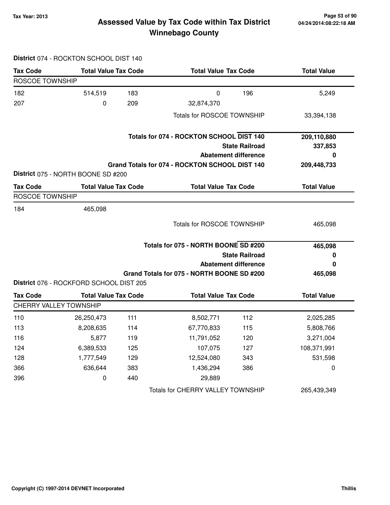### **Tax Year: 2013 Page 53 of 90 Assessed Value by Tax Code within Tax District Winnebago County**

## **District** 074 - ROCKTON SCHOOL DIST 140

| <b>Tax Code</b>               | <b>Total Value Tax Code</b>             |     | <b>Total Value Tax Code</b>                    |                             | <b>Total Value</b> |
|-------------------------------|-----------------------------------------|-----|------------------------------------------------|-----------------------------|--------------------|
| <b>ROSCOE TOWNSHIP</b>        |                                         |     |                                                |                             |                    |
| 182                           | 514,519                                 | 183 | $\mathbf 0$                                    | 196                         | 5,249              |
| 207                           | 0                                       | 209 | 32,874,370                                     |                             |                    |
|                               |                                         |     | <b>Totals for ROSCOE TOWNSHIP</b>              |                             | 33,394,138         |
|                               |                                         |     | Totals for 074 - ROCKTON SCHOOL DIST 140       |                             | 209,110,880        |
|                               |                                         |     |                                                | <b>State Railroad</b>       | 337,853            |
|                               |                                         |     |                                                | <b>Abatement difference</b> | 0                  |
|                               |                                         |     | Grand Totals for 074 - ROCKTON SCHOOL DIST 140 |                             | 209,448,733        |
|                               | District 075 - NORTH BOONE SD #200      |     |                                                |                             |                    |
| <b>Tax Code</b>               | <b>Total Value Tax Code</b>             |     | <b>Total Value Tax Code</b>                    |                             | <b>Total Value</b> |
| <b>ROSCOE TOWNSHIP</b>        |                                         |     |                                                |                             |                    |
| 184                           | 465,098                                 |     |                                                |                             |                    |
|                               |                                         |     | Totals for ROSCOE TOWNSHIP                     |                             | 465,098            |
|                               |                                         |     | Totals for 075 - NORTH BOONE SD #200           |                             | 465,098            |
|                               |                                         |     |                                                | <b>State Railroad</b>       | 0                  |
|                               |                                         |     |                                                | <b>Abatement difference</b> | 0                  |
|                               |                                         |     | Grand Totals for 075 - NORTH BOONE SD #200     |                             | 465,098            |
|                               | District 076 - ROCKFORD SCHOOL DIST 205 |     |                                                |                             |                    |
| <b>Tax Code</b>               | <b>Total Value Tax Code</b>             |     | <b>Total Value Tax Code</b>                    |                             | <b>Total Value</b> |
| <b>CHERRY VALLEY TOWNSHIP</b> |                                         |     |                                                |                             |                    |
| 110                           | 26,250,473                              | 111 | 8,502,771                                      | 112                         | 2,025,285          |
| 113                           | 8,208,635                               | 114 | 67,770,833                                     | 115                         | 5,808,766          |
| 116                           | 5,877                                   | 119 | 11,791,052                                     | 120                         | 3,271,004          |
| 124                           | 6,389,533                               | 125 | 107,075                                        | 127                         | 108,371,991        |
| 128                           | 1,777,549                               | 129 | 12,524,080                                     | 343                         | 531,598            |
| 366                           | 636,644                                 | 383 | 1,436,294                                      | 386                         | $\boldsymbol{0}$   |
| 396                           | 0                                       | 440 | 29,889                                         |                             |                    |
|                               |                                         |     | Totals for CHERRY VALLEY TOWNSHIP              |                             | 265,439,349        |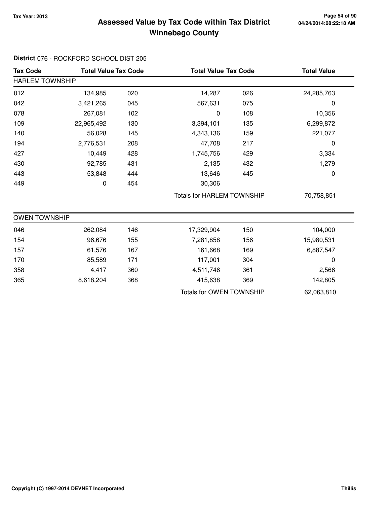### **Tax Year: 2013 Page 54 of 90 Assessed Value by Tax Code within Tax District Winnebago County**

#### **District** 076 - ROCKFORD SCHOOL DIST 205

| <b>Tax Code</b>        | <b>Total Value Tax Code</b> |     | <b>Total Value Tax Code</b>       |     | <b>Total Value</b> |  |  |
|------------------------|-----------------------------|-----|-----------------------------------|-----|--------------------|--|--|
| <b>HARLEM TOWNSHIP</b> |                             |     |                                   |     |                    |  |  |
| 012                    | 134,985                     | 020 | 14,287                            | 026 | 24,285,763         |  |  |
| 042                    | 3,421,265                   | 045 | 567,631                           | 075 | 0                  |  |  |
| 078                    | 267,081                     | 102 | 0                                 | 108 | 10,356             |  |  |
| 109                    | 22,965,492                  | 130 | 3,394,101                         | 135 | 6,299,872          |  |  |
| 140                    | 56,028                      | 145 | 4,343,136                         | 159 | 221,077            |  |  |
| 194                    | 2,776,531                   | 208 | 47,708                            | 217 | 0                  |  |  |
| 427                    | 10,449                      | 428 | 1,745,756                         | 429 | 3,334              |  |  |
| 430                    | 92,785                      | 431 | 2,135                             | 432 | 1,279              |  |  |
| 443                    | 53,848                      | 444 | 13,646                            | 445 | 0                  |  |  |
| 449                    | 0                           | 454 | 30,306                            |     |                    |  |  |
|                        |                             |     | <b>Totals for HARLEM TOWNSHIP</b> |     | 70,758,851         |  |  |
| <b>OWEN TOWNSHIP</b>   |                             |     |                                   |     |                    |  |  |
| 046                    | 262,084                     | 146 | 17,329,904                        | 150 | 104,000            |  |  |
| 154                    | 96,676                      | 155 | 7,281,858                         | 156 | 15,980,531         |  |  |
| 157                    | 61,576                      | 167 | 161,668                           | 169 | 6,887,547          |  |  |
| 170                    | 85,589                      | 171 | 117,001                           | 304 | 0                  |  |  |
| 358                    | 4,417                       | 360 | 4,511,746                         | 361 | 2,566              |  |  |
| 365                    | 8,618,204                   | 368 | 415,638                           | 369 | 142,805            |  |  |
|                        |                             |     | <b>Totals for OWEN TOWNSHIP</b>   |     | 62,063,810         |  |  |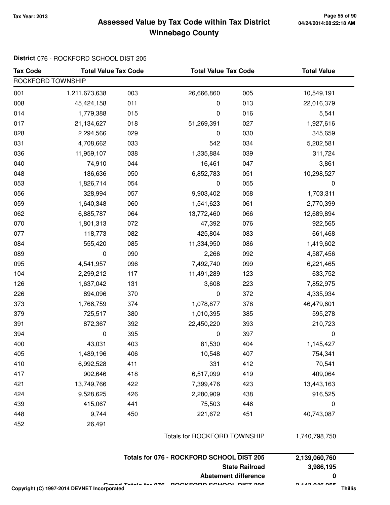### **Tax Year: 2013 Page 55 of 90 Assessed Value by Tax Code within Tax District Winnebago County**

#### **District** 076 - ROCKFORD SCHOOL DIST 205

| <b>Tax Code</b>   | <b>Total Value Tax Code</b> |     | <b>Total Value Tax Code</b>  |     | <b>Total Value</b> |  |  |
|-------------------|-----------------------------|-----|------------------------------|-----|--------------------|--|--|
| ROCKFORD TOWNSHIP |                             |     |                              |     |                    |  |  |
| 001               | 1,211,673,638               | 003 | 26,666,860                   | 005 | 10,549,191         |  |  |
| 008               | 45,424,158                  | 011 | 0                            | 013 | 22,016,379         |  |  |
| 014               | 1,779,388                   | 015 | 0                            | 016 | 5,541              |  |  |
| 017               | 21,134,627                  | 018 | 51,269,391                   | 027 | 1,927,616          |  |  |
| 028               | 2,294,566                   | 029 | 0                            | 030 | 345,659            |  |  |
| 031               | 4,708,662                   | 033 | 542                          | 034 | 5,202,581          |  |  |
| 036               | 11,959,107                  | 038 | 1,335,884                    | 039 | 311,724            |  |  |
| 040               | 74,910                      | 044 | 16,461                       | 047 | 3,861              |  |  |
| 048               | 186,636                     | 050 | 6,852,783                    | 051 | 10,298,527         |  |  |
| 053               | 1,826,714                   | 054 | 0                            | 055 | $\pmb{0}$          |  |  |
| 056               | 328,994                     | 057 | 9,903,402                    | 058 | 1,703,311          |  |  |
| 059               | 1,640,348                   | 060 | 1,541,623                    | 061 | 2,770,399          |  |  |
| 062               | 6,885,787                   | 064 | 13,772,460                   | 066 | 12,689,894         |  |  |
| 070               | 1,801,313                   | 072 | 47,392                       | 076 | 922,565            |  |  |
| 077               | 118,773                     | 082 | 425,804                      | 083 | 661,468            |  |  |
| 084               | 555,420                     | 085 | 11,334,950                   | 086 | 1,419,602          |  |  |
| 089               | 0                           | 090 | 2,266                        | 092 | 4,587,456          |  |  |
| 095               | 4,541,957                   | 096 | 7,492,740                    | 099 | 6,221,465          |  |  |
| 104               | 2,299,212                   | 117 | 11,491,289                   | 123 | 633,752            |  |  |
| 126               | 1,637,042                   | 131 | 3,608                        | 223 | 7,852,975          |  |  |
| 226               | 894,096                     | 370 | 0                            | 372 | 4,335,934          |  |  |
| 373               | 1,766,759                   | 374 | 1,078,877                    | 378 | 46,479,601         |  |  |
| 379               | 725,517                     | 380 | 1,010,395                    | 385 | 595,278            |  |  |
| 391               | 872,367                     | 392 | 22,450,220                   | 393 | 210,723            |  |  |
| 394               | 0                           | 395 | 0                            | 397 | 0                  |  |  |
| 400               | 43,031                      | 403 | 81,530                       | 404 | 1,145,427          |  |  |
| 405               | 1,489,196                   | 406 | 10,548                       | 407 | 754,341            |  |  |
| 410               | 6,992,528                   | 411 | 331                          | 412 | 70,541             |  |  |
| 417               | 902,646                     | 418 | 6,517,099                    | 419 | 409,064            |  |  |
| 421               | 13,749,766                  | 422 | 7,399,476                    | 423 | 13,443,163         |  |  |
| 424               | 9,528,625                   | 426 | 2,280,909                    | 438 | 916,525            |  |  |
| 439               | 415,067                     | 441 | 75,503                       | 446 | $\mathbf 0$        |  |  |
| 448               | 9,744                       | 450 | 221,672                      | 451 | 40,743,087         |  |  |
| 452               | 26,491                      |     |                              |     |                    |  |  |
|                   |                             |     | Totals for ROCKFORD TOWNSHIP |     | 1,740,798,750      |  |  |

| Totals for 076 - ROCKFORD SCHOOL DIST 205                                                      | 2,139,060,760         |
|------------------------------------------------------------------------------------------------|-----------------------|
| <b>State Railroad</b>                                                                          | 3.986.195             |
| Abatement difference                                                                           |                       |
| Overal Tatals for 070. ROOKEARD COUQOU BIOT 005<br>Copyright (C) 1997-2014 DEVNET Incorporated | 0.44000000<br>Thillis |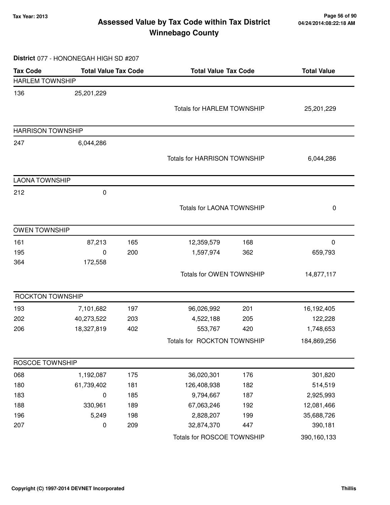### **Tax Year: 2013 Page 56 of 90 Assessed Value by Tax Code within Tax District Winnebago County**

#### **District** 077 - HONONEGAH HIGH SD #207

| <b>Tax Code</b>          | <b>Total Value Tax Code</b> |     | <b>Total Value Tax Code</b>         |     | <b>Total Value</b> |  |
|--------------------------|-----------------------------|-----|-------------------------------------|-----|--------------------|--|
| <b>HARLEM TOWNSHIP</b>   |                             |     |                                     |     |                    |  |
| 136                      | 25,201,229                  |     |                                     |     |                    |  |
|                          |                             |     | <b>Totals for HARLEM TOWNSHIP</b>   |     | 25,201,229         |  |
|                          |                             |     |                                     |     |                    |  |
| <b>HARRISON TOWNSHIP</b> |                             |     |                                     |     |                    |  |
| 247                      | 6,044,286                   |     |                                     |     |                    |  |
|                          |                             |     | <b>Totals for HARRISON TOWNSHIP</b> |     | 6,044,286          |  |
|                          |                             |     |                                     |     |                    |  |
| <b>LAONA TOWNSHIP</b>    |                             |     |                                     |     |                    |  |
| 212                      | 0                           |     |                                     |     |                    |  |
|                          |                             |     | <b>Totals for LAONA TOWNSHIP</b>    |     | 0                  |  |
|                          |                             |     |                                     |     |                    |  |
| <b>OWEN TOWNSHIP</b>     |                             |     |                                     |     |                    |  |
| 161                      | 87,213                      | 165 | 12,359,579                          | 168 | 0                  |  |
| 195                      | 0                           | 200 | 1,597,974                           | 362 | 659,793            |  |
| 364                      | 172,558                     |     |                                     |     |                    |  |
|                          |                             |     | Totals for OWEN TOWNSHIP            |     | 14,877,117         |  |
| ROCKTON TOWNSHIP         |                             |     |                                     |     |                    |  |
| 193                      | 7,101,682                   | 197 | 96,026,992                          | 201 | 16,192,405         |  |
| 202                      | 40,273,522                  | 203 | 4,522,188                           | 205 | 122,228            |  |
| 206                      | 18,327,819                  | 402 | 553,767                             | 420 | 1,748,653          |  |
|                          |                             |     | Totals for ROCKTON TOWNSHIP         |     | 184,869,256        |  |
| ROSCOE TOWNSHIP          |                             |     |                                     |     |                    |  |
| 068                      | 1,192,087                   | 175 | 36,020,301                          | 176 | 301,820            |  |
| 180                      | 61,739,402                  | 181 | 126,408,938                         | 182 | 514,519            |  |
| 183                      | 0                           | 185 | 9,794,667                           | 187 | 2,925,993          |  |
| 188                      | 330,961                     | 189 | 67,063,246                          | 192 | 12,081,466         |  |
| 196                      | 5,249                       | 198 | 2,828,207                           | 199 | 35,688,726         |  |
| 207                      | 0                           | 209 | 32,874,370                          | 447 | 390,181            |  |
|                          |                             |     | Totals for ROSCOE TOWNSHIP          |     | 390,160,133        |  |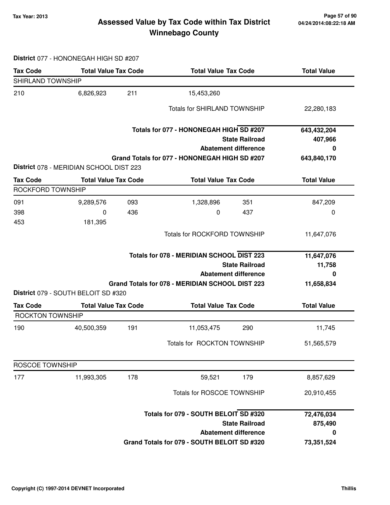### **Tax Year: 2013 Page 57 of 90 Assessed Value by Tax Code within Tax District Winnebago County**

#### **District** 077 - HONONEGAH HIGH SD #207

| <b>Tax Code</b>         | <b>Total Value Tax Code</b>             |     | <b>Total Value Tax Code</b>                      | <b>Total Value</b> |
|-------------------------|-----------------------------------------|-----|--------------------------------------------------|--------------------|
| SHIRLAND TOWNSHIP       |                                         |     |                                                  |                    |
| 210                     | 6,826,923                               | 211 | 15,453,260                                       |                    |
|                         |                                         |     | <b>Totals for SHIRLAND TOWNSHIP</b>              | 22,280,183         |
|                         |                                         |     | Totals for 077 - HONONEGAH HIGH SD #207          | 643,432,204        |
|                         |                                         |     | <b>State Railroad</b>                            | 407,966            |
|                         |                                         |     | <b>Abatement difference</b>                      | 0                  |
|                         |                                         |     | Grand Totals for 077 - HONONEGAH HIGH SD #207    | 643,840,170        |
|                         | District 078 - MERIDIAN SCHOOL DIST 223 |     |                                                  |                    |
| <b>Tax Code</b>         | <b>Total Value Tax Code</b>             |     | <b>Total Value Tax Code</b>                      | <b>Total Value</b> |
| ROCKFORD TOWNSHIP       |                                         |     |                                                  |                    |
| 091                     | 9,289,576                               | 093 | 1,328,896<br>351                                 | 847,209            |
| 398                     | 0                                       | 436 | 437<br>0                                         | 0                  |
| 453                     | 181,395                                 |     |                                                  |                    |
|                         |                                         |     | <b>Totals for ROCKFORD TOWNSHIP</b>              | 11,647,076         |
|                         |                                         |     | <b>Totals for 078 - MERIDIAN SCHOOL DIST 223</b> | 11,647,076         |
|                         |                                         |     | <b>State Railroad</b>                            | 11,758             |
|                         |                                         |     | <b>Abatement difference</b>                      | 0                  |
|                         |                                         |     | Grand Totals for 078 - MERIDIAN SCHOOL DIST 223  | 11,658,834         |
|                         | District 079 - SOUTH BELOIT SD #320     |     |                                                  |                    |
| <b>Tax Code</b>         | <b>Total Value Tax Code</b>             |     | <b>Total Value Tax Code</b>                      | <b>Total Value</b> |
| <b>ROCKTON TOWNSHIP</b> |                                         |     |                                                  |                    |
| 190                     | 40,500,359                              | 191 | 11,053,475<br>290                                | 11,745             |
|                         |                                         |     | Totals for ROCKTON TOWNSHIP                      | 51,565,579         |
| ROSCOE TOWNSHIP         |                                         |     |                                                  |                    |
| 177                     | 11,993,305                              | 178 | 59,521<br>179                                    | 8,857,629          |
|                         |                                         |     | Totals for ROSCOE TOWNSHIP                       | 20,910,455         |
|                         |                                         |     | Totals for 079 - SOUTH BELOIT SD #320            | 72,476,034         |
|                         |                                         |     | <b>State Railroad</b>                            | 875,490            |
|                         |                                         |     | <b>Abatement difference</b>                      | 0                  |
|                         |                                         |     | Grand Totals for 079 - SOUTH BELOIT SD #320      | 73,351,524         |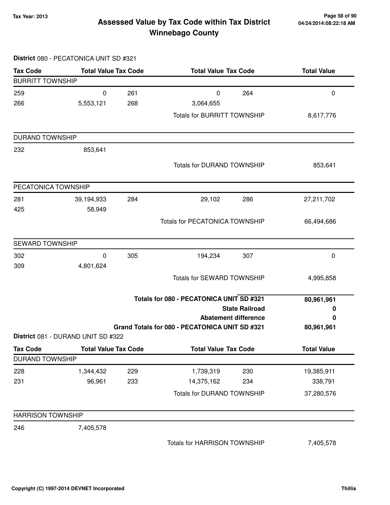**District** 080 - PECATONICA UNIT SD #321

#### **Tax Year: 2013 Page 58 of 90 Assessed Value by Tax Code within Tax District Winnebago County**

**Tax Code Total Value Tax Code Total Value Tax Code Total Value** BURRITT TOWNSHIP 259 0 261 0 264 0 266 5,553,121 3,064,655 268 Totals for BURRITT TOWNSHIP 8,617,776 DURAND TOWNSHIP 232 853,641 Totals for DURAND TOWNSHIP 853,641 PECATONICA TOWNSHIP 281 39,194,933 29,102 284 286 27,211,702 425 58,949 Totals for PECATONICA TOWNSHIP 66,494,686 SEWARD TOWNSHIP 302 0 194,234 305 307 0 309 4,801,624 Totals for SEWARD TOWNSHIP 4,995,858 **State Railroad Totals for 080 - PECATONICA UNIT SD #321 Abatement difference Grand Totals for 080 - PECATONICA UNIT SD #321 80,961,961 0 0 80,961,961 District** 081 - DURAND UNIT SD #322 Tax Code **Total Value Tax Code** Total Value Tax Code Total Value DURAND TOWNSHIP 228 1,344,432 1,739,319 229 230 19,385,911 231 96,961 14,375,162 233 234 338,791 Totals for DURAND TOWNSHIP 37,280,576 HARRISON TOWNSHIP 246 7,405,578 Totals for HARRISON TOWNSHIP 7,405,578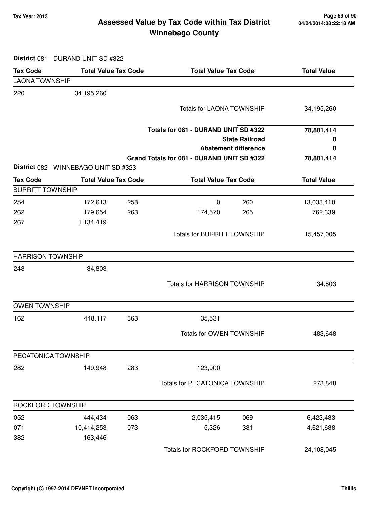### **Tax Year: 2013 Page 59 of 90 Assessed Value by Tax Code within Tax District Winnebago County**

**District** 081 - DURAND UNIT SD #322

| <b>Tax Code</b>          | <b>Total Value Tax Code</b>           |     |                                            | <b>Total Value Tax Code</b>                          |                    |
|--------------------------|---------------------------------------|-----|--------------------------------------------|------------------------------------------------------|--------------------|
| <b>LAONA TOWNSHIP</b>    |                                       |     |                                            |                                                      |                    |
| 220                      | 34,195,260                            |     |                                            |                                                      |                    |
|                          |                                       |     | <b>Totals for LAONA TOWNSHIP</b>           |                                                      | 34,195,260         |
|                          |                                       |     |                                            |                                                      |                    |
|                          |                                       |     | Totals for 081 - DURAND UNIT SD #322       |                                                      | 78,881,414         |
|                          |                                       |     |                                            | <b>State Railroad</b><br><b>Abatement difference</b> | 0<br>0             |
|                          |                                       |     | Grand Totals for 081 - DURAND UNIT SD #322 |                                                      | 78,881,414         |
|                          | District 082 - WINNEBAGO UNIT SD #323 |     |                                            |                                                      |                    |
| <b>Tax Code</b>          | <b>Total Value Tax Code</b>           |     | <b>Total Value Tax Code</b>                |                                                      | <b>Total Value</b> |
| <b>BURRITT TOWNSHIP</b>  |                                       |     |                                            |                                                      |                    |
| 254                      | 172,613                               | 258 | $\mathbf 0$                                | 260                                                  | 13,033,410         |
| 262                      | 179,654                               | 263 | 174,570                                    | 265                                                  | 762,339            |
| 267                      | 1,134,419                             |     |                                            |                                                      |                    |
|                          |                                       |     | <b>Totals for BURRITT TOWNSHIP</b>         |                                                      | 15,457,005         |
| <b>HARRISON TOWNSHIP</b> |                                       |     |                                            |                                                      |                    |
| 248                      | 34,803                                |     |                                            |                                                      |                    |
|                          |                                       |     | <b>Totals for HARRISON TOWNSHIP</b>        |                                                      | 34,803             |
| <b>OWEN TOWNSHIP</b>     |                                       |     |                                            |                                                      |                    |
| 162                      | 448,117                               | 363 | 35,531                                     |                                                      |                    |
|                          |                                       |     | Totals for OWEN TOWNSHIP                   |                                                      | 483,648            |
| PECATONICA TOWNSHIP      |                                       |     |                                            |                                                      |                    |
| 282                      | 149,948                               | 283 | 123,900                                    |                                                      |                    |
|                          |                                       |     | Totals for PECATONICA TOWNSHIP             |                                                      | 273,848            |
| ROCKFORD TOWNSHIP        |                                       |     |                                            |                                                      |                    |
| 052                      | 444,434                               | 063 | 2,035,415                                  | 069                                                  | 6,423,483          |
| 071                      | 10,414,253                            | 073 | 5,326                                      | 381                                                  | 4,621,688          |
| 382                      | 163,446                               |     |                                            |                                                      |                    |
|                          |                                       |     | Totals for ROCKFORD TOWNSHIP               |                                                      | 24,108,045         |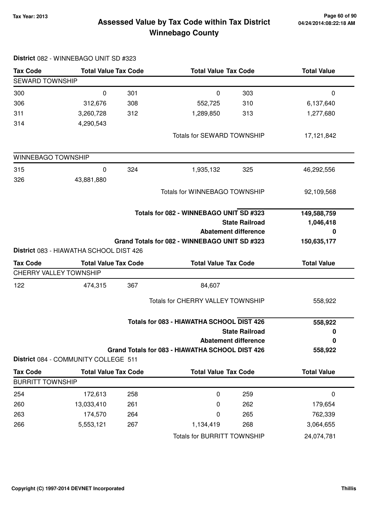### **Tax Year: 2013 Page 60 of 90 Assessed Value by Tax Code within Tax District Winnebago County**

|                               | District 082 - WINNEBAGO UNIT SD #323   |     |                                                 |                             |                    |
|-------------------------------|-----------------------------------------|-----|-------------------------------------------------|-----------------------------|--------------------|
| <b>Tax Code</b>               | <b>Total Value Tax Code</b>             |     | <b>Total Value Tax Code</b>                     |                             | <b>Total Value</b> |
| SEWARD TOWNSHIP               |                                         |     |                                                 |                             |                    |
| 300                           | 0                                       | 301 | $\mathbf 0$                                     | 303                         | 0                  |
| 306                           | 312,676                                 | 308 | 552,725                                         | 310                         | 6,137,640          |
| 311                           | 3,260,728                               | 312 | 1,289,850                                       | 313                         | 1,277,680          |
| 314                           | 4,290,543                               |     |                                                 |                             |                    |
|                               |                                         |     | <b>Totals for SEWARD TOWNSHIP</b>               |                             | 17,121,842         |
| WINNEBAGO TOWNSHIP            |                                         |     |                                                 |                             |                    |
| 315                           | 0                                       | 324 | 1,935,132                                       | 325                         | 46,292,556         |
| 326                           | 43,881,880                              |     |                                                 |                             |                    |
|                               |                                         |     | <b>Totals for WINNEBAGO TOWNSHIP</b>            |                             | 92,109,568         |
|                               |                                         |     | Totals for 082 - WINNEBAGO UNIT SD #323         |                             | 149,588,759        |
|                               |                                         |     |                                                 | <b>State Railroad</b>       | 1,046,418          |
|                               |                                         |     |                                                 | <b>Abatement difference</b> | 0                  |
|                               |                                         |     | Grand Totals for 082 - WINNEBAGO UNIT SD #323   |                             | 150,635,177        |
|                               | District 083 - HIAWATHA SCHOOL DIST 426 |     |                                                 |                             |                    |
| <b>Tax Code</b>               | <b>Total Value Tax Code</b>             |     | <b>Total Value Tax Code</b>                     |                             | <b>Total Value</b> |
| <b>CHERRY VALLEY TOWNSHIP</b> |                                         |     |                                                 |                             |                    |
| 122                           | 474,315                                 | 367 | 84,607                                          |                             |                    |
|                               |                                         |     | Totals for CHERRY VALLEY TOWNSHIP               |                             | 558,922            |
|                               |                                         |     | Totals for 083 - HIAWATHA SCHOOL DIST 426       |                             | 558,922            |
|                               |                                         |     |                                                 | <b>State Railroad</b>       | 0                  |
|                               |                                         |     |                                                 | <b>Abatement difference</b> | $\bf{0}$           |
|                               | District 084 - COMMUNITY COLLEGE 511    |     | Grand Totals for 083 - HIAWATHA SCHOOL DIST 426 |                             | 558,922            |
| <b>Tax Code</b>               | <b>Total Value Tax Code</b>             |     | <b>Total Value Tax Code</b>                     |                             | <b>Total Value</b> |
| <b>BURRITT TOWNSHIP</b>       |                                         |     |                                                 |                             |                    |
| 254                           | 172,613                                 | 258 | 0                                               | 259                         | $\mathbf 0$        |
| 260                           | 13,033,410                              | 261 | 0                                               | 262                         | 179,654            |
| 263                           | 174,570                                 | 264 | 0                                               | 265                         | 762,339            |
| 266                           | 5,553,121                               | 267 | 1,134,419                                       | 268                         | 3,064,655          |
|                               |                                         |     | <b>Totals for BURRITT TOWNSHIP</b>              |                             | 24,074,781         |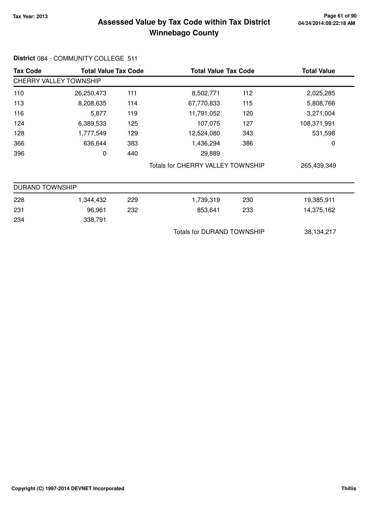### **Tax Year: 2013 Page 61 of 90 Assessed Value by Tax Code within Tax District Winnebago County**

#### **Tax Code Total Value Tax Code Total Value Tax Code Total Value** CHERRY VALLEY TOWNSHIP 110 26,250,473 111 8,502,771 112 2,025,285 113 8,208,635 114 67,770,833 115 5,808,766 116 5,877 119 11,791,052 120 3,271,004 124 6,389,533 107,075 125 127 108,371,991 128 1,777,549 129 12,524,080 343 531,598 366 636,644 1,436,294 383 386 0 396 0 29,889 440 Totals for CHERRY VALLEY TOWNSHIP 265,439,349 DURAND TOWNSHIP 228 1,344,432 1,739,319 229 230 19,385,911 231 96,961 853,641 232 233 14,375,162 234 338,791 Totals for DURAND TOWNSHIP 38,134,217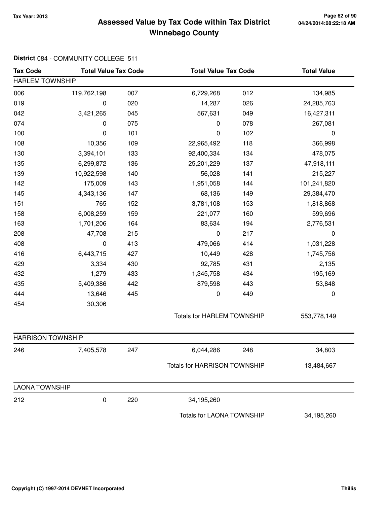### **Tax Year: 2013 Page 62 of 90 Assessed Value by Tax Code within Tax District Winnebago County**

| <b>Tax Code</b>          | <b>Total Value Tax Code</b> |     | <b>Total Value Tax Code</b>       |     | <b>Total Value</b> |  |
|--------------------------|-----------------------------|-----|-----------------------------------|-----|--------------------|--|
| <b>HARLEM TOWNSHIP</b>   |                             |     |                                   |     |                    |  |
| 006                      | 119,762,198                 | 007 | 6,729,268                         | 012 | 134,985            |  |
| 019                      | 0                           | 020 | 14,287                            | 026 | 24,285,763         |  |
| 042                      | 3,421,265                   | 045 | 567,631                           | 049 | 16,427,311         |  |
| 074                      | 0                           | 075 | 0                                 | 078 | 267,081            |  |
| 100                      | 0                           | 101 | 0                                 | 102 | $\pmb{0}$          |  |
| 108                      | 10,356                      | 109 | 22,965,492                        | 118 | 366,998            |  |
| 130                      | 3,394,101                   | 133 | 92,400,334                        | 134 | 478,075            |  |
| 135                      | 6,299,872                   | 136 | 25, 201, 229                      | 137 | 47,918,111         |  |
| 139                      | 10,922,598                  | 140 | 56,028                            | 141 | 215,227            |  |
| 142                      | 175,009                     | 143 | 1,951,058                         | 144 | 101,241,820        |  |
| 145                      | 4,343,136                   | 147 | 68,136                            | 149 | 29,384,470         |  |
| 151                      | 765                         | 152 | 3,781,108                         | 153 | 1,818,868          |  |
| 158                      | 6,008,259                   | 159 | 221,077                           | 160 | 599,696            |  |
| 163                      | 1,701,206                   | 164 | 83,634                            | 194 | 2,776,531          |  |
| 208                      | 47,708                      | 215 | $\pmb{0}$                         | 217 | $\pmb{0}$          |  |
| 408                      | 0                           | 413 | 479,066                           | 414 | 1,031,228          |  |
| 416                      | 6,443,715                   | 427 | 10,449                            | 428 | 1,745,756          |  |
| 429                      | 3,334                       | 430 | 92,785                            | 431 | 2,135              |  |
| 432                      | 1,279                       | 433 | 1,345,758                         | 434 | 195,169            |  |
| 435                      | 5,409,386                   | 442 | 879,598                           | 443 | 53,848             |  |
| 444                      | 13,646                      | 445 | 0                                 | 449 | 0                  |  |
| 454                      | 30,306                      |     |                                   |     |                    |  |
|                          |                             |     | <b>Totals for HARLEM TOWNSHIP</b> |     | 553,778,149        |  |
| <b>HARRISON TOWNSHIP</b> |                             |     |                                   |     |                    |  |
| 246                      | 7,405,578                   | 247 | 6,044,286                         | 248 | 34,803             |  |
|                          |                             |     | Totals for HARRISON TOWNSHIP      |     | 13,484,667         |  |
| <b>LAONA TOWNSHIP</b>    |                             |     |                                   |     |                    |  |
| 212                      | 0                           | 220 | 34,195,260                        |     |                    |  |
|                          |                             |     | Totals for LAONA TOWNSHIP         |     | 34,195,260         |  |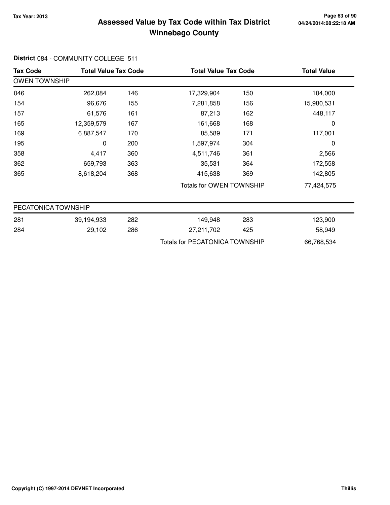### **Tax Year: 2013 Page 63 of 90 Assessed Value by Tax Code within Tax District Winnebago County**

| <b>Tax Code</b>      | <b>Total Value Tax Code</b> |     |                                       | <b>Total Value Tax Code</b>     |            |  |
|----------------------|-----------------------------|-----|---------------------------------------|---------------------------------|------------|--|
| <b>OWEN TOWNSHIP</b> |                             |     |                                       |                                 |            |  |
| 046                  | 262,084                     | 146 | 17,329,904                            | 150                             | 104,000    |  |
| 154                  | 96,676                      | 155 | 7,281,858                             | 156                             | 15,980,531 |  |
| 157                  | 61,576                      | 161 | 87,213                                | 162                             | 448,117    |  |
| 165                  | 12,359,579                  | 167 | 161,668                               | 168                             | 0          |  |
| 169                  | 6,887,547                   | 170 | 85,589                                | 171                             | 117,001    |  |
| 195                  | 0                           | 200 | 1,597,974                             | 304                             | 0          |  |
| 358                  | 4,417                       | 360 | 4,511,746                             | 361                             | 2,566      |  |
| 362                  | 659,793                     | 363 | 35,531                                | 364                             | 172,558    |  |
| 365                  | 8,618,204                   | 368 | 415,638                               | 369                             | 142,805    |  |
|                      |                             |     |                                       | <b>Totals for OWEN TOWNSHIP</b> |            |  |
| PECATONICA TOWNSHIP  |                             |     |                                       |                                 |            |  |
| 281                  | 39,194,933                  | 282 | 149,948                               | 283                             | 123,900    |  |
| 284                  | 29,102                      | 286 | 27,211,702                            | 425                             | 58,949     |  |
|                      |                             |     | <b>Totals for PECATONICA TOWNSHIP</b> |                                 | 66,768,534 |  |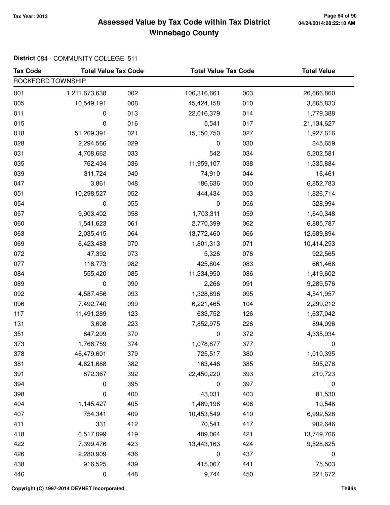### **Tax Year: 2013 Page 64 of 90 Assessed Value by Tax Code within Tax District Winnebago County**

#### **District** 084 - COMMUNITY COLLEGE 511

| <b>Tax Code</b>   | <b>Total Value Tax Code</b> |     | <b>Total Value Tax Code</b> |     | <b>Total Value</b> |
|-------------------|-----------------------------|-----|-----------------------------|-----|--------------------|
| ROCKFORD TOWNSHIP |                             |     |                             |     |                    |
| 001               | 1,211,673,638               | 002 | 106,316,661                 | 003 | 26,666,860         |
| 005               | 10,549,191                  | 008 | 45,424,158                  | 010 | 3,865,833          |
| 011               | 0                           | 013 | 22,016,379                  | 014 | 1,779,388          |
| 015               | 0                           | 016 | 5,541                       | 017 | 21,134,627         |
| 018               | 51,269,391                  | 021 | 15,150,750                  | 027 | 1,927,616          |
| 028               | 2,294,566                   | 029 | 0                           | 030 | 345,659            |
| 031               | 4,708,662                   | 033 | 542                         | 034 | 5,202,581          |
| 035               | 762,434                     | 036 | 11,959,107                  | 038 | 1,335,884          |
| 039               | 311,724                     | 040 | 74,910                      | 044 | 16,461             |
| 047               | 3,861                       | 048 | 186,636                     | 050 | 6,852,783          |
| 051               | 10,298,527                  | 052 | 444,434                     | 053 | 1,826,714          |
| 054               | 0                           | 055 | 0                           | 056 | 328,994            |
| 057               | 9,903,402                   | 058 | 1,703,311                   | 059 | 1,640,348          |
| 060               | 1,541,623                   | 061 | 2,770,399                   | 062 | 6,885,787          |
| 063               | 2,035,415                   | 064 | 13,772,460                  | 066 | 12,689,894         |
| 069               | 6,423,483                   | 070 | 1,801,313                   | 071 | 10,414,253         |
| 072               | 47,392                      | 073 | 5,326                       | 076 | 922,565            |
| 077               | 118,773                     | 082 | 425,804                     | 083 | 661,468            |
| 084               | 555,420                     | 085 | 11,334,950                  | 086 | 1,419,602          |
| 089               | 0                           | 090 | 2,266                       | 091 | 9,289,576          |
| 092               | 4,587,456                   | 093 | 1,328,896                   | 095 | 4,541,957          |
| 096               | 7,492,740                   | 099 | 6,221,465                   | 104 | 2,299,212          |
| 117               | 11,491,289                  | 123 | 633,752                     | 126 | 1,637,042          |
| 131               | 3,608                       | 223 | 7,852,975                   | 226 | 894,096            |
| 351               | 847,209                     | 370 | 0                           | 372 | 4,335,934          |
| 373               | 1,766,759                   | 374 | 1,078,877                   | 377 | 0                  |
| 378               | 46,479,601                  | 379 | 725,517                     | 380 | 1,010,395          |
| 381               | 4,621,688                   | 382 | 163,446                     | 385 | 595,278            |
| 391               | 872,367                     | 392 | 22,450,220                  | 393 | 210,723            |
| 394               | 0                           | 395 | 0                           | 397 | 0                  |
| 398               | 0                           | 400 | 43,031                      | 403 | 81,530             |
| 404               | 1,145,427                   | 405 | 1,489,196                   | 406 | 10,548             |
| 407               | 754,341                     | 409 | 10,453,549                  | 410 | 6,992,528          |
| 411               | 331                         | 412 | 70,541                      | 417 | 902,646            |
| 418               | 6,517,099                   | 419 | 409,064                     | 421 | 13,749,766         |
| 422               | 7,399,476                   | 423 | 13,443,163                  | 424 | 9,528,625          |
| 426               | 2,280,909                   | 436 | $\pmb{0}$                   | 437 | $\pmb{0}$          |
| 438               | 916,525                     | 439 | 415,067                     | 441 | 75,503             |
| 446               | 0                           | 448 | 9,744                       | 450 | 221,672            |

**Copyright (C) 1997-2014 DEVNET Incorporated Thillis**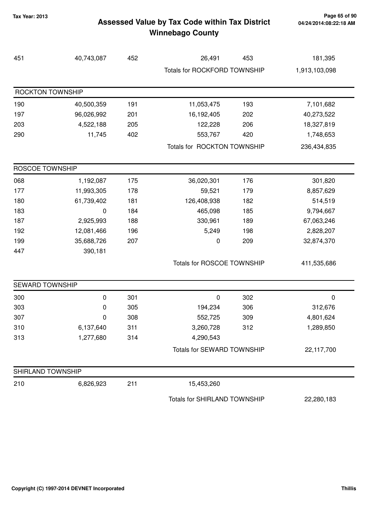### **Tax Year: 2013 Page 65 of 90 Assessed Value by Tax Code within Tax District Winnebago County**

| 451                    | 40,743,087 | 452 | 26,491                       | 453 | 181,395       |
|------------------------|------------|-----|------------------------------|-----|---------------|
|                        |            |     | Totals for ROCKFORD TOWNSHIP |     | 1,913,103,098 |
| ROCKTON TOWNSHIP       |            |     |                              |     |               |
| 190                    | 40,500,359 | 191 | 11,053,475                   | 193 | 7,101,682     |
| 197                    | 96,026,992 | 201 | 16,192,405                   | 202 | 40,273,522    |
| 203                    | 4,522,188  | 205 | 122,228                      | 206 | 18,327,819    |
| 290                    | 11,745     | 402 | 553,767                      | 420 | 1,748,653     |
|                        |            |     | Totals for ROCKTON TOWNSHIP  |     | 236,434,835   |
| ROSCOE TOWNSHIP        |            |     |                              |     |               |
| 068                    | 1,192,087  | 175 | 36,020,301                   | 176 | 301,820       |
| 177                    | 11,993,305 | 178 | 59,521                       | 179 | 8,857,629     |
| 180                    | 61,739,402 | 181 | 126,408,938                  | 182 | 514,519       |
| 183                    | 0          | 184 | 465,098                      | 185 | 9,794,667     |
| 187                    | 2,925,993  | 188 | 330,961                      | 189 | 67,063,246    |
| 192                    | 12,081,466 | 196 | 5,249                        | 198 | 2,828,207     |
| 199                    | 35,688,726 | 207 | 0                            | 209 | 32,874,370    |
| 447                    | 390,181    |     |                              |     |               |
|                        |            |     | Totals for ROSCOE TOWNSHIP   |     | 411,535,686   |
| <b>SEWARD TOWNSHIP</b> |            |     |                              |     |               |
| 300                    | 0          | 301 | 0                            | 302 | $\pmb{0}$     |
| 303                    | 0          | 305 | 194,234                      | 306 | 312,676       |
| 307                    | 0          | 308 | 552,725                      | 309 | 4,801,624     |
| 310                    | 6,137,640  | 311 | 3,260,728                    | 312 | 1,289,850     |
| 313                    | 1,277,680  | 314 | 4,290,543                    |     |               |
|                        |            |     | Totals for SEWARD TOWNSHIP   |     | 22,117,700    |
| SHIRLAND TOWNSHIP      |            |     |                              |     |               |
| 210                    | 6,826,923  | 211 | 15,453,260                   |     |               |
|                        |            |     | Totals for SHIRLAND TOWNSHIP |     | 22,280,183    |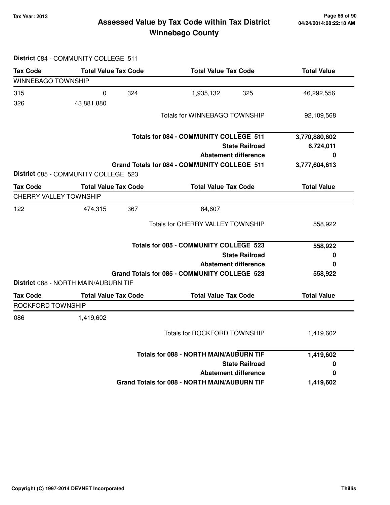### **Tax Year: 2013 Page 66 of 90 Assessed Value by Tax Code within Tax District Winnebago County**

| <b>Tax Code</b>        | <b>Total Value Tax Code</b>          |     | <b>Total Value Tax Code</b>                         | <b>Total Value</b> |  |
|------------------------|--------------------------------------|-----|-----------------------------------------------------|--------------------|--|
| WINNEBAGO TOWNSHIP     |                                      |     |                                                     |                    |  |
| 315<br>326             | 0<br>43,881,880                      | 324 | 1,935,132<br>325                                    | 46,292,556         |  |
|                        |                                      |     | <b>Totals for WINNEBAGO TOWNSHIP</b>                | 92,109,568         |  |
|                        |                                      |     | Totals for 084 - COMMUNITY COLLEGE 511              | 3,770,880,602      |  |
|                        |                                      |     | <b>State Railroad</b>                               | 6,724,011          |  |
|                        |                                      |     | <b>Abatement difference</b>                         | 0                  |  |
|                        | District 085 - COMMUNITY COLLEGE 523 |     | Grand Totals for 084 - COMMUNITY COLLEGE 511        | 3,777,604,613      |  |
| <b>Tax Code</b>        | <b>Total Value Tax Code</b>          |     | <b>Total Value Tax Code</b>                         | <b>Total Value</b> |  |
| CHERRY VALLEY TOWNSHIP |                                      |     |                                                     |                    |  |
| 122                    | 474,315                              | 367 | 84,607                                              |                    |  |
|                        |                                      |     | Totals for CHERRY VALLEY TOWNSHIP                   | 558,922            |  |
|                        |                                      |     | <b>Totals for 085 - COMMUNITY COLLEGE 523</b>       | 558,922            |  |
|                        |                                      |     | <b>State Railroad</b>                               | 0                  |  |
|                        |                                      |     | <b>Abatement difference</b>                         | 0                  |  |
|                        | District 088 - NORTH MAIN/AUBURN TIF |     | Grand Totals for 085 - COMMUNITY COLLEGE 523        | 558,922            |  |
| <b>Tax Code</b>        | <b>Total Value Tax Code</b>          |     | <b>Total Value Tax Code</b>                         | <b>Total Value</b> |  |
| ROCKFORD TOWNSHIP      |                                      |     |                                                     |                    |  |
| 086                    | 1,419,602                            |     |                                                     |                    |  |
|                        |                                      |     | <b>Totals for ROCKFORD TOWNSHIP</b>                 | 1,419,602          |  |
|                        |                                      |     | <b>Totals for 088 - NORTH MAIN/AUBURN TIF</b>       | 1,419,602          |  |
|                        |                                      |     | <b>State Railroad</b>                               | 0                  |  |
|                        |                                      |     | <b>Abatement difference</b>                         | 0                  |  |
|                        |                                      |     | <b>Grand Totals for 088 - NORTH MAIN/AUBURN TIF</b> | 1,419,602          |  |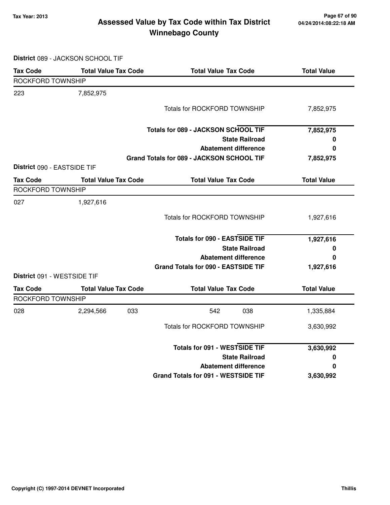### **Tax Year: 2013 Page 67 of 90 Assessed Value by Tax Code within Tax District Winnebago County**

**District** 089 - JACKSON SCHOOL TIF

| <b>Tax Code</b>             | <b>Total Value Tax Code</b> | <b>Total Value Tax Code</b>               | <b>Total Value</b> |  |
|-----------------------------|-----------------------------|-------------------------------------------|--------------------|--|
| ROCKFORD TOWNSHIP           |                             |                                           |                    |  |
| 223                         | 7,852,975                   |                                           |                    |  |
|                             |                             | <b>Totals for ROCKFORD TOWNSHIP</b>       | 7,852,975          |  |
|                             |                             | Totals for 089 - JACKSON SCHOOL TIF       | 7,852,975          |  |
|                             |                             | <b>State Railroad</b>                     | 0                  |  |
|                             |                             | <b>Abatement difference</b>               | 0                  |  |
|                             |                             | Grand Totals for 089 - JACKSON SCHOOL TIF | 7,852,975          |  |
| District 090 - EASTSIDE TIF |                             |                                           |                    |  |
| <b>Tax Code</b>             | <b>Total Value Tax Code</b> | <b>Total Value Tax Code</b>               | <b>Total Value</b> |  |
| ROCKFORD TOWNSHIP           |                             |                                           |                    |  |
| 027                         | 1,927,616                   |                                           |                    |  |
|                             |                             | <b>Totals for ROCKFORD TOWNSHIP</b>       | 1,927,616          |  |
|                             |                             | <b>Totals for 090 - EASTSIDE TIF</b>      | 1,927,616          |  |
|                             |                             | <b>State Railroad</b>                     | 0                  |  |
|                             |                             | <b>Abatement difference</b>               | 0                  |  |
|                             |                             | Grand Totals for 090 - EASTSIDE TIF       | 1,927,616          |  |
| District 091 - WESTSIDE TIF |                             |                                           |                    |  |
| <b>Tax Code</b>             | <b>Total Value Tax Code</b> | <b>Total Value Tax Code</b>               | <b>Total Value</b> |  |
| ROCKFORD TOWNSHIP           |                             |                                           |                    |  |
| 028                         | 2,294,566<br>033            | 542<br>038                                | 1,335,884          |  |
|                             |                             | <b>Totals for ROCKFORD TOWNSHIP</b>       | 3,630,992          |  |
|                             |                             | <b>Totals for 091 - WESTSIDE TIF</b>      | 3,630,992          |  |
|                             |                             | <b>State Railroad</b>                     | 0                  |  |
|                             |                             | <b>Abatement difference</b>               | 0                  |  |
|                             |                             | Grand Totals for 091 - WESTSIDE TIF       | 3,630,992          |  |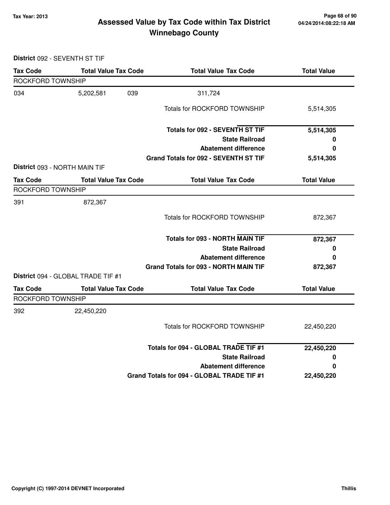### **Tax Year: 2013 Page 68 of 90 Assessed Value by Tax Code within Tax District Winnebago County**

**District** 092 - SEVENTH ST TIF

| <b>Tax Code</b>   | <b>Total Value Tax Code</b>        | <b>Total Value Tax Code</b>                  | <b>Total Value</b> |
|-------------------|------------------------------------|----------------------------------------------|--------------------|
| ROCKFORD TOWNSHIP |                                    |                                              |                    |
| 034               | 039<br>5,202,581                   | 311,724                                      |                    |
|                   |                                    | <b>Totals for ROCKFORD TOWNSHIP</b>          | 5,514,305          |
|                   |                                    | Totals for 092 - SEVENTH ST TIF              | 5,514,305          |
|                   |                                    | <b>State Railroad</b>                        | 0                  |
|                   |                                    | <b>Abatement difference</b>                  | 0                  |
|                   |                                    | Grand Totals for 092 - SEVENTH ST TIF        | 5,514,305          |
|                   | District 093 - NORTH MAIN TIF      |                                              |                    |
| <b>Tax Code</b>   | <b>Total Value Tax Code</b>        | <b>Total Value Tax Code</b>                  | <b>Total Value</b> |
| ROCKFORD TOWNSHIP |                                    |                                              |                    |
| 391               | 872,367                            |                                              |                    |
|                   |                                    | <b>Totals for ROCKFORD TOWNSHIP</b>          | 872,367            |
|                   |                                    | Totals for 093 - NORTH MAIN TIF              | 872,367            |
|                   |                                    | <b>State Railroad</b>                        | 0                  |
|                   |                                    | <b>Abatement difference</b>                  | 0                  |
|                   |                                    | <b>Grand Totals for 093 - NORTH MAIN TIF</b> | 872,367            |
|                   | District 094 - GLOBAL TRADE TIF #1 |                                              |                    |
| <b>Tax Code</b>   | <b>Total Value Tax Code</b>        | <b>Total Value Tax Code</b>                  | <b>Total Value</b> |
| ROCKFORD TOWNSHIP |                                    |                                              |                    |
| 392               | 22,450,220                         |                                              |                    |
|                   |                                    | <b>Totals for ROCKFORD TOWNSHIP</b>          | 22,450,220         |
|                   |                                    | Totals for 094 - GLOBAL TRADE TIF #1         | 22,450,220         |
|                   |                                    | <b>State Railroad</b>                        | 0                  |
|                   |                                    | <b>Abatement difference</b>                  | 0                  |
|                   |                                    | Grand Totals for 094 - GLOBAL TRADE TIF #1   | 22,450,220         |
|                   |                                    |                                              |                    |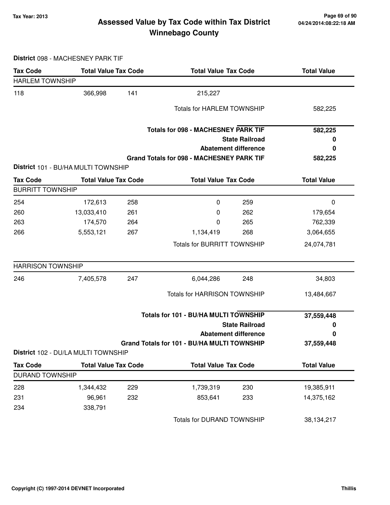### **Tax Year: 2013 Page 69 of 90 Assessed Value by Tax Code within Tax District Winnebago County**

**District** 098 - MACHESNEY PARK TIF

| <b>Tax Code</b>          | <b>Total Value Tax Code</b>         |     | <b>Total Value Tax Code</b>                      |                             | <b>Total Value</b> |  |
|--------------------------|-------------------------------------|-----|--------------------------------------------------|-----------------------------|--------------------|--|
| <b>HARLEM TOWNSHIP</b>   |                                     |     |                                                  |                             |                    |  |
| 118                      | 366,998                             | 141 | 215,227                                          |                             |                    |  |
|                          |                                     |     | <b>Totals for HARLEM TOWNSHIP</b>                |                             | 582,225            |  |
|                          |                                     |     | <b>Totals for 098 - MACHESNEY PARK TIF</b>       |                             | 582,225            |  |
|                          |                                     |     |                                                  | <b>State Railroad</b>       | O                  |  |
|                          |                                     |     |                                                  | <b>Abatement difference</b> | 0                  |  |
|                          | District 101 - BU/HA MULTI TOWNSHIP |     | <b>Grand Totals for 098 - MACHESNEY PARK TIF</b> |                             | 582,225            |  |
| <b>Tax Code</b>          | <b>Total Value Tax Code</b>         |     | <b>Total Value Tax Code</b>                      |                             | <b>Total Value</b> |  |
| <b>BURRITT TOWNSHIP</b>  |                                     |     |                                                  |                             |                    |  |
| 254                      | 172,613                             | 258 | $\boldsymbol{0}$                                 | 259                         | $\boldsymbol{0}$   |  |
| 260                      | 13,033,410                          | 261 | 0                                                | 262                         | 179,654            |  |
| 263                      | 174,570                             | 264 | 0                                                | 265                         | 762,339            |  |
| 266                      | 5,553,121                           | 267 | 1,134,419                                        | 268                         | 3,064,655          |  |
|                          |                                     |     | <b>Totals for BURRITT TOWNSHIP</b>               |                             | 24,074,781         |  |
| <b>HARRISON TOWNSHIP</b> |                                     |     |                                                  |                             |                    |  |
| 246                      | 7,405,578                           | 247 | 6,044,286                                        | 248                         | 34,803             |  |
|                          |                                     |     | Totals for HARRISON TOWNSHIP                     |                             | 13,484,667         |  |
|                          |                                     |     | Totals for 101 - BU/HA MULTI TOWNSHIP            |                             | 37,559,448         |  |
|                          |                                     |     |                                                  | <b>State Railroad</b>       | 0                  |  |
|                          |                                     |     |                                                  | <b>Abatement difference</b> | 0                  |  |
|                          | District 102 - DU/LA MULTI TOWNSHIP |     | Grand Totals for 101 - BU/HA MULTI TOWNSHIP      |                             | 37,559,448         |  |
| <b>Tax Code</b>          | <b>Total Value Tax Code</b>         |     | <b>Total Value Tax Code</b>                      |                             | <b>Total Value</b> |  |
| <b>DURAND TOWNSHIP</b>   |                                     |     |                                                  |                             |                    |  |
| 228                      | 1,344,432                           | 229 | 1,739,319                                        | 230                         | 19,385,911         |  |
| 231                      | 96,961                              | 232 | 853,641                                          | 233                         | 14,375,162         |  |
|                          |                                     |     |                                                  |                             |                    |  |
| 234                      | 338,791                             |     |                                                  |                             |                    |  |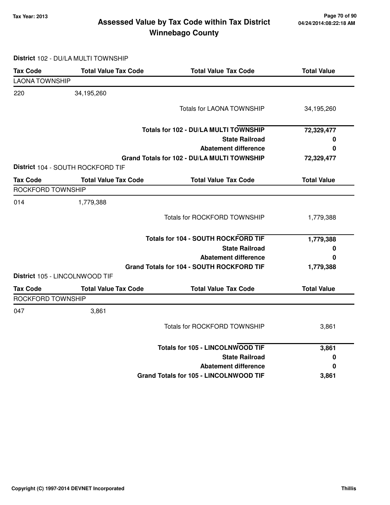### **Tax Year: 2013 Page 70 of 90 Assessed Value by Tax Code within Tax District Winnebago County**

**District** 102 - DU/LA MULTI TOWNSHIP

| <b>Tax Code</b>       | <b>Total Value Tax Code</b>       | <b>Total Value Tax Code</b>                 | <b>Total Value</b> |
|-----------------------|-----------------------------------|---------------------------------------------|--------------------|
| <b>LAONA TOWNSHIP</b> |                                   |                                             |                    |
| 220                   | 34,195,260                        |                                             |                    |
|                       |                                   | <b>Totals for LAONA TOWNSHIP</b>            | 34,195,260         |
|                       |                                   | Totals for 102 - DU/LA MULTI TOWNSHIP       | 72,329,477         |
|                       |                                   | <b>State Railroad</b>                       | 0                  |
|                       |                                   | <b>Abatement difference</b>                 | 0                  |
|                       |                                   | Grand Totals for 102 - DU/LA MULTI TOWNSHIP | 72,329,477         |
|                       | District 104 - SOUTH ROCKFORD TIF |                                             |                    |
| <b>Tax Code</b>       | <b>Total Value Tax Code</b>       | <b>Total Value Tax Code</b>                 | <b>Total Value</b> |
| ROCKFORD TOWNSHIP     |                                   |                                             |                    |
| 014                   | 1,779,388                         |                                             |                    |
|                       |                                   | <b>Totals for ROCKFORD TOWNSHIP</b>         | 1,779,388          |
|                       |                                   | <b>Totals for 104 - SOUTH ROCKFORD TIF</b>  | 1,779,388          |
|                       |                                   | <b>State Railroad</b>                       | 0                  |
|                       |                                   | <b>Abatement difference</b>                 | 0                  |
|                       |                                   | Grand Totals for 104 - SOUTH ROCKFORD TIF   | 1,779,388          |
|                       | District 105 - LINCOLNWOOD TIF    |                                             |                    |
| <b>Tax Code</b>       | <b>Total Value Tax Code</b>       | <b>Total Value Tax Code</b>                 | <b>Total Value</b> |
| ROCKFORD TOWNSHIP     |                                   |                                             |                    |
| 047                   | 3,861                             |                                             |                    |
|                       |                                   | <b>Totals for ROCKFORD TOWNSHIP</b>         | 3,861              |
|                       |                                   | <b>Totals for 105 - LINCOLNWOOD TIF</b>     | 3,861              |
|                       |                                   | <b>State Railroad</b>                       | 0                  |
|                       |                                   | <b>Abatement difference</b>                 | 0                  |
|                       |                                   | Grand Totals for 105 - LINCOLNWOOD TIF      | 3,861              |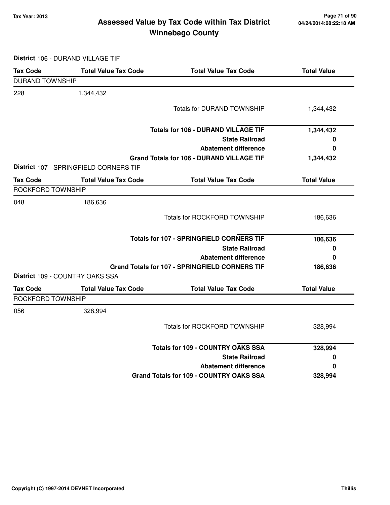### **Tax Year: 2013 Page 71 of 90 Assessed Value by Tax Code within Tax District Winnebago County**

**District** 106 - DURAND VILLAGE TIF

| <b>Tax Code</b>          | <b>Total Value Tax Code</b>            | <b>Total Value Tax Code</b>                      | <b>Total Value</b> |
|--------------------------|----------------------------------------|--------------------------------------------------|--------------------|
| <b>DURAND TOWNSHIP</b>   |                                        |                                                  |                    |
| 228                      | 1,344,432                              |                                                  |                    |
|                          |                                        | <b>Totals for DURAND TOWNSHIP</b>                | 1,344,432          |
|                          |                                        | <b>Totals for 106 - DURAND VILLAGE TIF</b>       | 1,344,432          |
|                          |                                        | <b>State Railroad</b>                            | 0                  |
|                          |                                        | <b>Abatement difference</b>                      | 0                  |
|                          | District 107 - SPRINGFIELD CORNERS TIF | <b>Grand Totals for 106 - DURAND VILLAGE TIF</b> | 1,344,432          |
| <b>Tax Code</b>          | <b>Total Value Tax Code</b>            | <b>Total Value Tax Code</b>                      | <b>Total Value</b> |
| <b>ROCKFORD TOWNSHIP</b> |                                        |                                                  |                    |
| 048                      | 186,636                                |                                                  |                    |
|                          |                                        | <b>Totals for ROCKFORD TOWNSHIP</b>              | 186,636            |
|                          |                                        | <b>Totals for 107 - SPRINGFIELD CORNERS TIF</b>  | 186,636            |
|                          |                                        | <b>State Railroad</b>                            | 0                  |
|                          |                                        | <b>Abatement difference</b>                      | 0                  |
|                          |                                        | Grand Totals for 107 - SPRINGFIELD CORNERS TIF   | 186,636            |
|                          | District 109 - COUNTRY OAKS SSA        |                                                  |                    |
| <b>Tax Code</b>          | <b>Total Value Tax Code</b>            | <b>Total Value Tax Code</b>                      | <b>Total Value</b> |
| ROCKFORD TOWNSHIP        |                                        |                                                  |                    |
| 056                      | 328,994                                |                                                  |                    |
|                          |                                        | <b>Totals for ROCKFORD TOWNSHIP</b>              | 328,994            |
|                          |                                        | <b>Totals for 109 - COUNTRY OAKS SSA</b>         | 328,994            |
|                          |                                        | <b>State Railroad</b>                            | 0                  |
|                          |                                        | <b>Abatement difference</b>                      | 0                  |
|                          |                                        | Grand Totals for 109 - COUNTRY OAKS SSA          | 328,994            |
|                          |                                        |                                                  |                    |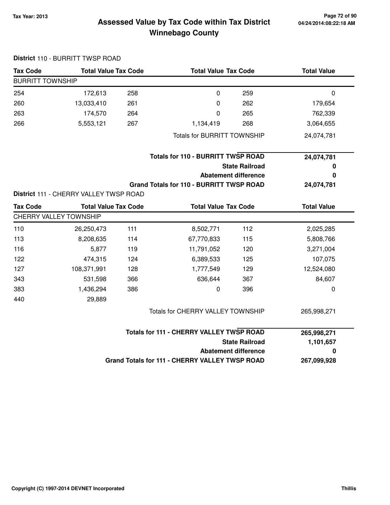### **04/24/2014:08:22:18 AM**

### **Tax Year: 2013 Page 72 of 90 Assessed Value by Tax Code within Tax District Winnebago County**

|                         | District 110 - BURRITT TWSP ROAD               |     |                                                      |                             |                    |
|-------------------------|------------------------------------------------|-----|------------------------------------------------------|-----------------------------|--------------------|
| <b>Tax Code</b>         | <b>Total Value Tax Code</b>                    |     | <b>Total Value Tax Code</b>                          |                             | <b>Total Value</b> |
| <b>BURRITT TOWNSHIP</b> |                                                |     |                                                      |                             |                    |
| 254                     | 172,613                                        | 258 | $\mathbf 0$                                          | 259                         | 0                  |
| 260                     | 13,033,410                                     | 261 | $\boldsymbol{0}$                                     | 262                         | 179,654            |
| 263                     | 174,570                                        | 264 | $\mathbf 0$                                          | 265                         | 762,339            |
| 266                     | 5,553,121                                      | 267 | 1,134,419                                            | 268                         | 3,064,655          |
|                         |                                                |     | <b>Totals for BURRITT TOWNSHIP</b>                   |                             | 24,074,781         |
|                         |                                                |     | <b>Totals for 110 - BURRITT TWSP ROAD</b>            |                             | 24,074,781         |
|                         |                                                |     | <b>State Railroad</b><br><b>Abatement difference</b> |                             | 0                  |
|                         |                                                |     |                                                      |                             | 0                  |
|                         |                                                |     | <b>Grand Totals for 110 - BURRITT TWSP ROAD</b>      |                             | 24,074,781         |
|                         | District 111 - CHERRY VALLEY TWSP ROAD         |     |                                                      |                             |                    |
| <b>Tax Code</b>         | <b>Total Value Tax Code</b>                    |     | <b>Total Value Tax Code</b>                          |                             | <b>Total Value</b> |
|                         | <b>CHERRY VALLEY TOWNSHIP</b>                  |     |                                                      |                             |                    |
| 110                     | 26,250,473                                     | 111 | 8,502,771                                            | 112                         | 2,025,285          |
| 113                     | 8,208,635                                      | 114 | 67,770,833                                           | 115                         | 5,808,766          |
| 116                     | 5,877                                          | 119 | 11,791,052                                           | 120                         | 3,271,004          |
| 122                     | 474,315                                        | 124 | 6,389,533                                            | 125                         | 107,075            |
| 127                     | 108,371,991                                    | 128 | 1,777,549                                            | 129                         | 12,524,080         |
| 343                     | 531,598                                        | 366 | 636,644                                              | 367                         | 84,607             |
| 383                     | 1,436,294                                      | 386 | 0                                                    | 396                         | 0                  |
| 440                     | 29,889                                         |     |                                                      |                             |                    |
|                         |                                                |     | Totals for CHERRY VALLEY TOWNSHIP                    |                             | 265,998,271        |
|                         |                                                |     | <b>Totals for 111 - CHERRY VALLEY TWSP ROAD</b>      |                             | 265,998,271        |
|                         |                                                |     |                                                      | <b>State Railroad</b>       | 1,101,657          |
|                         |                                                |     |                                                      | <b>Abatement difference</b> | 0                  |
|                         | Grand Totals for 111 - CHERRY VALLEY TWSP ROAD |     |                                                      |                             | 267,099,928        |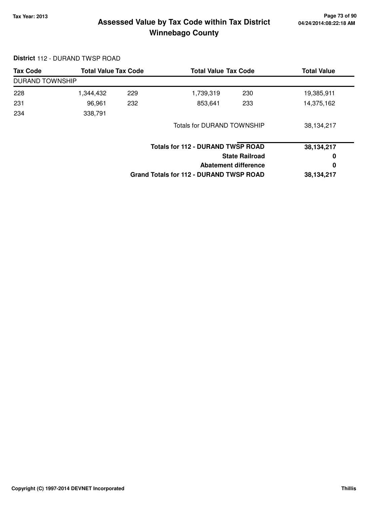# **Tax Year: 2013 Page 73 of 90 Assessed Value by Tax Code within Tax District Winnebago County**

#### **District** 112 - DURAND TWSP ROAD

| <b>Tax Code</b>        | <b>Total Value Tax Code</b> |     |                                                | <b>Total Value Tax Code</b> |            |
|------------------------|-----------------------------|-----|------------------------------------------------|-----------------------------|------------|
| <b>DURAND TOWNSHIP</b> |                             |     |                                                |                             |            |
| 228                    | 1,344,432                   | 229 | 1,739,319                                      | 230                         | 19,385,911 |
| 231                    | 96,961                      | 232 | 853,641                                        | 233                         | 14,375,162 |
| 234                    | 338,791                     |     |                                                |                             |            |
|                        |                             |     | <b>Totals for DURAND TOWNSHIP</b>              |                             | 38,134,217 |
|                        |                             |     | <b>Totals for 112 - DURAND TWSP ROAD</b>       |                             | 38,134,217 |
|                        |                             |     |                                                | <b>State Railroad</b>       | 0          |
|                        |                             |     |                                                | Abatement difference        | 0          |
|                        |                             |     | <b>Grand Totals for 112 - DURAND TWSP ROAD</b> |                             | 38,134,217 |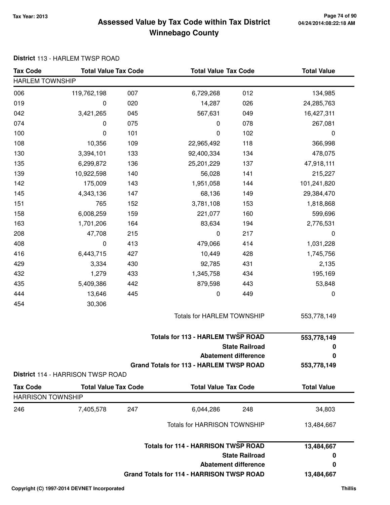# **Tax Year: 2013 Page 74 of 90 Assessed Value by Tax Code within Tax District Winnebago County**

#### **District** 113 - HARLEM TWSP ROAD

| <b>Tax Code</b>          | <b>Total Value Tax Code</b>       |     | <b>Total Value Tax Code</b>                      |                             | <b>Total Value</b> |
|--------------------------|-----------------------------------|-----|--------------------------------------------------|-----------------------------|--------------------|
| <b>HARLEM TOWNSHIP</b>   |                                   |     |                                                  |                             |                    |
| 006                      | 119,762,198                       | 007 | 6,729,268                                        | 012                         | 134,985            |
| 019                      | 0                                 | 020 | 14,287                                           | 026                         | 24,285,763         |
| 042                      | 3,421,265                         | 045 | 567,631                                          | 049                         | 16,427,311         |
| 074                      | 0                                 | 075 | 0                                                | 078                         | 267,081            |
| 100                      | 0                                 | 101 | 0                                                | 102                         | 0                  |
| 108                      | 10,356                            | 109 | 22,965,492                                       | 118                         | 366,998            |
| 130                      | 3,394,101                         | 133 | 92,400,334                                       | 134                         | 478,075            |
| 135                      | 6,299,872                         | 136 | 25,201,229                                       | 137                         | 47,918,111         |
| 139                      | 10,922,598                        | 140 | 56,028                                           | 141                         | 215,227            |
| 142                      | 175,009                           | 143 | 1,951,058                                        | 144                         | 101,241,820        |
| 145                      | 4,343,136                         | 147 | 68,136                                           | 149                         | 29,384,470         |
| 151                      | 765                               | 152 | 3,781,108                                        | 153                         | 1,818,868          |
| 158                      | 6,008,259                         | 159 | 221,077                                          | 160                         | 599,696            |
| 163                      | 1,701,206                         | 164 | 83,634                                           | 194                         | 2,776,531          |
| 208                      | 47,708                            | 215 | $\mathbf 0$                                      | 217                         | $\pmb{0}$          |
| 408                      | 0                                 | 413 | 479,066                                          | 414                         | 1,031,228          |
| 416                      | 6,443,715                         | 427 | 10,449                                           | 428                         | 1,745,756          |
| 429                      | 3,334                             | 430 | 92,785                                           | 431                         | 2,135              |
| 432                      | 1,279                             | 433 | 1,345,758                                        | 434                         | 195,169            |
| 435                      | 5,409,386                         | 442 | 879,598                                          | 443                         | 53,848             |
| 444                      | 13,646                            | 445 | 0                                                | 449                         | 0                  |
| 454                      | 30,306                            |     |                                                  |                             |                    |
|                          |                                   |     | Totals for HARLEM TOWNSHIP                       |                             | 553,778,149        |
|                          |                                   |     | <b>Totals for 113 - HARLEM TWSP ROAD</b>         |                             | 553,778,149        |
|                          |                                   |     |                                                  | <b>State Railroad</b>       | 0                  |
|                          |                                   |     |                                                  | <b>Abatement difference</b> | 0                  |
|                          |                                   |     | <b>Grand Totals for 113 - HARLEM TWSP ROAD</b>   |                             | 553,778,149        |
|                          | District 114 - HARRISON TWSP ROAD |     |                                                  |                             |                    |
| <b>Tax Code</b>          | <b>Total Value Tax Code</b>       |     | <b>Total Value Tax Code</b>                      |                             | <b>Total Value</b> |
| <b>HARRISON TOWNSHIP</b> |                                   |     |                                                  |                             |                    |
| 246                      | 7,405,578                         | 247 | 6,044,286                                        | 248                         | 34,803             |
|                          |                                   |     | <b>Totals for HARRISON TOWNSHIP</b>              |                             | 13,484,667         |
|                          |                                   |     | <b>Totals for 114 - HARRISON TWSP ROAD</b>       |                             | 13,484,667         |
|                          |                                   |     |                                                  | <b>State Railroad</b>       | 0                  |
|                          |                                   |     |                                                  | <b>Abatement difference</b> | 0                  |
|                          |                                   |     | <b>Grand Totals for 114 - HARRISON TWSP ROAD</b> |                             | 13,484,667         |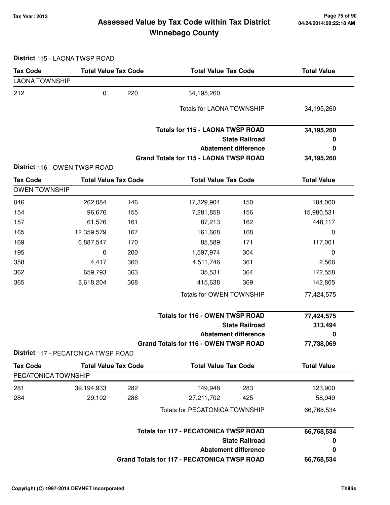# **Tax Year: 2013 Page 75 of 90 Assessed Value by Tax Code within Tax District Winnebago County**

**District** 115 - LAONA TWSP ROAD

| <b>Tax Code</b>       | <b>Total Value Tax Code</b>         |     | <b>Total Value Tax Code</b>                        |                             | <b>Total Value</b> |
|-----------------------|-------------------------------------|-----|----------------------------------------------------|-----------------------------|--------------------|
| <b>LAONA TOWNSHIP</b> |                                     |     |                                                    |                             |                    |
| 212                   | $\pmb{0}$                           | 220 | 34,195,260                                         |                             |                    |
|                       |                                     |     | <b>Totals for LAONA TOWNSHIP</b>                   |                             | 34,195,260         |
|                       |                                     |     | <b>Totals for 115 - LAONA TWSP ROAD</b>            |                             | 34,195,260         |
|                       |                                     |     |                                                    | <b>State Railroad</b>       | 0                  |
|                       |                                     |     |                                                    | <b>Abatement difference</b> | 0                  |
|                       | District 116 - OWEN TWSP ROAD       |     | Grand Totals for 115 - LAONA TWSP ROAD             |                             | 34,195,260         |
| <b>Tax Code</b>       | <b>Total Value Tax Code</b>         |     | <b>Total Value Tax Code</b>                        |                             | <b>Total Value</b> |
| <b>OWEN TOWNSHIP</b>  |                                     |     |                                                    |                             |                    |
| 046                   | 262,084                             | 146 | 17,329,904                                         | 150                         | 104,000            |
| 154                   | 96,676                              | 155 | 7,281,858                                          | 156                         | 15,980,531         |
| 157                   | 61,576                              | 161 | 87,213                                             | 162                         | 448,117            |
| 165                   | 12,359,579                          | 167 | 161,668                                            | 168                         | 0                  |
| 169                   | 6,887,547                           | 170 | 85,589                                             | 171                         | 117,001            |
| 195                   | 0                                   | 200 | 1,597,974                                          | 304                         | 0                  |
| 358                   | 4,417                               | 360 | 4,511,746                                          | 361                         | 2,566              |
| 362                   | 659,793                             | 363 | 35,531                                             | 364                         | 172,558            |
| 365                   | 8,618,204                           | 368 | 415,638                                            | 369                         | 142,805            |
|                       |                                     |     | Totals for OWEN TOWNSHIP                           |                             | 77,424,575         |
|                       |                                     |     | <b>Totals for 116 - OWEN TWSP ROAD</b>             |                             | 77,424,575         |
|                       |                                     |     |                                                    | <b>State Railroad</b>       | 313,494            |
|                       |                                     |     |                                                    | <b>Abatement difference</b> | $\bf{0}$           |
|                       |                                     |     | <b>Grand Totals for 116 - OWEN TWSP ROAD</b>       |                             | 77,738,069         |
|                       | District 117 - PECATONICA TWSP ROAD |     |                                                    |                             |                    |
| <b>Tax Code</b>       | <b>Total Value Tax Code</b>         |     | <b>Total Value Tax Code</b>                        |                             | <b>Total Value</b> |
| PECATONICA TOWNSHIP   |                                     |     |                                                    |                             |                    |
| 281                   | 39,194,933                          | 282 | 149,948                                            | 283                         | 123,900            |
| 284                   | 29,102                              | 286 | 27,211,702                                         | 425                         | 58,949             |
|                       |                                     |     | <b>Totals for PECATONICA TOWNSHIP</b>              |                             | 66,768,534         |
|                       |                                     |     | <b>Totals for 117 - PECATONICA TWSP ROAD</b>       |                             | 66,768,534         |
|                       |                                     |     |                                                    | <b>State Railroad</b>       | 0                  |
|                       |                                     |     |                                                    | <b>Abatement difference</b> | $\bf{0}$           |
|                       |                                     |     | <b>Grand Totals for 117 - PECATONICA TWSP ROAD</b> |                             | 66,768,534         |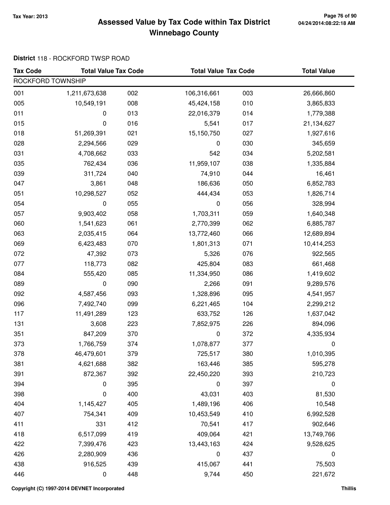# **Tax Year: 2013 Page 76 of 90 Assessed Value by Tax Code within Tax District Winnebago County**

#### **District** 118 - ROCKFORD TWSP ROAD

| <b>Tax Code</b>   | <b>Total Value Tax Code</b> |     | <b>Total Value Tax Code</b> |     | <b>Total Value</b> |
|-------------------|-----------------------------|-----|-----------------------------|-----|--------------------|
| ROCKFORD TOWNSHIP |                             |     |                             |     |                    |
| 001               | 1,211,673,638               | 002 | 106,316,661                 | 003 | 26,666,860         |
| 005               | 10,549,191                  | 008 | 45,424,158                  | 010 | 3,865,833          |
| 011               | 0                           | 013 | 22,016,379                  | 014 | 1,779,388          |
| 015               | 0                           | 016 | 5,541                       | 017 | 21,134,627         |
| 018               | 51,269,391                  | 021 | 15,150,750                  | 027 | 1,927,616          |
| 028               | 2,294,566                   | 029 | 0                           | 030 | 345,659            |
| 031               | 4,708,662                   | 033 | 542                         | 034 | 5,202,581          |
| 035               | 762,434                     | 036 | 11,959,107                  | 038 | 1,335,884          |
| 039               | 311,724                     | 040 | 74,910                      | 044 | 16,461             |
| 047               | 3,861                       | 048 | 186,636                     | 050 | 6,852,783          |
| 051               | 10,298,527                  | 052 | 444,434                     | 053 | 1,826,714          |
| 054               | 0                           | 055 | 0                           | 056 | 328,994            |
| 057               | 9,903,402                   | 058 | 1,703,311                   | 059 | 1,640,348          |
| 060               | 1,541,623                   | 061 | 2,770,399                   | 062 | 6,885,787          |
| 063               | 2,035,415                   | 064 | 13,772,460                  | 066 | 12,689,894         |
| 069               | 6,423,483                   | 070 | 1,801,313                   | 071 | 10,414,253         |
| 072               | 47,392                      | 073 | 5,326                       | 076 | 922,565            |
| 077               | 118,773                     | 082 | 425,804                     | 083 | 661,468            |
| 084               | 555,420                     | 085 | 11,334,950                  | 086 | 1,419,602          |
| 089               | 0                           | 090 | 2,266                       | 091 | 9,289,576          |
| 092               | 4,587,456                   | 093 | 1,328,896                   | 095 | 4,541,957          |
| 096               | 7,492,740                   | 099 | 6,221,465                   | 104 | 2,299,212          |
| 117               | 11,491,289                  | 123 | 633,752                     | 126 | 1,637,042          |
| 131               | 3,608                       | 223 | 7,852,975                   | 226 | 894,096            |
| 351               | 847,209                     | 370 | 0                           | 372 | 4,335,934          |
| 373               | 1,766,759                   | 374 | 1,078,877                   | 377 | 0                  |
| 378               | 46,479,601                  | 379 | 725,517                     | 380 | 1,010,395          |
| 381               | 4,621,688                   | 382 | 163,446                     | 385 | 595,278            |
| 391               | 872,367                     | 392 | 22,450,220                  | 393 | 210,723            |
| 394               | 0                           | 395 | 0                           | 397 | 0                  |
| 398               | 0                           | 400 | 43,031                      | 403 | 81,530             |
| 404               | 1,145,427                   | 405 | 1,489,196                   | 406 | 10,548             |
| 407               | 754,341                     | 409 | 10,453,549                  | 410 | 6,992,528          |
| 411               | 331                         | 412 | 70,541                      | 417 | 902,646            |
| 418               | 6,517,099                   | 419 | 409,064                     | 421 | 13,749,766         |
| 422               | 7,399,476                   | 423 | 13,443,163                  | 424 | 9,528,625          |
| 426               | 2,280,909                   | 436 | $\pmb{0}$                   | 437 | $\boldsymbol{0}$   |
| 438               | 916,525                     | 439 | 415,067                     | 441 | 75,503             |
| 446               | $\pmb{0}$                   | 448 | 9,744                       | 450 | 221,672            |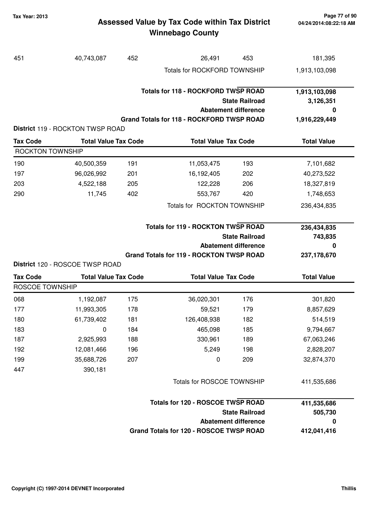#### **Tax Year: 2013 Page 77 of 90** Assessed Value by Tax Code within Tax District **printler and AM** 04/24/2014:08:22:18 AM **Winnebago County**

| 451                     | 40,743,087                              | 452 | 26,491                                                                                  | 453                                                  | 181,395                                          |
|-------------------------|-----------------------------------------|-----|-----------------------------------------------------------------------------------------|------------------------------------------------------|--------------------------------------------------|
|                         |                                         |     | <b>Totals for ROCKFORD TOWNSHIP</b>                                                     |                                                      | 1,913,103,098                                    |
|                         |                                         |     | <b>Totals for 118 - ROCKFORD TWSP ROAD</b><br>Grand Totals for 118 - ROCKFORD TWSP ROAD | <b>State Railroad</b><br><b>Abatement difference</b> | 1,913,103,098<br>3,126,351<br>0<br>1,916,229,449 |
|                         | <b>District 119 - ROCKTON TWSP ROAD</b> |     |                                                                                         |                                                      |                                                  |
| <b>Tax Code</b>         | <b>Total Value Tax Code</b>             |     | <b>Total Value Tax Code</b>                                                             |                                                      | <b>Total Value</b>                               |
| <b>ROCKTON TOWNSHIP</b> |                                         |     |                                                                                         |                                                      |                                                  |
| 190                     | 40,500,359                              | 191 | 11,053,475                                                                              | 193                                                  | 7,101,682                                        |
| 197                     | 96,026,992                              | 201 | 16,192,405                                                                              | 202                                                  | 40,273,522                                       |
| 203                     | 4,522,188                               | 205 | 122,228                                                                                 | 206                                                  | 18,327,819                                       |
| 290                     | 11,745                                  | 402 | 553,767                                                                                 | 420                                                  | 1,748,653                                        |
|                         |                                         |     | Totals for ROCKTON TOWNSHIP                                                             |                                                      | 236,434,835                                      |
|                         |                                         |     | <b>Totals for 119 - ROCKTON TWSP ROAD</b>                                               | <b>State Railroad</b><br><b>Abatement difference</b> | 236,434,835<br>743,835<br>0                      |
|                         | District 120 - ROSCOE TWSP ROAD         |     | <b>Grand Totals for 119 - ROCKTON TWSP ROAD</b>                                         |                                                      | 237,178,670                                      |
| <b>Tax Code</b>         | <b>Total Value Tax Code</b>             |     | <b>Total Value Tax Code</b>                                                             |                                                      | <b>Total Value</b>                               |
| ROSCOE TOWNSHIP         |                                         |     |                                                                                         |                                                      |                                                  |
| 068                     | 1,192,087                               | 175 | 36,020,301                                                                              | 176                                                  | 301,820                                          |
| 177                     | 11,993,305                              | 178 | 59,521                                                                                  | 179                                                  | 8,857,629                                        |
| 180                     | 61,739,402                              | 181 | 126,408,938                                                                             | 182                                                  | 514,519                                          |
| 183                     | 0                                       | 184 | 465,098                                                                                 | 185                                                  | 9,794,667                                        |
| 187                     | 2,925,993                               | 188 | 330,961                                                                                 | 189                                                  | 67,063,246                                       |
| 192                     | 12,081,466                              | 196 | 5,249                                                                                   | 198                                                  | 2,828,207                                        |
| 199                     | 35,688,726                              | 207 | 0                                                                                       | 209                                                  | 32,874,370                                       |
| 447                     | 390,181                                 |     |                                                                                         |                                                      |                                                  |
|                         |                                         |     | Totals for ROSCOE TOWNSHIP                                                              |                                                      | 411,535,686                                      |
|                         |                                         |     | <b>Totals for 120 - ROSCOE TWSP ROAD</b>                                                |                                                      | 411,535,686                                      |
|                         |                                         |     |                                                                                         | <b>State Railroad</b>                                | 505,730                                          |
|                         |                                         |     |                                                                                         | <b>Abatement difference</b>                          | 0                                                |
|                         |                                         |     | Grand Totals for 120 - ROSCOE TWSP ROAD                                                 |                                                      | 412,041,416                                      |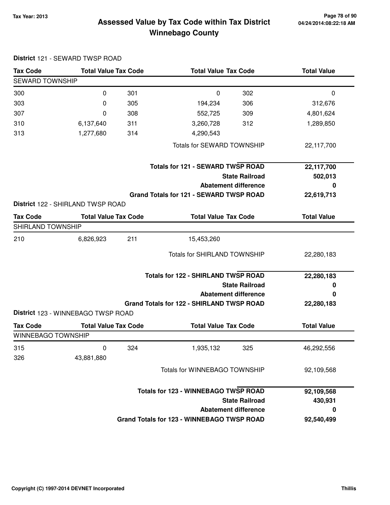**District** 121 - SEWARD TWSP ROAD

# **Tax Year: 2013 Page 78 of 90 Assessed Value by Tax Code within Tax District Winnebago County**

| <b>Tax Code</b>        | <b>Total Value Tax Code</b>        |     | <b>Total Value Tax Code</b>                      |                             | <b>Total Value</b> |
|------------------------|------------------------------------|-----|--------------------------------------------------|-----------------------------|--------------------|
| <b>SEWARD TOWNSHIP</b> |                                    |     |                                                  |                             |                    |
| 300                    | 0                                  | 301 | 0                                                | 302                         | 0                  |
| 303                    | 0                                  | 305 | 194,234                                          | 306                         | 312,676            |
| 307                    | 0                                  | 308 | 552,725                                          | 309                         | 4,801,624          |
| 310                    | 6,137,640                          | 311 | 3,260,728                                        | 312                         | 1,289,850          |
| 313                    | 1,277,680                          | 314 | 4,290,543                                        |                             |                    |
|                        |                                    |     | <b>Totals for SEWARD TOWNSHIP</b>                |                             | 22,117,700         |
|                        |                                    |     | <b>Totals for 121 - SEWARD TWSP ROAD</b>         |                             | 22,117,700         |
|                        |                                    |     |                                                  | <b>State Railroad</b>       | 502,013            |
|                        |                                    |     |                                                  | <b>Abatement difference</b> | 0                  |
|                        |                                    |     | Grand Totals for 121 - SEWARD TWSP ROAD          |                             | 22,619,713         |
|                        | District 122 - SHIRLAND TWSP ROAD  |     |                                                  |                             |                    |
| <b>Tax Code</b>        | <b>Total Value Tax Code</b>        |     | <b>Total Value Tax Code</b>                      |                             | <b>Total Value</b> |
| SHIRLAND TOWNSHIP      |                                    |     |                                                  |                             |                    |
| 210                    | 6,826,923                          | 211 | 15,453,260                                       |                             |                    |
|                        |                                    |     | <b>Totals for SHIRLAND TOWNSHIP</b>              |                             | 22,280,183         |
|                        |                                    |     | <b>Totals for 122 - SHIRLAND TWSP ROAD</b>       |                             | 22,280,183         |
|                        |                                    |     |                                                  | <b>State Railroad</b>       | 0                  |
|                        |                                    |     |                                                  | <b>Abatement difference</b> | 0                  |
|                        |                                    |     | <b>Grand Totals for 122 - SHIRLAND TWSP ROAD</b> |                             | 22,280,183         |
|                        | District 123 - WINNEBAGO TWSP ROAD |     |                                                  |                             |                    |
| <b>Tax Code</b>        | <b>Total Value Tax Code</b>        |     | <b>Total Value Tax Code</b>                      |                             | <b>Total Value</b> |
| WINNEBAGO TOWNSHIP     |                                    |     |                                                  |                             |                    |
| 315                    | $\pmb{0}$                          | 324 | 1,935,132                                        | 325                         | 46,292,556         |
| 326                    | 43,881,880                         |     |                                                  |                             |                    |
|                        |                                    |     | Totals for WINNEBAGO TOWNSHIP                    |                             | 92,109,568         |
|                        |                                    |     | <b>Totals for 123 - WINNEBAGO TWSP ROAD</b>      |                             | 92,109,568         |
|                        |                                    |     |                                                  | <b>State Railroad</b>       | 430,931            |
|                        |                                    |     |                                                  | <b>Abatement difference</b> | 0                  |
|                        |                                    |     | Grand Totals for 123 - WINNEBAGO TWSP ROAD       |                             | 92,540,499         |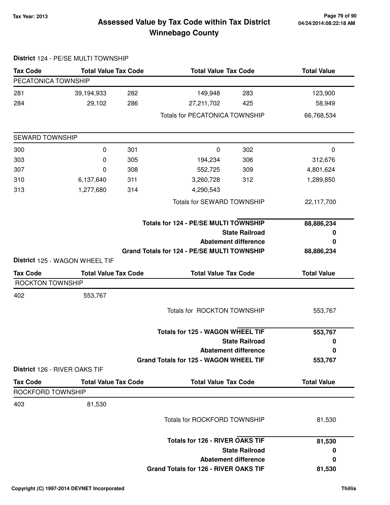# **Tax Year: 2013 Page 79 of 90 Assessed Value by Tax Code within Tax District Winnebago County**

| <b>Tax Code</b>         | <b>Total Value Tax Code</b>                                   |     | <b>Total Value Tax Code</b>                 |                             | <b>Total Value</b> |
|-------------------------|---------------------------------------------------------------|-----|---------------------------------------------|-----------------------------|--------------------|
| PECATONICA TOWNSHIP     |                                                               |     |                                             |                             |                    |
| 281                     | 39,194,933                                                    | 282 | 149,948                                     | 283                         | 123,900            |
| 284                     | 29,102                                                        | 286 | 27,211,702                                  | 425                         | 58,949             |
|                         |                                                               |     | <b>Totals for PECATONICA TOWNSHIP</b>       |                             | 66,768,534         |
| <b>SEWARD TOWNSHIP</b>  |                                                               |     |                                             |                             |                    |
| 300                     | 0                                                             | 301 | $\pmb{0}$                                   | 302                         | $\mathbf 0$        |
| 303                     | 0                                                             | 305 | 194,234                                     | 306                         | 312,676            |
| 307                     | 0                                                             | 308 | 552,725                                     | 309                         | 4,801,624          |
| 310                     | 6,137,640                                                     | 311 | 3,260,728                                   | 312                         | 1,289,850          |
| 313                     | 1,277,680                                                     | 314 | 4,290,543                                   |                             |                    |
|                         |                                                               |     | <b>Totals for SEWARD TOWNSHIP</b>           |                             | 22,117,700         |
|                         |                                                               |     | Totals for 124 - PE/SE MULTI TOWNSHIP       |                             | 88,886,234         |
|                         |                                                               |     |                                             | <b>State Railroad</b>       | 0                  |
|                         |                                                               |     |                                             | <b>Abatement difference</b> | 0                  |
|                         |                                                               |     | Grand Totals for 124 - PE/SE MULTI TOWNSHIP |                             | 88,886,234         |
| <b>Tax Code</b>         | District 125 - WAGON WHEEL TIF<br><b>Total Value Tax Code</b> |     | <b>Total Value Tax Code</b>                 |                             | <b>Total Value</b> |
| <b>ROCKTON TOWNSHIP</b> |                                                               |     |                                             |                             |                    |
| 402                     | 553,767                                                       |     |                                             |                             |                    |
|                         |                                                               |     | Totals for ROCKTON TOWNSHIP                 |                             | 553,767            |
|                         |                                                               |     | <b>Totals for 125 - WAGON WHEEL TIF</b>     |                             | 553,767            |
|                         |                                                               |     |                                             | <b>State Railroad</b>       | 0                  |
|                         |                                                               |     |                                             | <b>Abatement difference</b> | 0                  |
|                         | District 126 - RIVER OAKS TIF                                 |     | Grand Totals for 125 - WAGON WHEEL TIF      |                             | 553,767            |
| <b>Tax Code</b>         | <b>Total Value Tax Code</b>                                   |     | <b>Total Value Tax Code</b>                 |                             | <b>Total Value</b> |
| ROCKFORD TOWNSHIP       |                                                               |     |                                             |                             |                    |
| 403                     | 81,530                                                        |     |                                             |                             |                    |
|                         |                                                               |     | Totals for ROCKFORD TOWNSHIP                |                             | 81,530             |
|                         |                                                               |     | <b>Totals for 126 - RIVER OAKS TIF</b>      |                             | 81,530             |
|                         |                                                               |     |                                             | <b>State Railroad</b>       | 0                  |
|                         |                                                               |     |                                             | <b>Abatement difference</b> | 0                  |
|                         |                                                               |     | Grand Totals for 126 - RIVER OAKS TIF       |                             | 81,530             |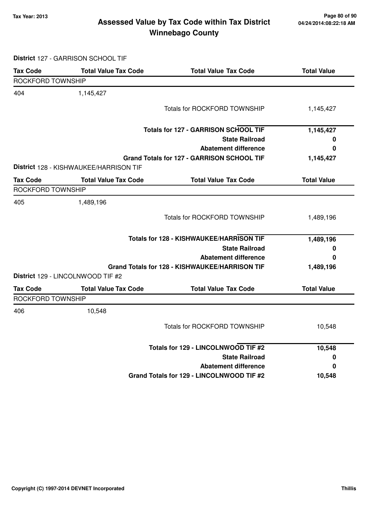# **Tax Year: 2013 Page 80 of 90 Assessed Value by Tax Code within Tax District Winnebago County**

**District** 127 - GARRISON SCHOOL TIF

| <b>Tax Code</b>   | <b>Total Value Tax Code</b>            | <b>Total Value Tax Code</b>                    | <b>Total Value</b> |
|-------------------|----------------------------------------|------------------------------------------------|--------------------|
| ROCKFORD TOWNSHIP |                                        |                                                |                    |
| 404               | 1,145,427                              |                                                |                    |
|                   |                                        | <b>Totals for ROCKFORD TOWNSHIP</b>            | 1,145,427          |
|                   |                                        | <b>Totals for 127 - GARRISON SCHOOL TIF</b>    | 1,145,427          |
|                   |                                        | <b>State Railroad</b>                          | 0                  |
|                   |                                        | <b>Abatement difference</b>                    | 0                  |
|                   | District 128 - KISHWAUKEE/HARRISON TIF | Grand Totals for 127 - GARRISON SCHOOL TIF     | 1,145,427          |
| <b>Tax Code</b>   | <b>Total Value Tax Code</b>            | <b>Total Value Tax Code</b>                    | <b>Total Value</b> |
| ROCKFORD TOWNSHIP |                                        |                                                |                    |
| 405               | 1,489,196                              |                                                |                    |
|                   |                                        | <b>Totals for ROCKFORD TOWNSHIP</b>            | 1,489,196          |
|                   |                                        | Totals for 128 - KISHWAUKEE/HARRISON TIF       | 1,489,196          |
|                   |                                        | <b>State Railroad</b>                          | 0                  |
|                   |                                        | <b>Abatement difference</b>                    | 0                  |
|                   |                                        | Grand Totals for 128 - KISHWAUKEE/HARRISON TIF | 1,489,196          |
|                   | District 129 - LINCOLNWOOD TIF #2      |                                                |                    |
| <b>Tax Code</b>   | <b>Total Value Tax Code</b>            | <b>Total Value Tax Code</b>                    | <b>Total Value</b> |
| ROCKFORD TOWNSHIP |                                        |                                                |                    |
| 406               | 10,548                                 |                                                |                    |
|                   |                                        | <b>Totals for ROCKFORD TOWNSHIP</b>            | 10,548             |
|                   |                                        | Totals for 129 - LINCOLNWOOD TIF #2            | 10,548             |
|                   |                                        | <b>State Railroad</b>                          | 0                  |
|                   |                                        | <b>Abatement difference</b>                    | 0                  |
|                   |                                        | Grand Totals for 129 - LINCOLNWOOD TIF #2      | 10,548             |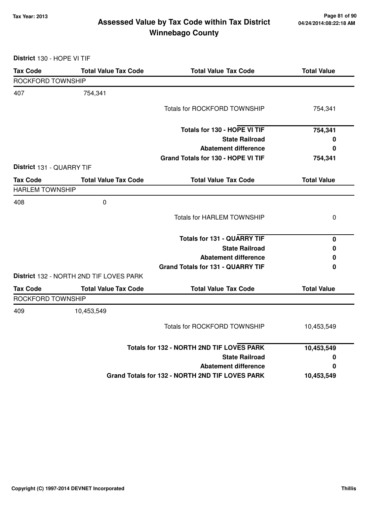# **Tax Year: 2013 Page 81 of 90 Assessed Value by Tax Code within Tax District Winnebago County**

**District** 130 - HOPE VI TIF

| <b>Tax Code</b>           | <b>Total Value Tax Code</b>             | <b>Total Value Tax Code</b>                     | <b>Total Value</b> |
|---------------------------|-----------------------------------------|-------------------------------------------------|--------------------|
| ROCKFORD TOWNSHIP         |                                         |                                                 |                    |
| 407                       | 754,341                                 |                                                 |                    |
|                           |                                         | <b>Totals for ROCKFORD TOWNSHIP</b>             | 754,341            |
|                           |                                         | Totals for 130 - HOPE VI TIF                    | 754,341            |
|                           |                                         | <b>State Railroad</b>                           | 0                  |
|                           |                                         | <b>Abatement difference</b>                     | 0                  |
|                           |                                         | Grand Totals for 130 - HOPE VI TIF              | 754,341            |
| District 131 - QUARRY TIF |                                         |                                                 |                    |
| <b>Tax Code</b>           | <b>Total Value Tax Code</b>             | <b>Total Value Tax Code</b>                     | <b>Total Value</b> |
| <b>HARLEM TOWNSHIP</b>    |                                         |                                                 |                    |
| 408                       | $\pmb{0}$                               |                                                 |                    |
|                           |                                         | <b>Totals for HARLEM TOWNSHIP</b>               | 0                  |
|                           |                                         | <b>Totals for 131 - QUARRY TIF</b>              | $\pmb{0}$          |
|                           |                                         | <b>State Railroad</b>                           | 0                  |
|                           |                                         | <b>Abatement difference</b>                     | 0                  |
|                           |                                         | <b>Grand Totals for 131 - QUARRY TIF</b>        | 0                  |
|                           | District 132 - NORTH 2ND TIF LOVES PARK |                                                 |                    |
| <b>Tax Code</b>           | <b>Total Value Tax Code</b>             | <b>Total Value Tax Code</b>                     | <b>Total Value</b> |
| ROCKFORD TOWNSHIP         |                                         |                                                 |                    |
| 409                       | 10,453,549                              |                                                 |                    |
|                           |                                         | <b>Totals for ROCKFORD TOWNSHIP</b>             | 10,453,549         |
|                           |                                         | Totals for 132 - NORTH 2ND TIF LOVES PARK       | 10,453,549         |
|                           |                                         | <b>State Railroad</b>                           | 0                  |
|                           |                                         | <b>Abatement difference</b>                     | 0                  |
|                           |                                         | Grand Totals for 132 - NORTH 2ND TIF LOVES PARK | 10,453,549         |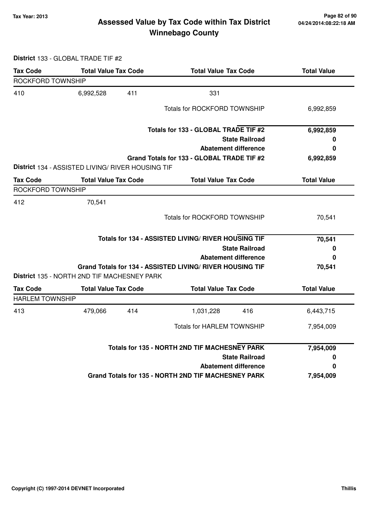# **Tax Year: 2013 Page 82 of 90 Assessed Value by Tax Code within Tax District Winnebago County**

**District** 133 - GLOBAL TRADE TIF #2

| <b>Tax Code</b>        | <b>Total Value Tax Code</b>                       |     | <b>Total Value Tax Code</b>                               |                       | <b>Total Value</b> |
|------------------------|---------------------------------------------------|-----|-----------------------------------------------------------|-----------------------|--------------------|
| ROCKFORD TOWNSHIP      |                                                   |     |                                                           |                       |                    |
| 410                    | 6,992,528                                         | 411 | 331                                                       |                       |                    |
|                        |                                                   |     | <b>Totals for ROCKFORD TOWNSHIP</b>                       |                       | 6,992,859          |
|                        |                                                   |     | Totals for 133 - GLOBAL TRADE TIF #2                      |                       | 6,992,859          |
|                        |                                                   |     |                                                           | <b>State Railroad</b> | 0                  |
|                        |                                                   |     | <b>Abatement difference</b>                               |                       | 0                  |
|                        |                                                   |     | Grand Totals for 133 - GLOBAL TRADE TIF #2                |                       | 6,992,859          |
|                        | District 134 - ASSISTED LIVING/ RIVER HOUSING TIF |     |                                                           |                       |                    |
| <b>Tax Code</b>        | <b>Total Value Tax Code</b>                       |     | <b>Total Value Tax Code</b>                               |                       | <b>Total Value</b> |
| ROCKFORD TOWNSHIP      |                                                   |     |                                                           |                       |                    |
| 412                    | 70,541                                            |     |                                                           |                       |                    |
|                        |                                                   |     | Totals for ROCKFORD TOWNSHIP                              |                       | 70,541             |
|                        |                                                   |     | Totals for 134 - ASSISTED LIVING/ RIVER HOUSING TIF       |                       | 70,541             |
|                        |                                                   |     |                                                           | <b>State Railroad</b> | 0                  |
|                        |                                                   |     | <b>Abatement difference</b>                               |                       | 0                  |
|                        |                                                   |     | Grand Totals for 134 - ASSISTED LIVING/ RIVER HOUSING TIF |                       | 70,541             |
|                        | District 135 - NORTH 2ND TIF MACHESNEY PARK       |     |                                                           |                       |                    |
| <b>Tax Code</b>        | <b>Total Value Tax Code</b>                       |     | <b>Total Value Tax Code</b>                               |                       | <b>Total Value</b> |
| <b>HARLEM TOWNSHIP</b> |                                                   |     |                                                           |                       |                    |
| 413                    | 479,066                                           | 414 | 1,031,228                                                 | 416                   | 6,443,715          |
|                        |                                                   |     | <b>Totals for HARLEM TOWNSHIP</b>                         |                       | 7,954,009          |
|                        |                                                   |     |                                                           |                       |                    |
|                        |                                                   |     | Totals for 135 - NORTH 2ND TIF MACHESNEY PARK             |                       | 7,954,009          |
|                        |                                                   |     |                                                           | <b>State Railroad</b> | 0                  |
|                        |                                                   |     | <b>Abatement difference</b>                               |                       | 0                  |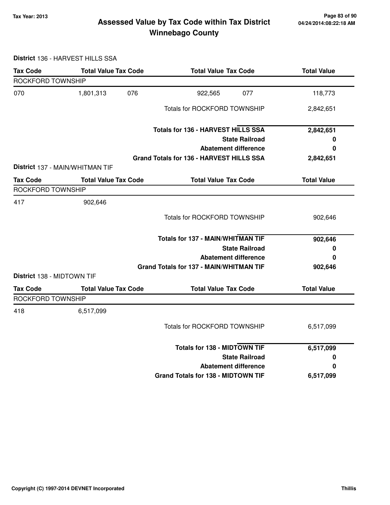# **Tax Year: 2013 Page 83 of 90 Assessed Value by Tax Code within Tax District Winnebago County**

**District** 136 - HARVEST HILLS SSA

| <b>Tax Code</b>            | <b>Total Value Tax Code</b>     | <b>Total Value Tax Code</b>                    | <b>Total Value</b> |
|----------------------------|---------------------------------|------------------------------------------------|--------------------|
| ROCKFORD TOWNSHIP          |                                 |                                                |                    |
| 070                        | 1,801,313<br>076                | 077<br>922,565                                 | 118,773            |
|                            |                                 | <b>Totals for ROCKFORD TOWNSHIP</b>            | 2,842,651          |
|                            |                                 | Totals for 136 - HARVEST HILLS SSA             | 2,842,651          |
|                            |                                 | <b>State Railroad</b>                          | 0                  |
|                            |                                 | <b>Abatement difference</b>                    | 0                  |
|                            |                                 | Grand Totals for 136 - HARVEST HILLS SSA       | 2,842,651          |
|                            | District 137 - MAIN/WHITMAN TIF |                                                |                    |
| <b>Tax Code</b>            | <b>Total Value Tax Code</b>     | <b>Total Value Tax Code</b>                    | <b>Total Value</b> |
| ROCKFORD TOWNSHIP          |                                 |                                                |                    |
| 417                        | 902,646                         |                                                |                    |
|                            |                                 | <b>Totals for ROCKFORD TOWNSHIP</b>            | 902,646            |
|                            |                                 | <b>Totals for 137 - MAIN/WHITMAN TIF</b>       | 902,646            |
|                            |                                 | <b>State Railroad</b>                          | 0                  |
|                            |                                 | <b>Abatement difference</b>                    | 0                  |
|                            |                                 | <b>Grand Totals for 137 - MAIN/WHITMAN TIF</b> | 902,646            |
| District 138 - MIDTOWN TIF |                                 |                                                |                    |
| <b>Tax Code</b>            | <b>Total Value Tax Code</b>     | <b>Total Value Tax Code</b>                    | <b>Total Value</b> |
| ROCKFORD TOWNSHIP          |                                 |                                                |                    |
| 418                        | 6,517,099                       |                                                |                    |
|                            |                                 | <b>Totals for ROCKFORD TOWNSHIP</b>            | 6,517,099          |
|                            |                                 | <b>Totals for 138 - MIDTOWN TIF</b>            | 6,517,099          |
|                            |                                 | <b>State Railroad</b>                          | 0                  |
|                            |                                 | <b>Abatement difference</b>                    | 0                  |
|                            |                                 | <b>Grand Totals for 138 - MIDTOWN TIF</b>      | 6,517,099          |
|                            |                                 |                                                |                    |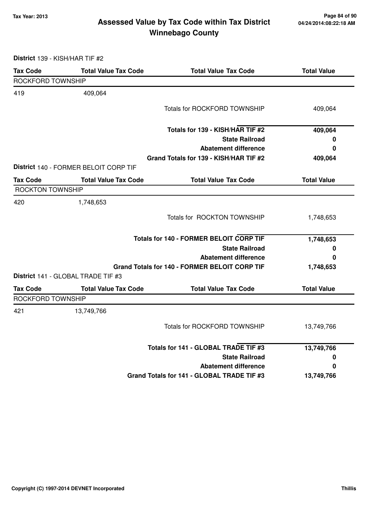# **Tax Year: 2013 Page 84 of 90 Assessed Value by Tax Code within Tax District Winnebago County**

**District** 139 - KISH/HAR TIF #2

| <b>Tax Code</b>         | <b>Total Value Tax Code</b>           | <b>Total Value Tax Code</b>                          | <b>Total Value</b> |
|-------------------------|---------------------------------------|------------------------------------------------------|--------------------|
| ROCKFORD TOWNSHIP       |                                       |                                                      |                    |
| 419                     | 409,064                               |                                                      |                    |
|                         |                                       | <b>Totals for ROCKFORD TOWNSHIP</b>                  | 409,064            |
|                         |                                       | Totals for 139 - KISH/HAR TIF #2                     | 409,064            |
|                         |                                       | <b>State Railroad</b>                                | 0                  |
|                         |                                       | <b>Abatement difference</b>                          | 0                  |
|                         |                                       | Grand Totals for 139 - KISH/HAR TIF #2               | 409,064            |
|                         | District 140 - FORMER BELOIT CORP TIF |                                                      |                    |
| <b>Tax Code</b>         | <b>Total Value Tax Code</b>           | <b>Total Value Tax Code</b>                          | <b>Total Value</b> |
| <b>ROCKTON TOWNSHIP</b> |                                       |                                                      |                    |
| 420                     | 1,748,653                             |                                                      |                    |
|                         |                                       | Totals for ROCKTON TOWNSHIP                          | 1,748,653          |
|                         |                                       | <b>Totals for 140 - FORMER BELOIT CORP TIF</b>       | 1,748,653          |
|                         |                                       | <b>State Railroad</b>                                | 0                  |
|                         |                                       | <b>Abatement difference</b>                          | 0                  |
|                         |                                       | <b>Grand Totals for 140 - FORMER BELOIT CORP TIF</b> | 1,748,653          |
|                         | District 141 - GLOBAL TRADE TIF #3    |                                                      |                    |
| <b>Tax Code</b>         | <b>Total Value Tax Code</b>           | <b>Total Value Tax Code</b>                          | <b>Total Value</b> |
| ROCKFORD TOWNSHIP       |                                       |                                                      |                    |
| 421                     | 13,749,766                            |                                                      |                    |
|                         |                                       | <b>Totals for ROCKFORD TOWNSHIP</b>                  | 13,749,766         |
|                         |                                       | Totals for 141 - GLOBAL TRADE TIF #3                 | 13,749,766         |
|                         |                                       | <b>State Railroad</b>                                | 0                  |
|                         |                                       | <b>Abatement difference</b>                          | 0                  |
|                         |                                       | Grand Totals for 141 - GLOBAL TRADE TIF #3           | 13,749,766         |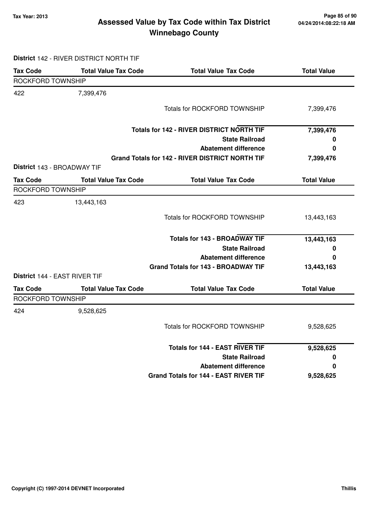# **Tax Year: 2013 Page 85 of 90 Assessed Value by Tax Code within Tax District Winnebago County**

#### **District** 142 - RIVER DISTRICT NORTH TIF

| <b>Tax Code</b>               | <b>Total Value Tax Code</b> | <b>Total Value Tax Code</b>                      | <b>Total Value</b> |
|-------------------------------|-----------------------------|--------------------------------------------------|--------------------|
| ROCKFORD TOWNSHIP             |                             |                                                  |                    |
| 422                           | 7,399,476                   |                                                  |                    |
|                               |                             | <b>Totals for ROCKFORD TOWNSHIP</b>              | 7,399,476          |
|                               |                             | <b>Totals for 142 - RIVER DISTRICT NORTH TIF</b> | 7,399,476          |
|                               |                             | <b>State Railroad</b>                            | 0                  |
|                               |                             | <b>Abatement difference</b>                      | $\bf{0}$           |
|                               |                             | Grand Totals for 142 - RIVER DISTRICT NORTH TIF  | 7,399,476          |
| District 143 - BROADWAY TIF   |                             |                                                  |                    |
| <b>Tax Code</b>               | <b>Total Value Tax Code</b> | <b>Total Value Tax Code</b>                      | <b>Total Value</b> |
| ROCKFORD TOWNSHIP             |                             |                                                  |                    |
| 423                           | 13,443,163                  |                                                  |                    |
|                               |                             | <b>Totals for ROCKFORD TOWNSHIP</b>              | 13,443,163         |
|                               |                             | <b>Totals for 143 - BROADWAY TIF</b>             | 13,443,163         |
|                               |                             | <b>State Railroad</b>                            | 0                  |
|                               |                             | <b>Abatement difference</b>                      | 0                  |
|                               |                             | <b>Grand Totals for 143 - BROADWAY TIF</b>       | 13,443,163         |
| District 144 - EAST RIVER TIF |                             |                                                  |                    |
| <b>Tax Code</b>               | <b>Total Value Tax Code</b> | <b>Total Value Tax Code</b>                      | <b>Total Value</b> |
| <b>ROCKFORD TOWNSHIP</b>      |                             |                                                  |                    |
| 424                           | 9,528,625                   |                                                  |                    |
|                               |                             | <b>Totals for ROCKFORD TOWNSHIP</b>              | 9,528,625          |
|                               |                             | <b>Totals for 144 - EAST RIVER TIF</b>           | 9,528,625          |
|                               |                             | <b>State Railroad</b>                            | 0                  |
|                               |                             | <b>Abatement difference</b>                      | 0                  |
|                               |                             | <b>Grand Totals for 144 - EAST RIVER TIF</b>     | 9,528,625          |
|                               |                             |                                                  |                    |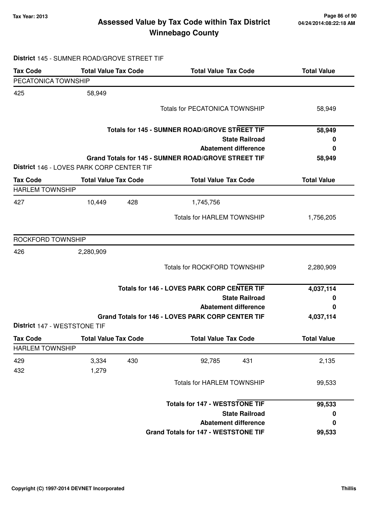**District** 145 - SUMNER ROAD/GROVE STREET TIF

# **Tax Year: 2013 Page 86 of 90 Assessed Value by Tax Code within Tax District Winnebago County**

| <b>Tax Code</b>              | <b>Total Value Tax Code</b>               | <b>Total Value Tax Code</b>                         | <b>Total Value</b> |
|------------------------------|-------------------------------------------|-----------------------------------------------------|--------------------|
| PECATONICA TOWNSHIP          |                                           |                                                     |                    |
| 425                          | 58,949                                    |                                                     |                    |
|                              |                                           | <b>Totals for PECATONICA TOWNSHIP</b>               | 58,949             |
|                              |                                           |                                                     |                    |
|                              |                                           | Totals for 145 - SUMNER ROAD/GROVE STREET TIF       | 58,949             |
|                              |                                           | <b>State Railroad</b>                               | 0                  |
|                              |                                           | <b>Abatement difference</b>                         | $\bf{0}$           |
|                              |                                           | Grand Totals for 145 - SUMNER ROAD/GROVE STREET TIF | 58,949             |
|                              | District 146 - LOVES PARK CORP CENTER TIF |                                                     |                    |
| Tax Code                     | <b>Total Value Tax Code</b>               | <b>Total Value Tax Code</b>                         | <b>Total Value</b> |
| <b>HARLEM TOWNSHIP</b>       |                                           |                                                     |                    |
| 427                          | 10,449<br>428                             | 1,745,756                                           |                    |
|                              |                                           | Totals for HARLEM TOWNSHIP                          | 1,756,205          |
|                              |                                           |                                                     |                    |
| ROCKFORD TOWNSHIP            |                                           |                                                     |                    |
| 426                          | 2,280,909                                 |                                                     |                    |
|                              |                                           | <b>Totals for ROCKFORD TOWNSHIP</b>                 | 2,280,909          |
|                              |                                           |                                                     |                    |
|                              |                                           | Totals for 146 - LOVES PARK CORP CENTER TIF         | 4,037,114          |
|                              |                                           | <b>State Railroad</b>                               | 0                  |
|                              |                                           | <b>Abatement difference</b>                         | 0                  |
|                              |                                           | Grand Totals for 146 - LOVES PARK CORP CENTER TIF   | 4,037,114          |
| District 147 - WESTSTONE TIF |                                           |                                                     |                    |
| Tax Code                     | <b>Total Value Tax Code</b>               | <b>Total Value Tax Code</b>                         | <b>Total Value</b> |
| HARLEM TOWNSHIP              |                                           |                                                     |                    |
| 429                          | 3,334<br>430                              | 92,785<br>431                                       | 2,135              |
| 432                          | 1,279                                     |                                                     |                    |
|                              |                                           | <b>Totals for HARLEM TOWNSHIP</b>                   | 99,533             |
|                              |                                           |                                                     |                    |
|                              |                                           | <b>Totals for 147 - WESTSTONE TIF</b>               | 99,533             |
|                              |                                           | <b>State Railroad</b>                               | 0                  |
|                              |                                           | <b>Abatement difference</b>                         | 0                  |
|                              |                                           | <b>Grand Totals for 147 - WESTSTONE TIF</b>         | 99,533             |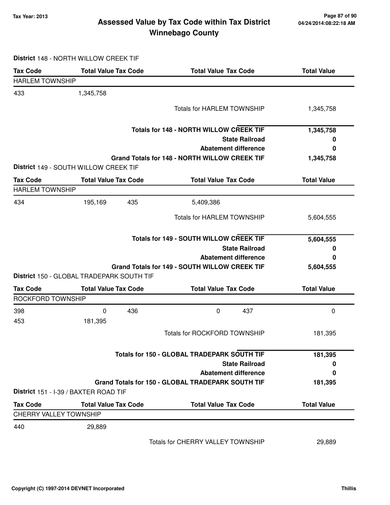# **Tax Year: 2013 Page 87 of 90 Assessed Value by Tax Code within Tax District Winnebago County**

#### **District** 148 - NORTH WILLOW CREEK TIF

| <b>Tax Code</b>               | <b>Total Value Tax Code</b>                    | <b>Total Value Tax Code</b>                          | <b>Total Value</b> |
|-------------------------------|------------------------------------------------|------------------------------------------------------|--------------------|
| <b>HARLEM TOWNSHIP</b>        |                                                |                                                      |                    |
| 433                           | 1,345,758                                      |                                                      |                    |
|                               |                                                | <b>Totals for HARLEM TOWNSHIP</b>                    | 1,345,758          |
|                               |                                                | <b>Totals for 148 - NORTH WILLOW CREEK TIF</b>       | 1,345,758          |
|                               |                                                | <b>State Railroad</b>                                | 0                  |
|                               |                                                | <b>Abatement difference</b>                          | 0                  |
|                               |                                                | <b>Grand Totals for 148 - NORTH WILLOW CREEK TIF</b> | 1,345,758          |
|                               | District 149 - SOUTH WILLOW CREEK TIF          |                                                      |                    |
| <b>Tax Code</b>               | <b>Total Value Tax Code</b>                    | <b>Total Value Tax Code</b>                          | <b>Total Value</b> |
| <b>HARLEM TOWNSHIP</b>        |                                                |                                                      |                    |
| 434                           | 195,169<br>435                                 | 5,409,386                                            |                    |
|                               |                                                | <b>Totals for HARLEM TOWNSHIP</b>                    | 5,604,555          |
|                               | <b>Totals for 149 - SOUTH WILLOW CREEK TIF</b> |                                                      | 5,604,555          |
|                               |                                                | <b>State Railroad</b>                                | 0                  |
|                               |                                                | <b>Abatement difference</b>                          | 0                  |
|                               |                                                | Grand Totals for 149 - SOUTH WILLOW CREEK TIF        | 5,604,555          |
|                               | District 150 - GLOBAL TRADEPARK SOUTH TIF      |                                                      |                    |
| <b>Tax Code</b>               | <b>Total Value Tax Code</b>                    | <b>Total Value Tax Code</b>                          | <b>Total Value</b> |
| ROCKFORD TOWNSHIP             |                                                |                                                      |                    |
| 398                           | 0<br>436                                       | 0<br>437                                             | 0                  |
| 453                           | 181,395                                        |                                                      |                    |
|                               |                                                | <b>Totals for ROCKFORD TOWNSHIP</b>                  | 181,395            |
|                               |                                                | Totals for 150 - GLOBAL TRADEPARK SOUTH TIF          | 181,395            |
|                               |                                                | <b>State Railroad</b>                                | 0                  |
|                               |                                                | <b>Abatement difference</b>                          | 0                  |
|                               |                                                | Grand Totals for 150 - GLOBAL TRADEPARK SOUTH TIF    | 181,395            |
|                               | District 151 - I-39 / BAXTER ROAD TIF          |                                                      |                    |
| <b>Tax Code</b>               | <b>Total Value Tax Code</b>                    | <b>Total Value Tax Code</b>                          | <b>Total Value</b> |
| <b>CHERRY VALLEY TOWNSHIP</b> |                                                |                                                      |                    |
| 440                           | 29,889                                         |                                                      |                    |
|                               |                                                | Totals for CHERRY VALLEY TOWNSHIP                    | 29,889             |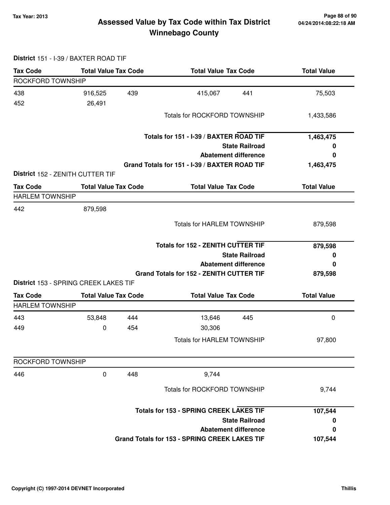**District** 151 - I-39 / BAXTER ROAD TIF

# **Tax Year: 2013 Page 88 of 90 Assessed Value by Tax Code within Tax District Winnebago County**

#### **Tax Code Total Value Tax Code Total Value Tax Code Total Value** ROCKFORD TOWNSHIP 438 916,525 415,067 439 441 75,503 452 26,491 Totals for ROCKFORD TOWNSHIP 1,433,586 **State Railroad Totals for 151 - I-39 / BAXTER ROAD TIF Abatement difference Grand Totals for 151 - I-39 / BAXTER ROAD TIF 1,463,475 0 0 1,463,475 District** 152 - ZENITH CUTTER TIF **Tax Code Total Value Tax Code Total Value Tax Code Total Value** HARLEM TOWNSHIP 442 879,598 Totals for HARLEM TOWNSHIP 879,598 **State Railroad Totals for 152 - ZENITH CUTTER TIF Abatement difference Grand Totals for 152 - ZENITH CUTTER TIF 879,598 0 0 879,598 District** 153 - SPRING CREEK LAKES TIF **Tax Code Total Value Tax Code Total Value Tax Code Total Value** HARLEM TOWNSHIP 443 53,848 13,646 444 445 0 449 0 30,306 454 Totals for HARLEM TOWNSHIP 97,800 ROCKFORD TOWNSHIP 446 0 9,744 448 Totals for ROCKFORD TOWNSHIP 9,744 **State Railroad Totals for 153 - SPRING CREEK LAKES TIF Abatement difference Grand Totals for 153 - SPRING CREEK LAKES TIF 107,544 0 0 107,544**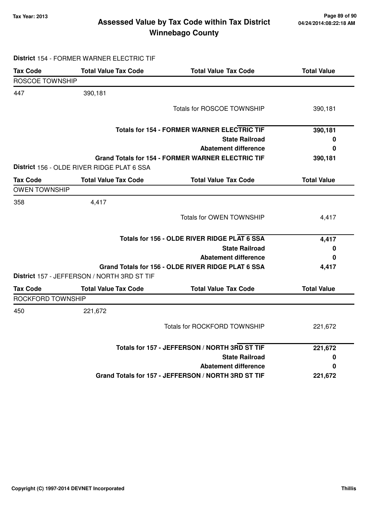# **Tax Year: 2013 Page 89 of 90 Assessed Value by Tax Code within Tax District Winnebago County**

|                        | District 154 - FORMER WARNER ELECTRIC TIF   |                                                          |                    |
|------------------------|---------------------------------------------|----------------------------------------------------------|--------------------|
| <b>Tax Code</b>        | <b>Total Value Tax Code</b>                 | <b>Total Value Tax Code</b>                              | <b>Total Value</b> |
| <b>ROSCOE TOWNSHIP</b> |                                             |                                                          |                    |
| 447                    | 390,181                                     |                                                          |                    |
|                        |                                             | Totals for ROSCOE TOWNSHIP                               | 390,181            |
|                        |                                             | <b>Totals for 154 - FORMER WARNER ELECTRIC TIF</b>       | 390,181            |
|                        |                                             | <b>State Railroad</b>                                    | 0                  |
|                        |                                             | <b>Abatement difference</b>                              | 0                  |
|                        | District 156 - OLDE RIVER RIDGE PLAT 6 SSA  | <b>Grand Totals for 154 - FORMER WARNER ELECTRIC TIF</b> | 390,181            |
| <b>Tax Code</b>        | <b>Total Value Tax Code</b>                 | <b>Total Value Tax Code</b>                              | <b>Total Value</b> |
| <b>OWEN TOWNSHIP</b>   |                                             |                                                          |                    |
| 358                    | 4,417                                       |                                                          |                    |
|                        |                                             | <b>Totals for OWEN TOWNSHIP</b>                          | 4,417              |
|                        |                                             | Totals for 156 - OLDE RIVER RIDGE PLAT 6 SSA             | 4,417              |
|                        |                                             | <b>State Railroad</b>                                    | 0                  |
|                        |                                             | <b>Abatement difference</b>                              | 0                  |
|                        | District 157 - JEFFERSON / NORTH 3RD ST TIF | Grand Totals for 156 - OLDE RIVER RIDGE PLAT 6 SSA       | 4,417              |
| <b>Tax Code</b>        | <b>Total Value Tax Code</b>                 | <b>Total Value Tax Code</b>                              | <b>Total Value</b> |
| ROCKFORD TOWNSHIP      |                                             |                                                          |                    |
| 450                    | 221,672                                     |                                                          |                    |
|                        |                                             | <b>Totals for ROCKFORD TOWNSHIP</b>                      | 221,672            |
|                        |                                             | Totals for 157 - JEFFERSON / NORTH 3RD ST TIF            | 221,672            |
|                        |                                             | <b>State Railroad</b>                                    | 0                  |
|                        |                                             | <b>Abatement difference</b>                              | 0                  |
|                        |                                             | Grand Totals for 157 - JEFFERSON / NORTH 3RD ST TIF      | 221,672            |